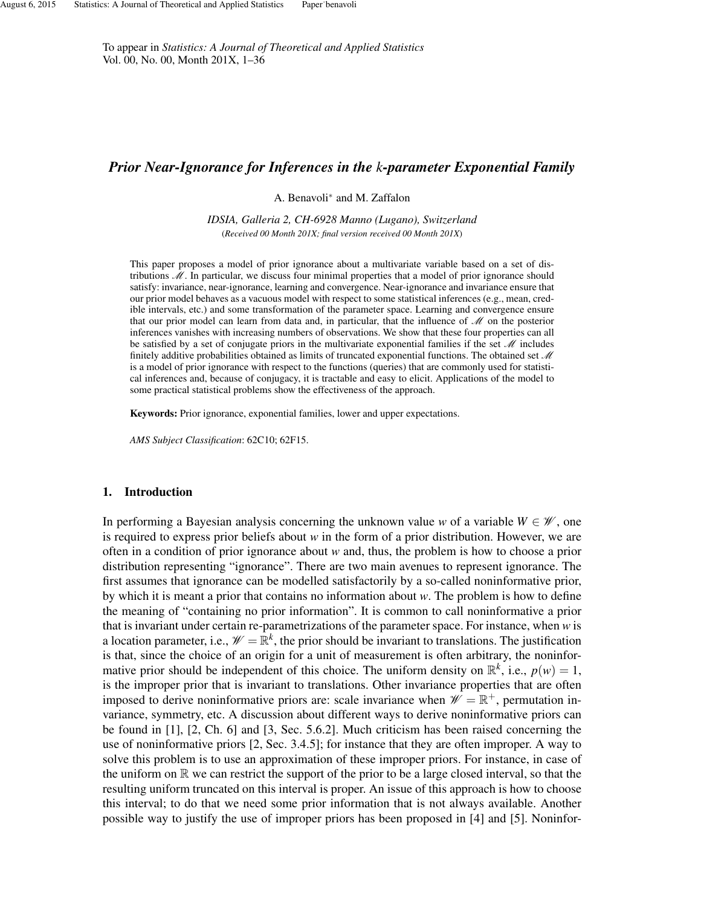To appear in *Statistics: A Journal of Theoretical and Applied Statistics* Vol. 00, No. 00, Month 201X, 1–36

# *Prior Near-Ignorance for Inferences in the k-parameter Exponential Family*

A. Benavoli<sup>∗</sup> and M. Zaffalon

*IDSIA, Galleria 2, CH-6928 Manno (Lugano), Switzerland* (*Received 00 Month 201X; final version received 00 Month 201X*)

This paper proposes a model of prior ignorance about a multivariate variable based on a set of distributions M. In particular, we discuss four minimal properties that a model of prior ignorance should satisfy: invariance, near-ignorance, learning and convergence. Near-ignorance and invariance ensure that our prior model behaves as a vacuous model with respect to some statistical inferences (e.g., mean, credible intervals, etc.) and some transformation of the parameter space. Learning and convergence ensure that our prior model can learn from data and, in particular, that the influence of  $\mathcal M$  on the posterior inferences vanishes with increasing numbers of observations. We show that these four properties can all be satisfied by a set of conjugate priors in the multivariate exponential families if the set  $\mathcal{M}$  includes finitely additive probabilities obtained as limits of truncated exponential functions. The obtained set  $\mathcal M$ is a model of prior ignorance with respect to the functions (queries) that are commonly used for statistical inferences and, because of conjugacy, it is tractable and easy to elicit. Applications of the model to some practical statistical problems show the effectiveness of the approach.

Keywords: Prior ignorance, exponential families, lower and upper expectations.

*AMS Subject Classification*: 62C10; 62F15.

### 1. Introduction

In performing a Bayesian analysis concerning the unknown value *w* of a variable  $W \in \mathcal{W}$ , one is required to express prior beliefs about *w* in the form of a prior distribution. However, we are often in a condition of prior ignorance about *w* and, thus, the problem is how to choose a prior distribution representing "ignorance". There are two main avenues to represent ignorance. The first assumes that ignorance can be modelled satisfactorily by a so-called noninformative prior, by which it is meant a prior that contains no information about *w*. The problem is how to define the meaning of "containing no prior information". It is common to call noninformative a prior that is invariant under certain re-parametrizations of the parameter space. For instance, when *w* is a location parameter, i.e.,  $\mathcal{W} = \mathbb{R}^k$ , the prior should be invariant to translations. The justification is that, since the choice of an origin for a unit of measurement is often arbitrary, the noninformative prior should be independent of this choice. The uniform density on  $\mathbb{R}^k$ , i.e.,  $p(w) = 1$ , is the improper prior that is invariant to translations. Other invariance properties that are often imposed to derive noninformative priors are: scale invariance when  $\mathscr{W} = \mathbb{R}^+$ , permutation invariance, symmetry, etc. A discussion about different ways to derive noninformative priors can be found in [1], [2, Ch. 6] and [3, Sec. 5.6.2]. Much criticism has been raised concerning the use of noninformative priors [2, Sec. 3.4.5]; for instance that they are often improper. A way to solve this problem is to use an approximation of these improper priors. For instance, in case of the uniform on  $\mathbb R$  we can restrict the support of the prior to be a large closed interval, so that the resulting uniform truncated on this interval is proper. An issue of this approach is how to choose this interval; to do that we need some prior information that is not always available. Another possible way to justify the use of improper priors has been proposed in [4] and [5]. Noninfor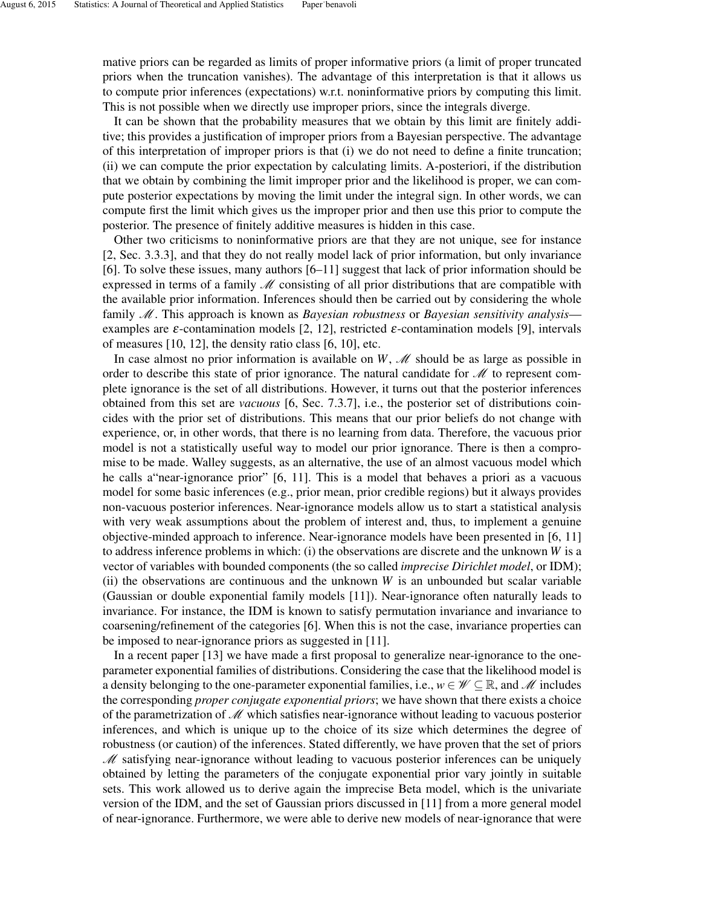mative priors can be regarded as limits of proper informative priors (a limit of proper truncated priors when the truncation vanishes). The advantage of this interpretation is that it allows us to compute prior inferences (expectations) w.r.t. noninformative priors by computing this limit. This is not possible when we directly use improper priors, since the integrals diverge.

It can be shown that the probability measures that we obtain by this limit are finitely additive; this provides a justification of improper priors from a Bayesian perspective. The advantage of this interpretation of improper priors is that (i) we do not need to define a finite truncation; (ii) we can compute the prior expectation by calculating limits. A-posteriori, if the distribution that we obtain by combining the limit improper prior and the likelihood is proper, we can compute posterior expectations by moving the limit under the integral sign. In other words, we can compute first the limit which gives us the improper prior and then use this prior to compute the posterior. The presence of finitely additive measures is hidden in this case.

Other two criticisms to noninformative priors are that they are not unique, see for instance [2, Sec. 3.3.3], and that they do not really model lack of prior information, but only invariance [6]. To solve these issues, many authors [6–11] suggest that lack of prior information should be expressed in terms of a family  $\mathcal M$  consisting of all prior distributions that are compatible with the available prior information. Inferences should then be carried out by considering the whole family M. This approach is known as *Bayesian robustness* or *Bayesian sensitivity analysis* examples are  $\varepsilon$ -contamination models [2, 12], restricted  $\varepsilon$ -contamination models [9], intervals of measures [10, 12], the density ratio class [6, 10], etc.

In case almost no prior information is available on  $W$ ,  $\mathcal M$  should be as large as possible in order to describe this state of prior ignorance. The natural candidate for  $\mathcal M$  to represent complete ignorance is the set of all distributions. However, it turns out that the posterior inferences obtained from this set are *vacuous* [6, Sec. 7.3.7], i.e., the posterior set of distributions coincides with the prior set of distributions. This means that our prior beliefs do not change with experience, or, in other words, that there is no learning from data. Therefore, the vacuous prior model is not a statistically useful way to model our prior ignorance. There is then a compromise to be made. Walley suggests, as an alternative, the use of an almost vacuous model which he calls a"near-ignorance prior" [6, 11]. This is a model that behaves a priori as a vacuous model for some basic inferences (e.g., prior mean, prior credible regions) but it always provides non-vacuous posterior inferences. Near-ignorance models allow us to start a statistical analysis with very weak assumptions about the problem of interest and, thus, to implement a genuine objective-minded approach to inference. Near-ignorance models have been presented in [6, 11] to address inference problems in which: (i) the observations are discrete and the unknown *W* is a vector of variables with bounded components (the so called *imprecise Dirichlet model*, or IDM); (ii) the observations are continuous and the unknown *W* is an unbounded but scalar variable (Gaussian or double exponential family models [11]). Near-ignorance often naturally leads to invariance. For instance, the IDM is known to satisfy permutation invariance and invariance to coarsening/refinement of the categories [6]. When this is not the case, invariance properties can be imposed to near-ignorance priors as suggested in [11].

In a recent paper [13] we have made a first proposal to generalize near-ignorance to the oneparameter exponential families of distributions. Considering the case that the likelihood model is a density belonging to the one-parameter exponential families, i.e.,  $w \in \mathcal{W} \subseteq \mathbb{R}$ , and M includes the corresponding *proper conjugate exponential priors*; we have shown that there exists a choice of the parametrization of  $\mathcal M$  which satisfies near-ignorance without leading to vacuous posterior inferences, and which is unique up to the choice of its size which determines the degree of robustness (or caution) of the inferences. Stated differently, we have proven that the set of priors  $M$  satisfying near-ignorance without leading to vacuous posterior inferences can be uniquely obtained by letting the parameters of the conjugate exponential prior vary jointly in suitable sets. This work allowed us to derive again the imprecise Beta model, which is the univariate version of the IDM, and the set of Gaussian priors discussed in [11] from a more general model of near-ignorance. Furthermore, we were able to derive new models of near-ignorance that were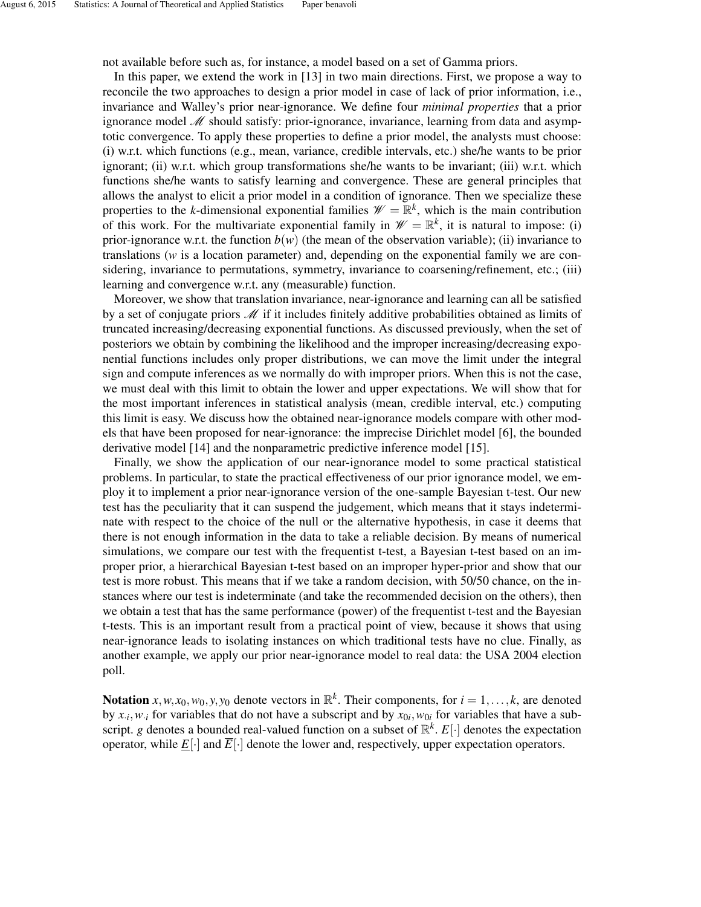not available before such as, for instance, a model based on a set of Gamma priors.

In this paper, we extend the work in [13] in two main directions. First, we propose a way to reconcile the two approaches to design a prior model in case of lack of prior information, i.e., invariance and Walley's prior near-ignorance. We define four *minimal properties* that a prior ignorance model  $\mathcal M$  should satisfy: prior-ignorance, invariance, learning from data and asymptotic convergence. To apply these properties to define a prior model, the analysts must choose: (i) w.r.t. which functions (e.g., mean, variance, credible intervals, etc.) she/he wants to be prior ignorant; (ii) w.r.t. which group transformations she/he wants to be invariant; (iii) w.r.t. which functions she/he wants to satisfy learning and convergence. These are general principles that allows the analyst to elicit a prior model in a condition of ignorance. Then we specialize these properties to the *k*-dimensional exponential families  $\mathcal{W} = \mathbb{R}^k$ , which is the main contribution of this work. For the multivariate exponential family in  $\mathcal{W} = \mathbb{R}^k$ , it is natural to impose: (i) prior-ignorance w.r.t. the function  $b(w)$  (the mean of the observation variable); (ii) invariance to translations (*w* is a location parameter) and, depending on the exponential family we are considering, invariance to permutations, symmetry, invariance to coarsening/refinement, etc.; (iii) learning and convergence w.r.t. any (measurable) function.

Moreover, we show that translation invariance, near-ignorance and learning can all be satisfied by a set of conjugate priors  $\mathcal M$  if it includes finitely additive probabilities obtained as limits of truncated increasing/decreasing exponential functions. As discussed previously, when the set of posteriors we obtain by combining the likelihood and the improper increasing/decreasing exponential functions includes only proper distributions, we can move the limit under the integral sign and compute inferences as we normally do with improper priors. When this is not the case, we must deal with this limit to obtain the lower and upper expectations. We will show that for the most important inferences in statistical analysis (mean, credible interval, etc.) computing this limit is easy. We discuss how the obtained near-ignorance models compare with other models that have been proposed for near-ignorance: the imprecise Dirichlet model [6], the bounded derivative model [14] and the nonparametric predictive inference model [15].

Finally, we show the application of our near-ignorance model to some practical statistical problems. In particular, to state the practical effectiveness of our prior ignorance model, we employ it to implement a prior near-ignorance version of the one-sample Bayesian t-test. Our new test has the peculiarity that it can suspend the judgement, which means that it stays indeterminate with respect to the choice of the null or the alternative hypothesis, in case it deems that there is not enough information in the data to take a reliable decision. By means of numerical simulations, we compare our test with the frequentist t-test, a Bayesian t-test based on an improper prior, a hierarchical Bayesian t-test based on an improper hyper-prior and show that our test is more robust. This means that if we take a random decision, with 50/50 chance, on the instances where our test is indeterminate (and take the recommended decision on the others), then we obtain a test that has the same performance (power) of the frequentist t-test and the Bayesian t-tests. This is an important result from a practical point of view, because it shows that using near-ignorance leads to isolating instances on which traditional tests have no clue. Finally, as another example, we apply our prior near-ignorance model to real data: the USA 2004 election poll.

Notation  $x, w, x_0, w_0, y, y_0$  denote vectors in  $\mathbb{R}^k$ . Their components, for  $i = 1, ..., k$ , are denoted by  $x_i$ ,  $w_i$  for variables that do not have a subscript and by  $x_{0i}$ ,  $w_{0i}$  for variables that have a subscript. *g* denotes a bounded real-valued function on a subset of  $\mathbb{R}^k$ .  $E[\cdot]$  denotes the expectation operator, while  $E[\cdot]$  and  $\overline{E}[\cdot]$  denote the lower and, respectively, upper expectation operators.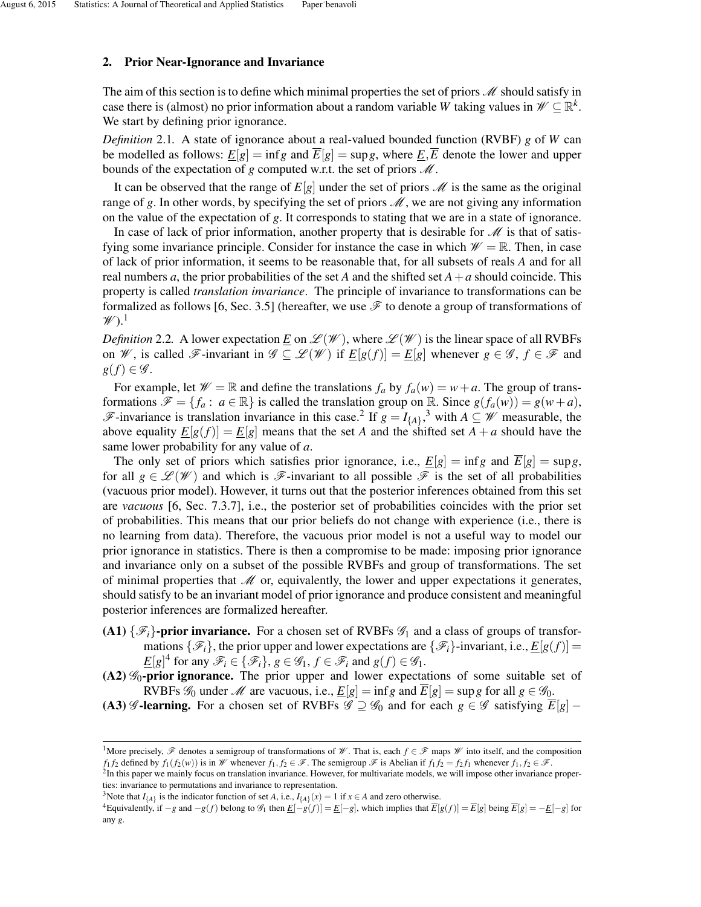### 2. Prior Near-Ignorance and Invariance

The aim of this section is to define which minimal properties the set of priors  $M$  should satisfy in case there is (almost) no prior information about a random variable *W* taking values in  $\mathcal{W} \subseteq \mathbb{R}^k$ . We start by defining prior ignorance.

*Definition* 2.1*.* A state of ignorance about a real-valued bounded function (RVBF) *g* of *W* can be modelled as follows:  $E[g] = \inf g$  and  $\overline{E}[g] = \sup g$ , where  $E, \overline{E}$  denote the lower and upper bounds of the expectation of  $g$  computed w.r.t. the set of priors  $\mathcal{M}$ .

It can be observed that the range of  $E[g]$  under the set of priors  $\mathcal M$  is the same as the original range of g. In other words, by specifying the set of priors  $\mathcal{M}$ , we are not giving any information on the value of the expectation of *g*. It corresponds to stating that we are in a state of ignorance.

In case of lack of prior information, another property that is desirable for  $\mathcal M$  is that of satisfying some invariance principle. Consider for instance the case in which  $\mathcal{W} = \mathbb{R}$ . Then, in case of lack of prior information, it seems to be reasonable that, for all subsets of reals *A* and for all real numbers *a*, the prior probabilities of the set *A* and the shifted set  $A + a$  should coincide. This property is called *translation invariance*. The principle of invariance to transformations can be formalized as follows [6, Sec. 3.5] (hereafter, we use  $\mathscr F$  to denote a group of transformations of  $\mathscr{W}$ ).<sup>1</sup>

*Definition* 2.2. A lower expectation <u>*E*</u> on  $\mathscr{L}(\mathscr{W})$ , where  $\mathscr{L}(\mathscr{W})$  is the linear space of all RVBFs on *W*, is called *F*-invariant in  $\mathcal{G} \subseteq \mathcal{L}(\mathcal{W})$  if  $E[g(f)] = E[g]$  whenever  $g \in \mathcal{G}, f \in \mathcal{F}$  and  $g(f) \in \mathscr{G}$ .

For example, let  $\mathcal{W} = \mathbb{R}$  and define the translations  $f_a$  by  $f_a(w) = w + a$ . The group of transformations  $\mathscr{F} = \{f_a : a \in \mathbb{R}\}\$ is called the translation group on R. Since  $g(f_a(w)) = g(w + a)$ , F-invariance is translation invariance in this case.<sup>2</sup> If  $g = I_{\{A\}}$ ,<sup>3</sup> with  $A ⊆ W$  measurable, the above equality  $E[g(f)] = E[g]$  means that the set *A* and the shifted set  $A + a$  should have the same lower probability for any value of *a*.

The only set of priors which satisfies prior ignorance, i.e.,  $E[g] = \inf g$  and  $\overline{E}[g] = \sup g$ , for all  $g \in \mathcal{L}(\mathcal{W})$  and which is  $\mathcal{F}$ -invariant to all possible  $\mathcal{F}$  is the set of all probabilities (vacuous prior model). However, it turns out that the posterior inferences obtained from this set are *vacuous* [6, Sec. 7.3.7], i.e., the posterior set of probabilities coincides with the prior set of probabilities. This means that our prior beliefs do not change with experience (i.e., there is no learning from data). Therefore, the vacuous prior model is not a useful way to model our prior ignorance in statistics. There is then a compromise to be made: imposing prior ignorance and invariance only on a subset of the possible RVBFs and group of transformations. The set of minimal properties that  $M$  or, equivalently, the lower and upper expectations it generates, should satisfy to be an invariant model of prior ignorance and produce consistent and meaningful posterior inferences are formalized hereafter.

- (A1)  $\{\mathscr{F}_i\}$ -prior invariance. For a chosen set of RVBFs  $\mathscr{G}_1$  and a class of groups of transformations  $\{\mathcal{F}_i\}$ , the prior upper and lower expectations are  $\{\mathcal{F}_i\}$ -invariant, i.e.,  $E[g(f)] =$  $\underline{E}[g]^4$  for any  $\mathscr{F}_i \in \{\mathscr{F}_i\}$ ,  $g \in \mathscr{G}_1$ ,  $f \in \mathscr{F}_i$  and  $g(f) \in \mathscr{G}_1$ .
- $(A2)$   $\mathscr{G}_0$ -prior ignorance. The prior upper and lower expectations of some suitable set of RVBFs  $\mathscr{G}_0$  under  $\mathscr{M}$  are vacuous, i.e.,  $\underline{E}[g] = \inf g$  and  $\overline{E}[g] = \sup g$  for all  $g \in \mathscr{G}_0$ .
- (A3) G-learning. For a chosen set of RVBFs  $\mathscr{G} \supseteq \mathscr{G}_0$  and for each  $g \in \mathscr{G}$  satisfying  $\overline{E}[g]$  −

<sup>&</sup>lt;sup>1</sup>More precisely,  $\mathscr F$  denotes a semigroup of transformations of  $\mathscr W$ . That is, each  $f \in \mathscr F$  maps  $\mathscr W$  into itself, and the composition *f*<sub>1</sub>*f*<sub>2</sub> defined by *f*<sub>1</sub>(*f*<sub>2</sub>(*w*)) is in W whenever *f*<sub>1</sub>, *f*<sub>2</sub> ∈  $\mathcal{F}$ . The semigroup  $\mathcal{F}$  is Abelian if *f*<sub>1</sub>*f*<sub>2</sub> = *f*<sub>2</sub>*f*<sub>1</sub> whenever *f*<sub>1</sub>, *f*<sub>2</sub> ∈  $\mathcal{F}$ .

<sup>&</sup>lt;sup>2</sup>In this paper we mainly focus on translation invariance. However, for multivariate models, we will impose other invariance properties: invariance to permutations and invariance to representation.

<sup>&</sup>lt;sup>3</sup>Note that  $I_{\{A\}}$  is the indicator function of set *A*, i.e.,  $I_{\{A\}}(x) = 1$  if  $x \in A$  and zero otherwise.

<sup>&</sup>lt;sup>4</sup>Equivalently, if  $-g$  and  $-g(f)$  belong to  $\mathcal{G}_1$  then  $\underline{E}[-g(f)] = \underline{E}[-g]$ , which implies that  $\overline{E}[g(f)] = \overline{E}[g]$  being  $\overline{E}[g] = -\underline{E}[-g]$  for any *g*.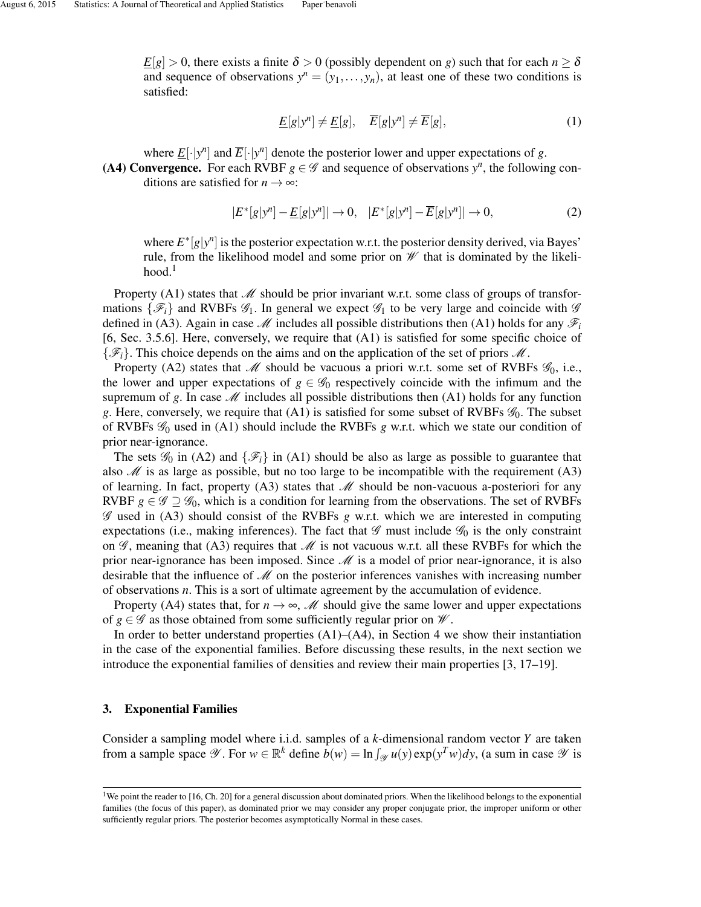$\underline{E}[g] > 0$ , there exists a finite  $\delta > 0$  (possibly dependent on *g*) such that for each  $n \geq \delta$ and sequence of observations  $y^n = (y_1, \ldots, y_n)$ , at least one of these two conditions is satisfied:

$$
\underline{E}[g|y^n] \neq \underline{E}[g], \quad \overline{E}[g|y^n] \neq \overline{E}[g],\tag{1}
$$

where  $\underline{E}[\cdot|y^n]$  and  $\overline{E}[\cdot|y^n]$  denote the posterior lower and upper expectations of *g*.

(A4) Convergence. For each RVBF  $g \in \mathscr{G}$  and sequence of observations  $y^n$ , the following conditions are satisfied for  $n \rightarrow \infty$ :

$$
|E^*[g|y^n] - \underline{E}[g|y^n]| \to 0, \quad |E^*[g|y^n] - \overline{E}[g|y^n]| \to 0,
$$
\n(2)

where  $E^*[g|y^n]$  is the posterior expectation w.r.t. the posterior density derived, via Bayes' rule, from the likelihood model and some prior on  $\mathcal W$  that is dominated by the likeli $hood.<sup>1</sup>$ 

Property  $(A1)$  states that  $M$  should be prior invariant w.r.t. some class of groups of transformations  $\{\mathscr{F}_i\}$  and RVBFs  $\mathscr{G}_1$ . In general we expect  $\mathscr{G}_1$  to be very large and coincide with  $\mathscr{G}$ defined in (A3). Again in case  $\mathcal{M}$  includes all possible distributions then (A1) holds for any  $\mathcal{F}_i$ [6, Sec. 3.5.6]. Here, conversely, we require that (A1) is satisfied for some specific choice of  $\{\mathscr{F}_i\}$ . This choice depends on the aims and on the application of the set of priors  $\mathscr{M}$ .

Property (A2) states that  $M$  should be vacuous a priori w.r.t. some set of RVBFs  $\mathcal{G}_0$ , i.e., the lower and upper expectations of  $g \in \mathscr{G}_0$  respectively coincide with the infimum and the supremum of g. In case  $\mathcal M$  includes all possible distributions then (A1) holds for any function g. Here, conversely, we require that  $(A1)$  is satisfied for some subset of RVBFs  $\mathcal{G}_0$ . The subset of RVBFs G<sup>0</sup> used in (A1) should include the RVBFs *g* w.r.t. which we state our condition of prior near-ignorance.

The sets  $\mathscr{G}_0$  in (A2) and  $\{\mathscr{F}_i\}$  in (A1) should be also as large as possible to guarantee that also  $\mathscr M$  is as large as possible, but no too large to be incompatible with the requirement (A3) of learning. In fact, property  $(A3)$  states that  $\mathcal M$  should be non-vacuous a-posteriori for any RVBF  $g \in \mathscr{G} \supseteq \mathscr{G}_0$ , which is a condition for learning from the observations. The set of RVBFs G used in (A3) should consist of the RVBFs *g* w.r.t. which we are interested in computing expectations (i.e., making inferences). The fact that  $\mathscr G$  must include  $\mathscr G_0$  is the only constraint on  $\mathscr{G}$ , meaning that (A3) requires that  $\mathscr{M}$  is not vacuous w.r.t. all these RVBFs for which the prior near-ignorance has been imposed. Since  $\mathcal M$  is a model of prior near-ignorance, it is also desirable that the influence of  $\mathcal M$  on the posterior inferences vanishes with increasing number of observations *n*. This is a sort of ultimate agreement by the accumulation of evidence.

Property (A4) states that, for  $n \to \infty$ , *M* should give the same lower and upper expectations of  $g \in \mathscr{G}$  as those obtained from some sufficiently regular prior on  $\mathscr{W}$ .

In order to better understand properties  $(A1)$ – $(A4)$ , in Section 4 we show their instantiation in the case of the exponential families. Before discussing these results, in the next section we introduce the exponential families of densities and review their main properties [3, 17–19].

### 3. Exponential Families

Consider a sampling model where i.i.d. samples of a *k*-dimensional random vector *Y* are taken from a sample space  $\mathscr{Y}$ . For  $w \in \mathbb{R}^k$  define  $\overline{b}(w) = \ln \int_{\mathscr{Y}} u(y) \exp(y^T w) dy$ , (a sum in case  $\mathscr{Y}$  is

<sup>&</sup>lt;sup>1</sup>We point the reader to [16, Ch. 20] for a general discussion about dominated priors. When the likelihood belongs to the exponential families (the focus of this paper), as dominated prior we may consider any proper conjugate prior, the improper uniform or other sufficiently regular priors. The posterior becomes asymptotically Normal in these cases.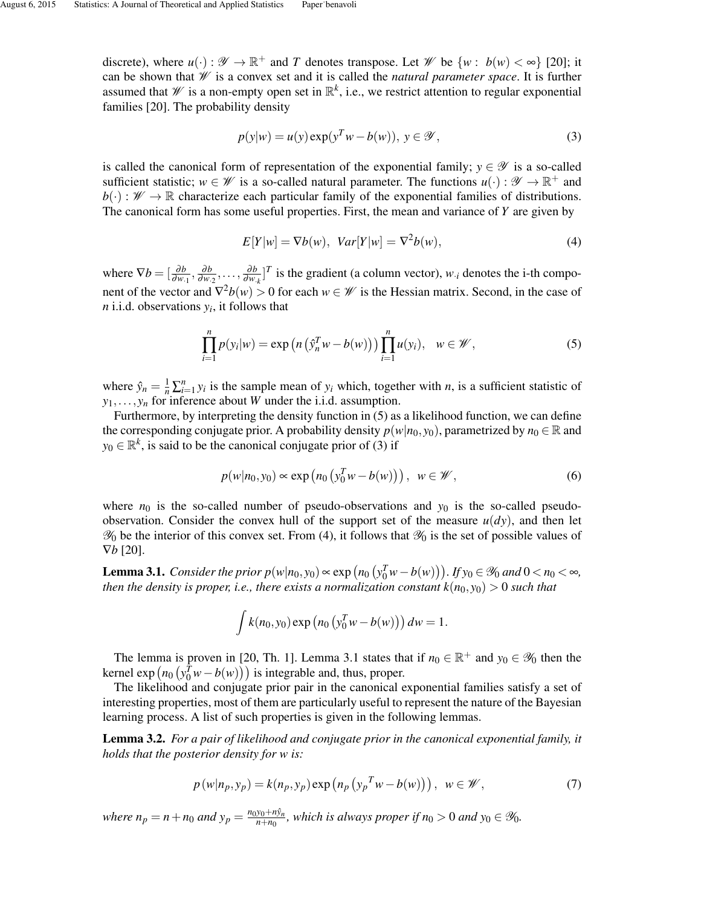discrete), where  $u(\cdot): \mathscr{Y} \to \mathbb{R}^+$  and *T* denotes transpose. Let  $\mathscr{W}$  be  $\{w: b(w) < \infty\}$  [20]; it can be shown that W is a convex set and it is called the *natural parameter space*. It is further assumed that  $W$  is a non-empty open set in  $\mathbb{R}^k$ , i.e., we restrict attention to regular exponential families [20]. The probability density

$$
p(y|w) = u(y) \exp(y^T w - b(w)), \ y \in \mathcal{Y}, \tag{3}
$$

is called the canonical form of representation of the exponential family;  $y \in \mathscr{Y}$  is a so-called sufficient statistic;  $w \in \mathcal{W}$  is a so-called natural parameter. The functions  $u(\cdot): \mathcal{Y} \to \mathbb{R}^+$  and  $b(\cdot): \mathscr{W} \to \mathbb{R}$  characterize each particular family of the exponential families of distributions. The canonical form has some useful properties. First, the mean and variance of *Y* are given by

$$
E[Y|w] = \nabla b(w), \quad Var[Y|w] = \nabla^2 b(w), \tag{4}
$$

where  $\nabla b = \left[\frac{\partial b}{\partial w_1}, \frac{\partial b}{\partial w_2}\right]$  $\frac{\partial b}{\partial w_2}, \ldots, \frac{\partial b}{\partial w_n}$  $\frac{\partial b}{\partial w_{k}}$ <sup>T</sup> is the gradient (a column vector), *w*<sub>*i*</sub> denotes the i-th component of the vector and  $\nabla^2 b(w) > 0$  for each  $w \in \mathcal{W}$  is the Hessian matrix. Second, in the case of *n* i.i.d. observations  $y_i$ , it follows that

$$
\prod_{i=1}^{n} p(y_i|w) = \exp\left(n\left(\hat{y}_n^T w - b(w)\right)\right) \prod_{i=1}^{n} u(y_i), \quad w \in \mathscr{W},\tag{5}
$$

where  $\hat{y}_n = \frac{1}{n} \sum_{i=1}^n y_i$  is the sample mean of  $y_i$  which, together with *n*, is a sufficient statistic of  $y_1, \ldots, y_n$  for inference about *W* under the i.i.d. assumption.

Furthermore, by interpreting the density function in (5) as a likelihood function, we can define the corresponding conjugate prior. A probability density  $p(w|n_0, y_0)$ , parametrized by  $n_0 \in \mathbb{R}$  and  $y_0 \in \mathbb{R}^k$ , is said to be the canonical conjugate prior of (3) if

$$
p(w|n_0, y_0) \propto \exp\left(n_0\left(y_0^T w - b(w)\right)\right), \ \ w \in \mathscr{W},\tag{6}
$$

where  $n_0$  is the so-called number of pseudo-observations and  $y_0$  is the so-called pseudoobservation. Consider the convex hull of the support set of the measure  $u(dy)$ , and then let  $\mathcal{Y}_0$  be the interior of this convex set. From (4), it follows that  $\mathcal{Y}_0$  is the set of possible values of ∇*b* [20].

**Lemma 3.1.** *Consider the prior*  $p(w|n_0, y_0) \propto \exp(n_0(v_0^T w - b(w)))$ . *If*  $y_0 \in \mathcal{Y}_0$  *and* 0 < *n*<sub>0</sub> < ∞, *then the density is proper, i.e., there exists a normalization constant*  $k(n_0, y_0) > 0$  *such that* 

$$
\int k(n_0, y_0) \exp (n_0 (y_0^T w - b(w))) dw = 1.
$$

The lemma is proven in [20, Th. 1]. Lemma 3.1 states that if  $n_0 \in \mathbb{R}^+$  and  $y_0 \in \mathcal{Y}_0$  then the kernel  $exp(n_0(y_0^T w - b(w)))$  is integrable and, thus, proper.

The likelihood and conjugate prior pair in the canonical exponential families satisfy a set of interesting properties, most of them are particularly useful to represent the nature of the Bayesian learning process. A list of such properties is given in the following lemmas.

Lemma 3.2. *For a pair of likelihood and conjugate prior in the canonical exponential family, it holds that the posterior density for w is:*

$$
p(w|n_p, y_p) = k(n_p, y_p) \exp (n_p (y_p^T w - b(w))), \ w \in \mathscr{W}, \tag{7}
$$

*where*  $n_p = n + n_0$  *and*  $y_p = \frac{n_0 y_0 + n \hat{y}_n}{n + n_0}$  $\frac{y_0 + ny_n}{n + n_0}$ , which is always proper if  $n_0 > 0$  and  $y_0 \in \mathscr{Y}_0$ .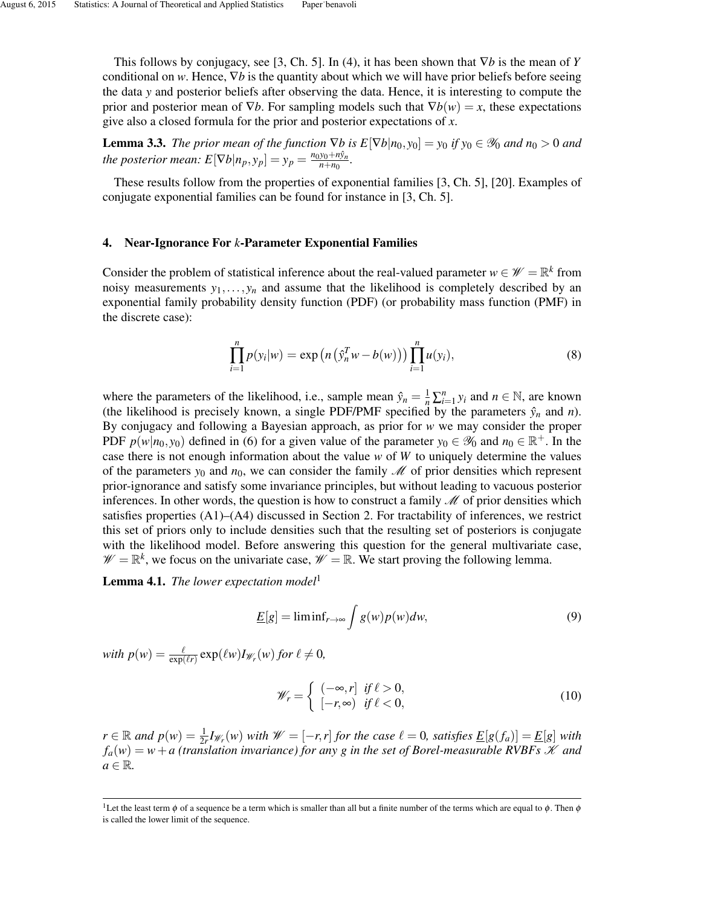This follows by conjugacy, see [3, Ch. 5]. In (4), it has been shown that ∇*b* is the mean of *Y* conditional on *w*. Hence, ∇*b* is the quantity about which we will have prior beliefs before seeing the data *y* and posterior beliefs after observing the data. Hence, it is interesting to compute the prior and posterior mean of  $\nabla b$ . For sampling models such that  $\nabla b(w) = x$ , these expectations give also a closed formula for the prior and posterior expectations of *x*.

**Lemma 3.3.** *The prior mean of the function*  $\nabla b$  *is*  $E[\nabla b|n_0, y_0] = y_0$  *if*  $y_0 \in \mathcal{Y}_0$  *and*  $n_0 > 0$  *and the posterior mean:*  $E[\nabla b|n_p, y_p] = y_p = \frac{n_0y_0 + n\hat{y}_n}{n + n_0}$  $\frac{y_0 + n y_n}{n + n_0}$ .

These results follow from the properties of exponential families [3, Ch. 5], [20]. Examples of conjugate exponential families can be found for instance in [3, Ch. 5].

### 4. Near-Ignorance For *k*-Parameter Exponential Families

Consider the problem of statistical inference about the real-valued parameter  $w \in \mathcal{W} = \mathbb{R}^k$  from noisy measurements  $y_1, \ldots, y_n$  and assume that the likelihood is completely described by an exponential family probability density function (PDF) (or probability mass function (PMF) in the discrete case):

$$
\prod_{i=1}^{n} p(y_i|w) = \exp(n(\hat{y}_n^T w - b(w))) \prod_{i=1}^{n} u(y_i),
$$
\n(8)

where the parameters of the likelihood, i.e., sample mean  $\hat{y}_n = \frac{1}{n} \sum_{i=1}^n y_i$  and  $n \in \mathbb{N}$ , are known (the likelihood is precisely known, a single PDF/PMF specified by the parameters  $\hat{y}_n$  and *n*). By conjugacy and following a Bayesian approach, as prior for *w* we may consider the proper PDF  $p(w|n_0, y_0)$  defined in (6) for a given value of the parameter  $y_0 \in \mathcal{Y}_0$  and  $n_0 \in \mathbb{R}^+$ . In the case there is not enough information about the value *w* of *W* to uniquely determine the values of the parameters  $y_0$  and  $n_0$ , we can consider the family  $M$  of prior densities which represent prior-ignorance and satisfy some invariance principles, but without leading to vacuous posterior inferences. In other words, the question is how to construct a family  $\mathcal M$  of prior densities which satisfies properties (A1)–(A4) discussed in Section 2. For tractability of inferences, we restrict this set of priors only to include densities such that the resulting set of posteriors is conjugate with the likelihood model. Before answering this question for the general multivariate case,  $\mathscr{W} = \mathbb{R}^k$ , we focus on the univariate case,  $\mathscr{W} = \mathbb{R}$ . We start proving the following lemma.

Lemma 4.1. *The lower expectation model*<sup>1</sup>

$$
\underline{E}[g] = \liminf_{r \to \infty} \int g(w)p(w)dw,
$$
\n(9)

 $\text{with } p(w) = \frac{\ell}{\exp(\ell r)} \exp(\ell w) I_{\mathscr{W}_r}(w) \text{ for } \ell \neq 0,$ 

$$
\mathscr{W}_r = \begin{cases}\n(-\infty, r] & \text{if } \ell > 0, \\
[-r, \infty) & \text{if } \ell < 0,\n\end{cases}
$$
\n(10)

*r* ∈ ℝ *and*  $p(w) = \frac{1}{2r}I_{\mathcal{W}_r}(w)$  *with*  $\mathcal{W} = [-r, r]$  *for the case*  $\ell = 0$ *, satisfies*  $\underline{E}[g(f_a)] = \underline{E}[g]$  *with*  $f_a(w) = w + a$  (translation invariance) for any g in the set of Borel-measurable RVBFs  $\mathscr K$  and  $a \in \mathbb{R}$ .

<sup>&</sup>lt;sup>1</sup>Let the least term φ of a sequence be a term which is smaller than all but a finite number of the terms which are equal to φ. Then φ is called the lower limit of the sequence.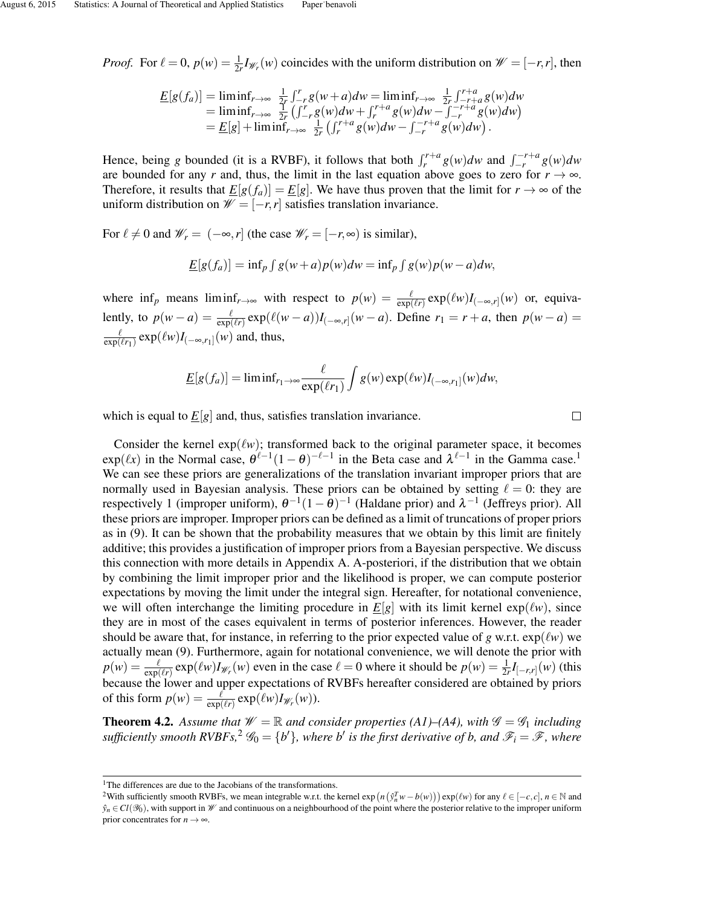*Proof.* For  $\ell = 0$ ,  $p(w) = \frac{1}{2r}I_{\mathcal{W}_r}(w)$  coincides with the uniform distribution on  $\mathcal{W} = [-r, r]$ , then

$$
\underline{E}[g(f_a)] = \liminf_{r \to \infty} \frac{1}{2r} \int_{-r}^{r} g(w+a) dw = \liminf_{r \to \infty} \frac{1}{2r} \int_{-r+a}^{r+a} g(w) dw \n= \liminf_{r \to \infty} \frac{1}{2r} \left( \int_{-r}^{r} g(w) dw + \int_{r}^{r+a} g(w) dw - \int_{-r}^{-r+a} g(w) dw \right) \n= \underline{E}[g] + \liminf_{r \to \infty} \frac{1}{2r} \left( \int_{r}^{r+a} g(w) dw - \int_{-r}^{-r+a} g(w) dw \right).
$$

Hence, being *g* bounded (it is a RVBF), it follows that both  $\int_r^{r+a} g(w) dw$  and  $\int_{-r}^{-r+a} g(w) dw$ are bounded for any *r* and, thus, the limit in the last equation above goes to zero for  $r \to \infty$ . Therefore, it results that  $\underline{E}[g(f_a)] = \underline{E}[g]$ . We have thus proven that the limit for  $r \to \infty$  of the uniform distribution on  $W = [-r, r]$  satisfies translation invariance.

For  $\ell \neq 0$  and  $\mathscr{W}_r = (-\infty, r]$  (the case  $\mathscr{W}_r = [-r, \infty)$  is similar),

$$
\underline{E}[g(f_a)] = \inf_{p} \int g(w+a)p(w)dw = \inf_{p} \int g(w)p(w-a)dw,
$$

where  $\inf_p$  means  $\liminf_{r\to\infty}$  with respect to  $p(w) = \frac{\ell}{\exp(\ell r)} \exp(\ell w) I_{(-\infty,r]}(w)$  or, equivalently, to  $p(w - a) = \frac{\ell}{\exp(\ell r)} \exp(\ell(w - a))I_{(-\infty, r]}(w - a)$ . Define  $r_1 = r + a$ , then  $p(w - a) =$  $\ell$  $\frac{\ell}{\exp(\ell r_1)} \exp(\ell w) I_{(-\infty,r_1]}(w)$  and, thus,

$$
\underline{E}[g(f_a)] = \liminf_{r_1 \to \infty} \frac{\ell}{\exp(\ell r_1)} \int g(w) \exp(\ell w) I_{(-\infty, r_1]}(w) dw,
$$

which is equal to  $E[g]$  and, thus, satisfies translation invariance.

 $\Box$ 

Consider the kernel  $exp(\ell w)$ ; transformed back to the original parameter space, it becomes  $\exp(\ell x)$  in the Normal case,  $\theta^{\ell-1}(1-\theta)^{-\ell-1}$  in the Beta case and  $\lambda^{\ell-1}$  in the Gamma case.<sup>1</sup> We can see these priors are generalizations of the translation invariant improper priors that are normally used in Bayesian analysis. These priors can be obtained by setting  $\ell = 0$ : they are respectively 1 (improper uniform),  $\theta^{-1}(1-\theta)^{-1}$  (Haldane prior) and  $\lambda^{-1}$  (Jeffreys prior). All these priors are improper. Improper priors can be defined as a limit of truncations of proper priors as in (9). It can be shown that the probability measures that we obtain by this limit are finitely additive; this provides a justification of improper priors from a Bayesian perspective. We discuss this connection with more details in Appendix A. A-posteriori, if the distribution that we obtain by combining the limit improper prior and the likelihood is proper, we can compute posterior expectations by moving the limit under the integral sign. Hereafter, for notational convenience, we will often interchange the limiting procedure in  $E[g]$  with its limit kernel  $exp(\ell w)$ , since they are in most of the cases equivalent in terms of posterior inferences. However, the reader should be aware that, for instance, in referring to the prior expected value of *g* w.r.t.  $exp(\ell w)$  we actually mean (9). Furthermore, again for notational convenience, we will denote the prior with  $p(w) = \frac{\ell}{\exp(\ell r)} \exp(\ell w) I_{\mathscr{W}_r}(w)$  even in the case  $\ell = 0$  where it should be  $p(w) = \frac{1}{2r} I_{[-r,r]}(w)$  (this  $\exp(\ell r)$ because the lower and upper expectations of RVBFs hereafter considered are obtained by priors of this form  $p(w) = \frac{\ell}{\exp(\ell r)} \exp(\ell w) I_{\mathcal{W}_r}(w)$ .

**Theorem 4.2.** Assume that  $\mathcal{W} = \mathbb{R}$  and consider properties (A1)–(A4), with  $\mathcal{G} = \mathcal{G}_1$  including sufficiently smooth  $RVBFs$ ,  $^{2}$   $\mathscr{G}_{0} = \{b'\}$ , where  $b'$  is the first derivative of b, and  $\mathscr{F}_{i} = \mathscr{F}$ , where

<sup>&</sup>lt;sup>1</sup>The differences are due to the Jacobians of the transformations.

 $^2$ With sufficiently smooth RVBFs, we mean integrable w.r.t. the kernel  $\exp(n(\hat{y}_n^T w - b(w))) \exp(\ell w)$  for any  $\ell \in [-c, c]$ ,  $n \in \mathbb{N}$  and  $\hat{y}_n \in Cl(\mathcal{Y}_0)$ , with support in W and continuous on a neighbourhood of the point where the posterior relative to the improper uniform prior concentrates for  $n \to \infty$ .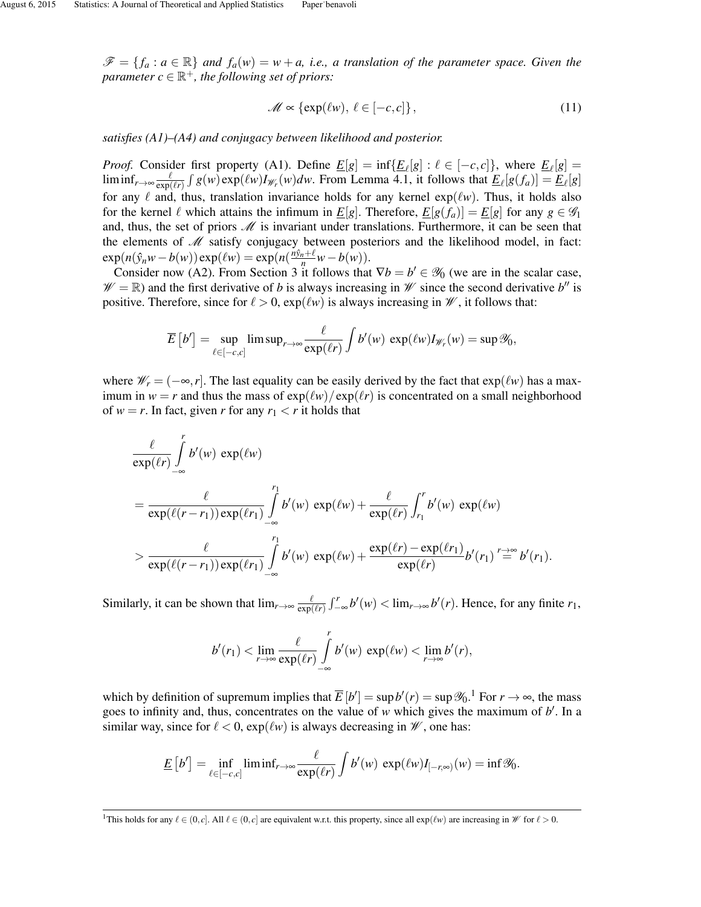$\mathscr{F} = \{f_a : a \in \mathbb{R}\}\$ and  $f_a(w) = w + a$ , *i.e.*, a translation of the parameter space. Given the  $\overline{p}$ *parameter*  $c \in \mathbb{R}^+$ *, the following set of priors:* 

$$
\mathscr{M} \propto \{ \exp(\ell w), \, \ell \in [-c, c] \},\tag{11}
$$

*satisfies (A1)–(A4) and conjugacy between likelihood and posterior.*

*Proof.* Consider first property (A1). Define  $\underline{E}[g] = \inf{\{\underline{E}_{\ell}[g] : \ell \in [-c, c]\}}$ , where  $\underline{E}_{\ell}[g] = \ell$  $\liminf_{r\to\infty} \frac{\ell}{\exp(\ell)}$  $\frac{\ell}{\exp(\ell r)} \int g(w) \exp(\ell w) I_{\mathscr{W}_r}(w) dw$ . From Lemma 4.1, it follows that  $\underline{E}_{\ell}[g(f_a)] = \underline{E}_{\ell}[g]$ for any  $\ell$  and, thus, translation invariance holds for any kernel  $exp(\ell w)$ . Thus, it holds also for the kernel  $\ell$  which attains the infimum in  $\underline{E}[g]$ . Therefore,  $\underline{E}[g(f_a)] = \underline{E}[g]$  for any  $g \in \mathscr{G}_1$ and, thus, the set of priors  $M$  is invariant under translations. Furthermore, it can be seen that the elements of  $M$  satisfy conjugacy between posteriors and the likelihood model, in fact:  $\exp(n(\hat{y}_n w - b(w)) \exp(\ell w) = \exp(n(\frac{n\hat{y}_n + \ell}{n}w - b(w)).$ 

Consider now (A2). From Section 3 it follows that  $\nabla b = b' \in \mathcal{Y}_0$  (we are in the scalar case,  $\mathscr{W} = \mathbb{R}$ ) and the first derivative of *b* is always increasing in  $\mathscr{W}$  since the second derivative *b*<sup>*n*</sup> is positive. Therefore, since for  $\ell > 0$ ,  $\exp(\ell w)$  is always increasing in  $\mathcal W$ , it follows that:

$$
\overline{E}\left[b'\right] = \sup_{\ell \in [-c,c]} \limsup_{r \to \infty} \frac{\ell}{\exp(\ell r)} \int b'(w) \, \exp(\ell w) I_{\mathscr{W}_r}(w) = \sup \mathscr{Y}_0,
$$

where  $\mathscr{W}_r = (-\infty, r]$ . The last equality can be easily derived by the fact that  $\exp(\ell w)$  has a maximum in  $w = r$  and thus the mass of  $exp(\ell w)/exp(\ell r)$  is concentrated on a small neighborhood of  $w = r$ . In fact, given *r* for any  $r_1 < r$  it holds that

$$
\frac{\ell}{\exp(\ell r)} \int_{-\infty}^r b'(w) \exp(\ell w)
$$
\n
$$
= \frac{\ell}{\exp(\ell(r-r_1)) \exp(\ell r_1)} \int_{-\infty}^{r_1} b'(w) \exp(\ell w) + \frac{\ell}{\exp(\ell r)} \int_{r_1}^r b'(w) \exp(\ell w)
$$
\n
$$
> \frac{\ell}{\exp(\ell(r-r_1)) \exp(\ell r_1)} \int_{-\infty}^{r_1} b'(w) \exp(\ell w) + \frac{\exp(\ell r) - \exp(\ell r_1)}{\exp(\ell r)} b'(r_1) \stackrel{r \to \infty}{=} b'(r_1).
$$

Similarly, it can be shown that  $\lim_{r\to\infty} \frac{\ell}{\exp(\ell)}$  $\frac{\ell}{\exp(\ell r)} \int_{-\infty}^{r} b'(w) < \lim_{r \to \infty} b'(r)$ . Hence, for any finite  $r_1$ ,

$$
b'(r_1) < \lim_{r \to \infty} \frac{\ell}{\exp(\ell r)} \int_{-\infty}^r b'(w) \, \exp(\ell w) < \lim_{r \to \infty} b'(r),
$$

which by definition of supremum implies that  $\overline{E}[b'] = \sup b'(r) = \sup \mathcal{Y}_0$ .<sup>1</sup> For  $r \to \infty$ , the mass goes to infinity and, thus, concentrates on the value of  $w$  which gives the maximum of  $b'$ . In a similar way, since for  $\ell < 0$ ,  $\exp(\ell w)$  is always decreasing in  $\mathcal W$ , one has:

$$
\underline{E}\left[b'\right] = \inf_{\ell \in [-c,c]} \liminf_{r \to \infty} \frac{\ell}{\exp(\ell r)} \int b'(w) \, \exp(\ell w) I_{[-r,\infty)}(w) = \inf \mathcal{Y}_0.
$$

<sup>&</sup>lt;sup>1</sup>This holds for any  $\ell \in (0, c]$ . All  $\ell \in (0, c]$  are equivalent w.r.t. this property, since all  $\exp(\ell w)$  are increasing in  $\mathcal W$  for  $\ell > 0$ .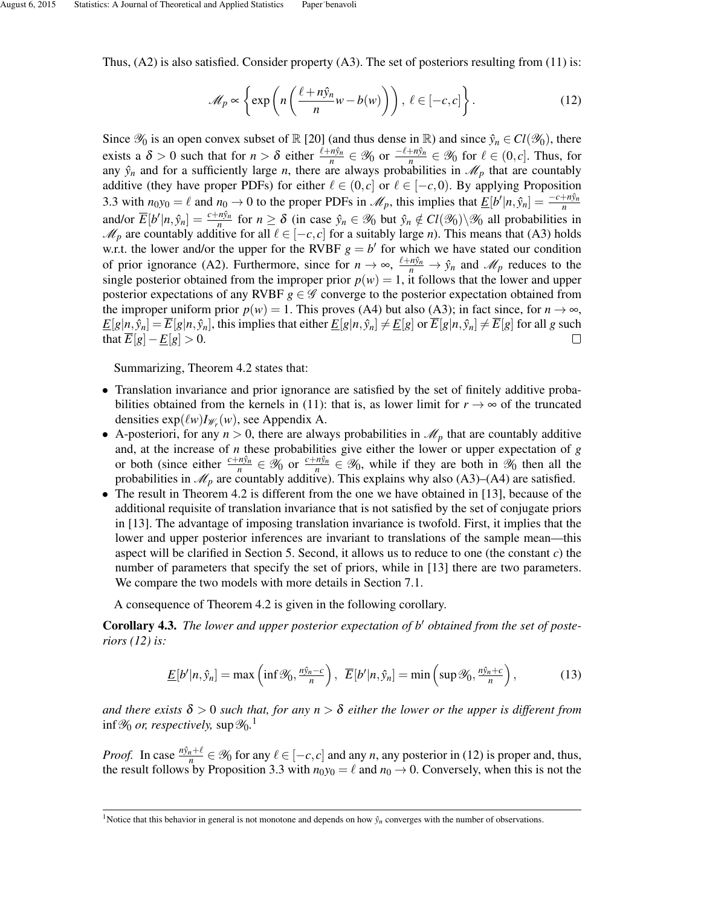Thus, (A2) is also satisfied. Consider property (A3). The set of posteriors resulting from (11) is:

$$
\mathcal{M}_p \propto \left\{ \exp\left(n\left(\frac{\ell + n\hat{y}_n}{n}w - b(w)\right)\right), \ \ell \in [-c, c] \right\}.
$$
 (12)

Since  $\mathcal{Y}_0$  is an open convex subset of  $\mathbb{R}$  [20] (and thus dense in  $\mathbb{R}$ ) and since  $\hat{y}_n \in Cl(\mathcal{Y}_0)$ , there exists a  $\delta > 0$  such that for  $n > \delta$  either  $\frac{\ell + n\hat{y}_n}{n} \in \mathcal{Y}_0$  or  $\frac{-\ell + n\hat{y}_n}{n} \in \mathcal{Y}_0$  for  $\ell \in (0, c]$ . Thus, for any  $\hat{y}_n$  and for a sufficiently large *n*, there are always probabilities in  $\mathcal{M}_p$  that are countably additive (they have proper PDFs) for either  $\ell \in (0, c]$  or  $\ell \in [-c, 0)$ . By applying Proposition 3.3 with  $n_0y_0 = \ell$  and  $n_0 \to 0$  to the proper PDFs in  $\mathcal{M}_p$ , this implies that  $\underline{E}[b'|n, \hat{y}_n] = \frac{-c + n\hat{y}_n}{n}$ and/or  $\overline{E}[b'|n, \hat{y}_n] = \frac{c+n\hat{y}_n}{n}$  for  $n \ge \delta$  (in case  $\hat{y}_n \in \mathcal{Y}_0$  but  $\hat{y}_n \notin Cl(\mathcal{Y}_0) \setminus \mathcal{Y}_0$  all probabilities in  $\mathcal{M}_p$  are countably additive for all  $\ell \in [-c, c]$  for a suitably large *n*). This means that (A3) holds w.r.t. the lower and/or the upper for the RVBF  $g = b'$  for which we have stated our condition of prior ignorance (A2). Furthermore, since for  $n \to \infty$ ,  $\frac{\ell + n\hat{y}_n}{n} \to \hat{y}_n$  and  $\mathcal{M}_p$  reduces to the single posterior obtained from the improper prior  $p(w) = 1$ , it follows that the lower and upper posterior expectations of any RVBF  $g \in \mathscr{G}$  converge to the posterior expectation obtained from the improper uniform prior  $p(w) = 1$ . This proves (A4) but also (A3); in fact since, for  $n \to \infty$ ,  $E[g|n, \hat{y}_n] = \overline{E}[g|n, \hat{y}_n]$ , this implies that either  $E[g|n, \hat{y}_n] \neq E[g]$  or  $\overline{E}[g|n, \hat{y}_n] \neq \overline{E}[g]$  for all g such that  $\overline{E}[g]-\underline{E}[g]>0.$  $\Box$ 

Summarizing, Theorem 4.2 states that:

- Translation invariance and prior ignorance are satisfied by the set of finitely additive probabilities obtained from the kernels in (11): that is, as lower limit for  $r \to \infty$  of the truncated densities  $exp(\ell w)I_{\mathscr{W}_r}(w)$ , see Appendix A.
- A-posteriori, for any  $n > 0$ , there are always probabilities in  $\mathcal{M}_p$  that are countably additive and, at the increase of *n* these probabilities give either the lower or upper expectation of *g* or both (since either  $\frac{c+n\hat{y}_n}{n} \in \mathcal{Y}_0$  or  $\frac{c+n\hat{y}_n}{n} \in \mathcal{Y}_0$ , while if they are both in  $\hat{y}_0$  then all the probabilities in  $\mathcal{M}_p$  are countably additive). This explains why also (A3)–(A4) are satisfied.
- The result in Theorem 4.2 is different from the one we have obtained in [13], because of the additional requisite of translation invariance that is not satisfied by the set of conjugate priors in [13]. The advantage of imposing translation invariance is twofold. First, it implies that the lower and upper posterior inferences are invariant to translations of the sample mean—this aspect will be clarified in Section 5. Second, it allows us to reduce to one (the constant *c*) the number of parameters that specify the set of priors, while in [13] there are two parameters. We compare the two models with more details in Section 7.1.

A consequence of Theorem 4.2 is given in the following corollary.

**Corollary 4.3.** The lower and upper posterior expectation of b' obtained from the set of poste*riors (12) is:*

$$
\underline{E}[b'|n,\hat{y}_n] = \max\left(\inf \mathscr{Y}_0, \frac{n\hat{y}_n - c}{n}\right), \ \ \overline{E}[b'|n,\hat{y}_n] = \min\left(\sup \mathscr{Y}_0, \frac{n\hat{y}_n + c}{n}\right),\tag{13}
$$

*and there exists*  $\delta > 0$  *such that, for any n*  $> \delta$  *either the lower or the upper is different from* inf  $\mathscr{Y}_{0}$  *or, respectively, s*up  $\mathscr{Y}_{0}.^{\text{1}}$ 

*Proof.* In case  $\frac{n\hat{y}_n+\ell}{n} \in \mathcal{Y}_0$  for any  $\ell \in [-c, c]$  and any *n*, any posterior in (12) is proper and, thus, the result follows by Proposition 3.3 with  $n_0y_0 = \ell$  and  $n_0 \to 0$ . Conversely, when this is not the

<sup>&</sup>lt;sup>1</sup>Notice that this behavior in general is not monotone and depends on how  $\hat{y}_n$  converges with the number of observations.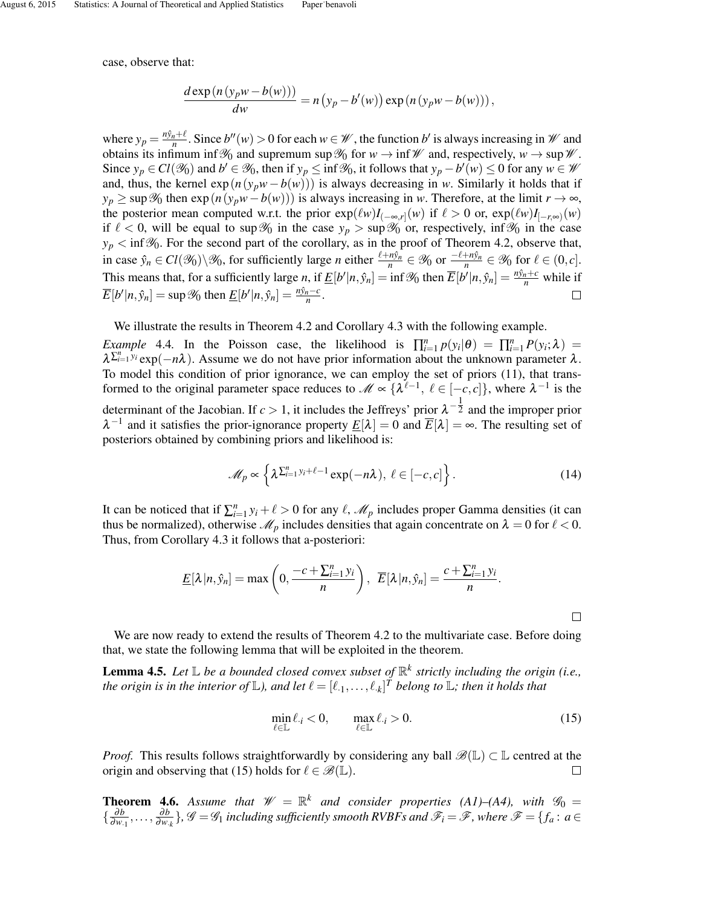case, observe that:

$$
\frac{d \exp(n(y_p w - b(w)))}{dw} = n(y_p - b'(w)) \exp(n(y_p w - b(w))),
$$

where  $y_p = \frac{n\hat{y}_n + \ell}{n}$ . Since  $b''(w) > 0$  for each  $w \in \mathcal{W}$ , the function  $b'$  is always increasing in  $\mathcal{W}$  and obtains its infimum inf% and supremum sup% for  $w \to \inf \mathcal{W}$  and, respectively,  $w \to \sup \mathcal{W}$ . Since  $y_p \in Cl(\mathcal{Y}_0)$  and  $b' \in \mathcal{Y}_0$ , then if  $y_p \le \inf \mathcal{Y}_0$ , it follows that  $y_p - b'(w) \le 0$  for any  $w \in \mathcal{W}$ and, thus, the kernel  $exp(n(y_p w - b(w)))$  is always decreasing in *w*. Similarly it holds that if  $y_p \ge \sup \mathscr{Y}_0$  then  $\exp(n(y_p w - b(w)))$  is always increasing in *w*. Therefore, at the limit  $r \to \infty$ , the posterior mean computed w.r.t. the prior  $exp(\ell w)I_{(-\infty,r]}(w)$  if  $\ell > 0$  or,  $exp(\ell w)I_{[-r,\infty)}(w)$ if  $\ell < 0$ , will be equal to sup  $\mathcal{Y}_0$  in the case  $y_p > \sup \mathcal{Y}_0$  or, respectively, inf $\mathcal{Y}_0$  in the case  $y_p < \inf \mathscr{Y}_0$ . For the second part of the corollary, as in the proof of Theorem 4.2, observe that, in case  $\hat{y}_n \in Cl(\mathcal{Y}_0) \setminus \mathcal{Y}_0$ , for sufficiently large *n* either  $\frac{\ell + n\hat{y}_n}{n} \in \mathcal{Y}_0$  or  $\frac{-\ell + n\hat{y}_n}{n} \in \mathcal{Y}_0$  for  $\ell \in (0, c]$ . This means that, for a sufficiently large *n*, if  $\underline{E}[b'|n, \hat{y}_n] = \inf \mathcal{Y}_0$  then  $\overline{E}[b'|n, \hat{y}_n] = \frac{n\hat{y}_n + c}{n}$  while if  $\overline{E}[b'|n, \hat{y}_n] = \sup \mathcal{Y}_0$  then  $\underline{E}[b'|n, \hat{y}_n] = \frac{n\hat{y}_n - c}{n}$ .  $\Box$ 

We illustrate the results in Theorem 4.2 and Corollary 4.3 with the following example.

*Example* 4.4. In the Poisson case, the likelihood is  $\prod_{i=1}^{n} p(y_i|\theta) = \prod_{i=1}^{n} P(y_i;\lambda)$  $\lambda^{\sum_{i=1}^{n} y_i}$ exp(−*n* $\lambda$ ). Assume we do not have prior information about the unknown parameter  $\lambda$ . To model this condition of prior ignorance, we can employ the set of priors (11), that transformed to the original parameter space reduces to  $\mathcal{M} \propto {\{\lambda^{\ell-1}, \ell \in [-c,c]\}}$ , where  $\lambda^{-1}$  is the determinant of the Jacobian. If  $c > 1$ , it includes the Jeffreys' prior  $\lambda^{-\frac{1}{2}}$  and the improper prior  $\lambda^{-1}$  and it satisfies the prior-ignorance property  $\underline{E}[\lambda] = 0$  and  $\overline{E}[\lambda] = \infty$ . The resulting set of posteriors obtained by combining priors and likelihood is:

$$
\mathscr{M}_p \propto \left\{ \lambda^{\sum_{i=1}^n y_i + \ell - 1} \exp(-n\lambda), \ \ell \in [-c, c] \right\}.
$$
 (14)

It can be noticed that if  $\sum_{i=1}^{n} y_i + \ell > 0$  for any  $\ell$ ,  $\mathcal{M}_p$  includes proper Gamma densities (it can thus be normalized), otherwise  $\mathcal{M}_p$  includes densities that again concentrate on  $\lambda = 0$  for  $\ell < 0$ . Thus, from Corollary 4.3 it follows that a-posteriori:

$$
\underline{E}[\lambda | n, \hat{y}_n] = \max\left(0, \frac{-c + \sum_{i=1}^n y_i}{n}\right), \ \ \overline{E}[\lambda | n, \hat{y}_n] = \frac{c + \sum_{i=1}^n y_i}{n}.
$$

We are now ready to extend the results of Theorem 4.2 to the multivariate case. Before doing that, we state the following lemma that will be exploited in the theorem.

Lemma 4.5. *Let* L *be a bounded closed convex subset of* R *k strictly including the origin (i.e.,* the origin is in the interior of  $\mathbb{L}$ ), and let  $\ell = [\ell_{\cdot 1}, \ldots, \ell_{\cdot k}]^T$  belong to  $\mathbb{L}$ ; then it holds that

$$
\min_{\ell \in \mathbb{L}} \ell_{\cdot i} < 0, \qquad \max_{\ell \in \mathbb{L}} \ell_{\cdot i} > 0. \tag{15}
$$

 $\Box$ 

*Proof.* This results follows straightforwardly by considering any ball  $\mathscr{B}(\mathbb{L}) \subset \mathbb{L}$  centred at the origin and observing that (15) holds for  $\ell \in \mathscr{B}(\mathbb{L})$ .  $\Box$ 

**Theorem 4.6.** Assume that  $\mathcal{W} = \mathbb{R}^k$  and consider properties (A1)–(A4), with  $\mathcal{G}_0 =$  $\frac{\partial b}{\partial w}$  $\frac{\partial b}{\partial w_{\cdot 1}}, \ldots, \frac{\partial b}{\partial w_{\cdot}}$  $\frac{\partial b}{\partial w_{.k}}\}$ ,  $\mathscr{G} = \mathscr{G}_1$  *including sufficiently smooth RVBFs and*  $\mathscr{F}_i = \mathscr{F}$ *, where*  $\mathscr{F} = \{f_a : a \in$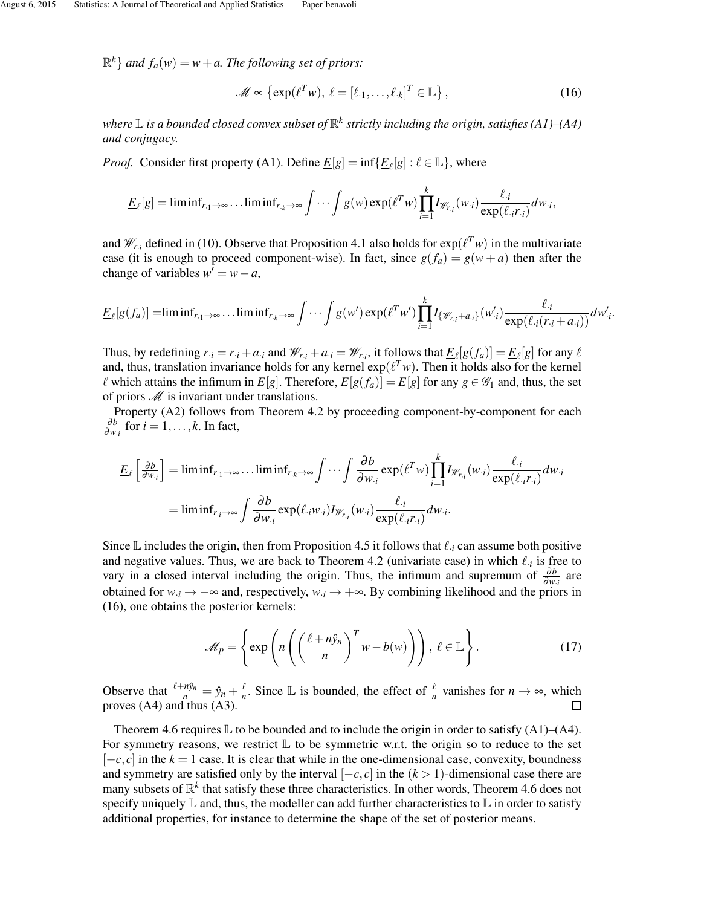$\mathbb{R}^k$  *and*  $f_a(w) = w + a$ . The following set of priors:

$$
\mathscr{M} \propto \left\{ \exp(\ell^T w), \ \ell = [\ell_{1}, \dots, \ell_{k}]^T \in \mathbb{L} \right\},\tag{16}
$$

where  $\mathbb L$  is a bounded closed convex subset of  $\mathbb R^k$  strictly including the origin, satisfies (A1)–(A4) *and conjugacy.*

*Proof.* Consider first property (A1). Define  $\underline{E}[g] = \inf \{ \underline{E}_{\ell}[g] : \ell \in \mathbb{L} \}$ , where

$$
\underline{E}_{\ell}[g] = \liminf_{r_{\cdot 1} \to \infty} \dots \liminf_{r_{\cdot k} \to \infty} \int \dots \int g(w) \exp(\ell^T w) \prod_{i=1}^k I_{\mathscr{W}_{r_i}}(w_{\cdot i}) \frac{\ell_{\cdot i}}{\exp(\ell_{\cdot i} r_{\cdot i})} dw_{\cdot i},
$$

and  $\mathcal{W}_{r,i}$  defined in (10). Observe that Proposition 4.1 also holds for  $exp(\ell^T w)$  in the multivariate case (it is enough to proceed component-wise). In fact, since  $g(f_a) = g(w + a)$  then after the change of variables  $w' = w - a$ ,

$$
\underline{E}_{\ell}[g(f_a)] = \liminf_{r_{\cdot 1} \to \infty} \dots \liminf_{r_{\cdot k} \to \infty} \int \dots \int g(w') \exp(\ell^T w') \prod_{i=1}^k I_{\{\mathscr{W}_{r_i} + a_i\}}(w'_{\cdot i}) \frac{\ell_{\cdot i}}{\exp(\ell_{\cdot i}(r_{\cdot i} + a_{\cdot i}))} dw'_{\cdot i}.
$$

Thus, by redefining  $r_{i} = r_{i} + a_{i}$  and  $\mathcal{W}_{r,i} + a_{i} = \mathcal{W}_{r,i}$ , it follows that  $\underline{E}_{\ell}[g(f_a)] = \underline{E}_{\ell}[g]$  for any  $\ell$ and, thus, translation invariance holds for any kernel  $exp(\ell^T w)$ . Then it holds also for the kernel  $\ell$  which attains the infimum in  $\underline{E}[g]$ . Therefore,  $\underline{E}[g(f_a)] = \underline{E}[g]$  for any  $g \in \mathscr{G}_1$  and, thus, the set of priors  $M$  is invariant under translations.

Property (A2) follows from Theorem 4.2 by proceeding component-by-component for each ∂*b*  $\frac{\partial b}{\partial w_{\cdot i}}$  for  $i = 1, \ldots, k$ . In fact,

$$
\underline{E}_{\ell} \left[ \frac{\partial b}{\partial w_i} \right] = \liminf_{r_{.1} \to \infty} \dots \liminf_{r_{.k} \to \infty} \int \dots \int \frac{\partial b}{\partial w_{.i}} \exp(\ell^T w) \prod_{i=1}^k I_{\mathscr{W}_{r_i}}(w_{.i}) \frac{\ell_{.i}}{\exp(\ell_{.i} r_{.i})} dw_{.i}
$$

$$
= \liminf_{r_{.i} \to \infty} \int \frac{\partial b}{\partial w_{.i}} \exp(\ell_{.i} w_{.i}) I_{\mathscr{W}_{r_i}}(w_{.i}) \frac{\ell_{.i}}{\exp(\ell_{.i} r_{.i})} dw_{.i}.
$$

Since  $\mathbb L$  includes the origin, then from Proposition 4.5 it follows that  $\ell_i$  can assume both positive and negative values. Thus, we are back to Theorem 4.2 (univariate case) in which  $\ell_i$  is free to vary in a closed interval including the origin. Thus, the infimum and supremum of  $\frac{\partial b}{\partial w_i}$  are obtained for  $w_i \rightarrow -\infty$  and, respectively,  $w_i \rightarrow +\infty$ . By combining likelihood and the priors in (16), one obtains the posterior kernels:

$$
\mathcal{M}_p = \left\{ \exp\left(n\left(\left(\frac{\ell + n\hat{y}_n}{n}\right)^T w - b(w)\right)\right), \ \ell \in \mathbb{L} \right\}.
$$
 (17)

Observe that  $\frac{\ell+n\hat{y}_n}{n} = \hat{y}_n + \frac{\ell}{n}$  $\frac{\ell}{n}$ . Since L is bounded, the effect of  $\frac{\ell}{n}$  vanishes for *n* → ∞, which proves (A4) and thus (A3).

Theorem 4.6 requires  $\mathbb L$  to be bounded and to include the origin in order to satisfy (A1)–(A4). For symmetry reasons, we restrict  $\mathbb L$  to be symmetric w.r.t. the origin so to reduce to the set  $[-c, c]$  in the  $k = 1$  case. It is clear that while in the one-dimensional case, convexity, boundness and symmetry are satisfied only by the interval  $[-c, c]$  in the  $(k > 1)$ -dimensional case there are many subsets of  $\mathbb{R}^k$  that satisfy these three characteristics. In other words, Theorem 4.6 does not specify uniquely  $\mathbb L$  and, thus, the modeller can add further characteristics to  $\mathbb L$  in order to satisfy additional properties, for instance to determine the shape of the set of posterior means.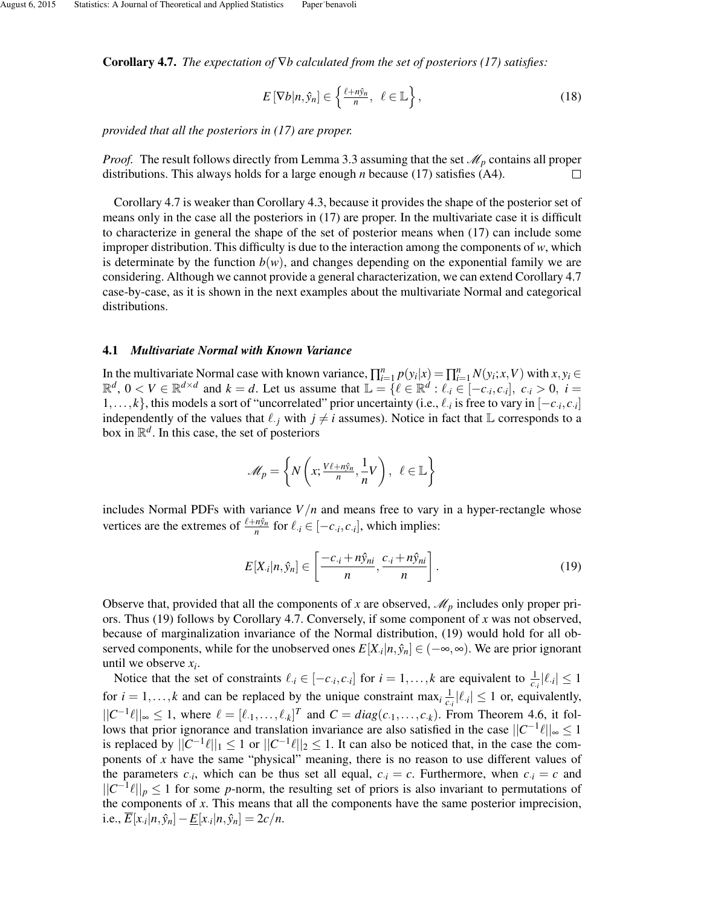Corollary 4.7. *The expectation of* ∇*b calculated from the set of posteriors (17) satisfies:*

$$
E\left[\nabla b|n,\hat{y}_n\right] \in \left\{\frac{\ell + n\hat{y}_n}{n}, \ \ell \in \mathbb{L}\right\},\tag{18}
$$

*provided that all the posteriors in (17) are proper.*

*Proof.* The result follows directly from Lemma 3.3 assuming that the set  $\mathcal{M}_p$  contains all proper distributions. This always holds for a large enough *n* because (17) satisfies (A4).  $\Box$ 

Corollary 4.7 is weaker than Corollary 4.3, because it provides the shape of the posterior set of means only in the case all the posteriors in (17) are proper. In the multivariate case it is difficult to characterize in general the shape of the set of posterior means when (17) can include some improper distribution. This difficulty is due to the interaction among the components of *w*, which is determinate by the function  $b(w)$ , and changes depending on the exponential family we are considering. Although we cannot provide a general characterization, we can extend Corollary 4.7 case-by-case, as it is shown in the next examples about the multivariate Normal and categorical distributions.

#### 4.1 *Multivariate Normal with Known Variance*

In the multivariate Normal case with known variance,  $\prod_{i=1}^{n} p(y_i|x) = \prod_{i=1}^{n} N(y_i; x, V)$  with  $x, y_i \in$  $\mathbb{R}^d$ ,  $0 < V \in \mathbb{R}^{d \times d}$  and  $k = d$ . Let us assume that  $\mathbb{L} = \{ \ell \in \mathbb{R}^d : \ell_i \in [-c_i, c_i], \; c_i > 0, \; i = 1, \ldots, d\}$ 1,..., *k*}, this models a sort of "uncorrelated" prior uncertainty (i.e.,  $\ell_i$  is free to vary in  $[-c_i, c_i]$ independently of the values that  $\ell_{\cdot j}$  with  $j \neq i$  assumes). Notice in fact that  $\mathbb L$  corresponds to a box in  $\mathbb{R}^d$ . In this case, the set of posteriors

$$
\mathscr{M}_p = \left\{ N\left(x; \frac{V\ell + n\hat{y}_n}{n}, \frac{1}{n}V\right), \ \ell \in \mathbb{L} \right\}
$$

includes Normal PDFs with variance  $V/n$  and means free to vary in a hyper-rectangle whose vertices are the extremes of  $\frac{\ell+n\hat{y}_n}{n}$  for  $\ell_i \in [-c_i, c_i]$ , which implies:

$$
E[X_{\cdot i}|n,\hat{y}_n] \in \left[\frac{-c_{\cdot i} + n\hat{y}_{ni}}{n}, \frac{c_{\cdot i} + n\hat{y}_{ni}}{n}\right].
$$
\n(19)

Observe that, provided that all the components of x are observed,  $\mathcal{M}_p$  includes only proper priors. Thus (19) follows by Corollary 4.7. Conversely, if some component of *x* was not observed, because of marginalization invariance of the Normal distribution, (19) would hold for all observed components, while for the unobserved ones  $E[X_i|n, \hat{y}_n] \in (-\infty, \infty)$ . We are prior ignorant until we observe *x<sup>i</sup>* .

Notice that the set of constraints  $\ell_{\cdot i} \in [-c_{\cdot i}, c_{\cdot i}]$  for  $i = 1, ..., k$  are equivalent to  $\frac{1}{c_i} |\ell_{\cdot i}| \leq 1$ for  $i = 1, ..., k$  and can be replaced by the unique constraint max<sub>*i*</sub>  $\frac{1}{c_i}$   $|\ell_i| \le 1$  or, equivalently,  $||C^{-1}\ell||_{\infty}$  ≤ 1, where  $\ell = [\ell_1, \ldots, \ell_k]^T$  and  $C = diag(c_1, \ldots, c_k)$ . From Theorem 4.6, it follows that prior ignorance and translation invariance are also satisfied in the case  $||C^{-1}\ell||_{\infty} \leq 1$ is replaced by  $||C^{-1}\ell||_1 \leq 1$  or  $||C^{-1}\ell||_2 \leq 1$ . It can also be noticed that, in the case the components of *x* have the same "physical" meaning, there is no reason to use different values of the parameters  $c_i$ , which can be thus set all equal,  $c_i = c$ . Furthermore, when  $c_i = c$  and  $||C^{-1}\ell||_p \leq 1$  for some *p*-norm, the resulting set of priors is also invariant to permutations of the components of *x*. This means that all the components have the same posterior imprecision,  $i.e., \overline{E}[x_{i}|n, \hat{y}_{n}] - \underline{E}[x_{i}|n, \hat{y}_{n}] = 2c/n.$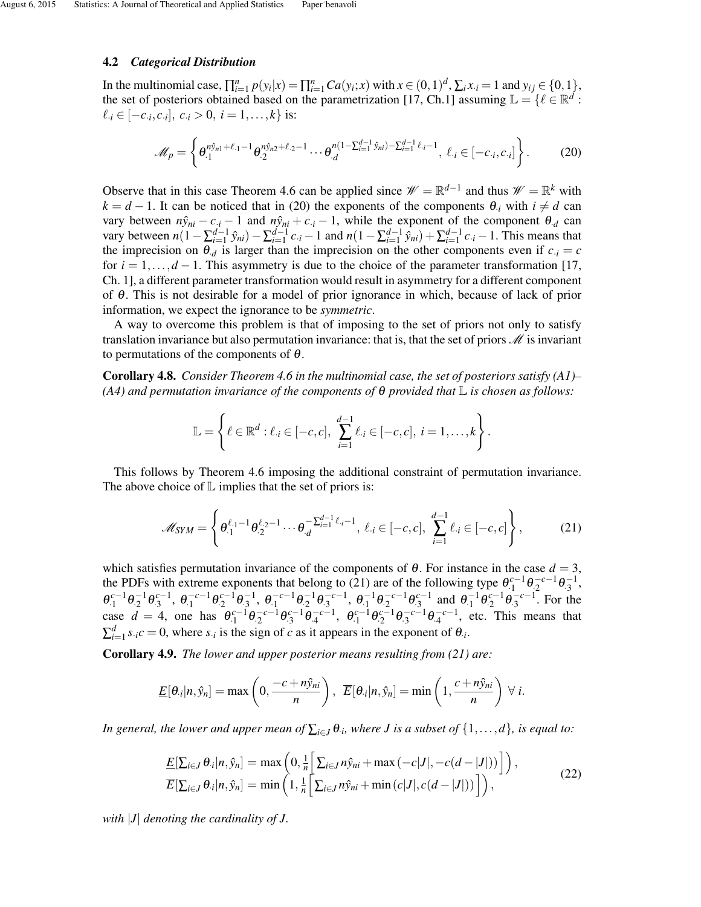#### 4.2 *Categorical Distribution*

In the multinomial case,  $\prod_{i=1}^n p(y_i|x) = \prod_{i=1}^n Ca(y_i;x)$  with  $x \in (0,1)^d$ ,  $\sum_i x_i = 1$  and  $y_{ij} \in \{0,1\}$ , the set of posteriors obtained based on the parametrization [17, Ch.1] assuming  $\mathbb{L} = \{ \ell \in \mathbb{R}^d :$  $\ell_{\cdot i} \in [-c_{\cdot i}, c_{\cdot i}], \ c_{\cdot i} > 0, \ i = 1, \ldots, k$  is:

$$
\mathcal{M}_p = \left\{ \theta_{\cdot 1}^{n \hat{y}_{n1} + \ell_{\cdot 1} - 1} \theta_{\cdot 2}^{n \hat{y}_{n2} + \ell_{\cdot 2} - 1} \cdots \theta_{\cdot d}^{n(1 - \sum_{i=1}^{d-1} \hat{y}_{ni}) - \sum_{i=1}^{d-1} \ell_{\cdot i} - 1}, \ell_{\cdot i} \in [-c_{\cdot i}, c_{\cdot i}] \right\}.
$$
 (20)

Observe that in this case Theorem 4.6 can be applied since  $\mathcal{W} = \mathbb{R}^{d-1}$  and thus  $\mathcal{W} = \mathbb{R}^k$  with  $k = d - 1$ . It can be noticed that in (20) the exponents of the components  $\theta_{i}$  with  $i \neq d$  can vary between  $n\hat{y}_{ni} - c_{i} - 1$  and  $n\hat{y}_{ni} + c_{i} - 1$ , while the exponent of the component  $\theta_d$  can vary between  $n(1-\sum_{i=1}^{d-1} \hat{y}_{ni}) - \sum_{i=1}^{d-1} c_{i} - 1$  and  $n(1-\sum_{i=1}^{d-1} \hat{y}_{ni}) + \sum_{i=1}^{d-1} c_{i} - 1$ . This means that the imprecision on  $\theta_d$  is larger than the imprecision on the other components even if  $c_i = c$ for  $i = 1, \ldots, d - 1$ . This asymmetry is due to the choice of the parameter transformation [17, Ch. 1], a different parameter transformation would result in asymmetry for a different component of θ. This is not desirable for a model of prior ignorance in which, because of lack of prior information, we expect the ignorance to be *symmetric*.

A way to overcome this problem is that of imposing to the set of priors not only to satisfy translation invariance but also permutation invariance: that is, that the set of priors  $\mathcal M$  is invariant to permutations of the components of  $\theta$ .

Corollary 4.8. *Consider Theorem 4.6 in the multinomial case, the set of posteriors satisfy (A1)– (A4) and permutation invariance of the components of* θ *provided that* L *is chosen as follows:*

$$
\mathbb{L} = \left\{ \ell \in \mathbb{R}^d : \ell_{\cdot i} \in [-c, c], \sum_{i=1}^{d-1} \ell_{\cdot i} \in [-c, c], i = 1, \ldots, k \right\}.
$$

This follows by Theorem 4.6 imposing the additional constraint of permutation invariance. The above choice of  $\mathbb L$  implies that the set of priors is:

$$
\mathcal{M}_{SYM} = \left\{ \theta_{\cdot 1}^{\ell_{\cdot 1} - 1} \theta_{\cdot 2}^{\ell_{\cdot 2} - 1} \cdots \theta_{\cdot d}^{-\sum_{i=1}^{d-1} \ell_{\cdot i} - 1}, \ \ell_{\cdot i} \in [-c, c], \ \sum_{i=1}^{d-1} \ell_{\cdot i} \in [-c, c] \right\},\tag{21}
$$

which satisfies permutation invariance of the components of  $\theta$ . For instance in the case  $d = 3$ , the PDFs with extreme exponents that belong to (21) are of the following type  $\theta_1^{c-1} \theta_2^{-c-1} \theta_3^{-1}$ ,  $\theta_{\cdot1}^{c-1} \theta_{\cdot2}^{c-1} \theta_{\cdot3}^{c-1}$ ,  $\theta_{\cdot1}^{-c-1} \theta_{\cdot2}^{-1} \theta_{\cdot3}^{-c-1}$ ,  $\theta_{\cdot1}^{-1} \theta_{\cdot2}^{-c-1} \theta_{\cdot3}^{c-1}$  and  $\theta_{\cdot1}^{-1} \theta_{\cdot2}^{c-1} \theta_{\cdot3}^{-c-1}$ . For the case  $d = 4$ , one has  $\theta_{\cdot1}^{c-1} \theta_{\cdot2}^{c-1} \theta_{\cdot3}^{c-1} \theta_{\cdot4}^{c-1}$ ,  $\theta_{\cdot1}^{c-1} \theta_{\cdot2}^{c-1} \theta_{\cdot3}^{c-1} \theta_{\cdot4}^{c-1}$ , etc. This means that  $\sum_{i=1}^{d} s_i c = 0$ , where  $s_i$  is the sign of *c* as it appears in the exponent of  $\theta_i$ .

Corollary 4.9. *The lower and upper posterior means resulting from (21) are:*

$$
\underline{E}[\theta_i|n,\hat{y}_n] = \max\left(0,\frac{-c+n\hat{y}_{ni}}{n}\right), \ \ \overline{E}[\theta_i|n,\hat{y}_n] = \min\left(1,\frac{c+n\hat{y}_{ni}}{n}\right) \ \forall \ i.
$$

*In general, the lower and upper mean of*  $\sum_{i\in J}\theta_i$ , where *J* is a subset of  $\{1,\ldots,d\}$ , is equal to:

$$
\underline{E}[\sum_{i\in J}\theta_{i}|n,\hat{y}_{n}] = \max\left(0,\frac{1}{n}\bigg[\sum_{i\in J}n\hat{y}_{ni} + \max(-c|J|,-c(d-|J|))\bigg]\right),
$$
\n
$$
\overline{E}[\sum_{i\in J}\theta_{i}|n,\hat{y}_{n}] = \min\left(1,\frac{1}{n}\bigg[\sum_{i\in J}n\hat{y}_{ni} + \min(c|J|,c(d-|J|))\bigg]\right),
$$
\n(22)

*with* |*J*| *denoting the cardinality of J.*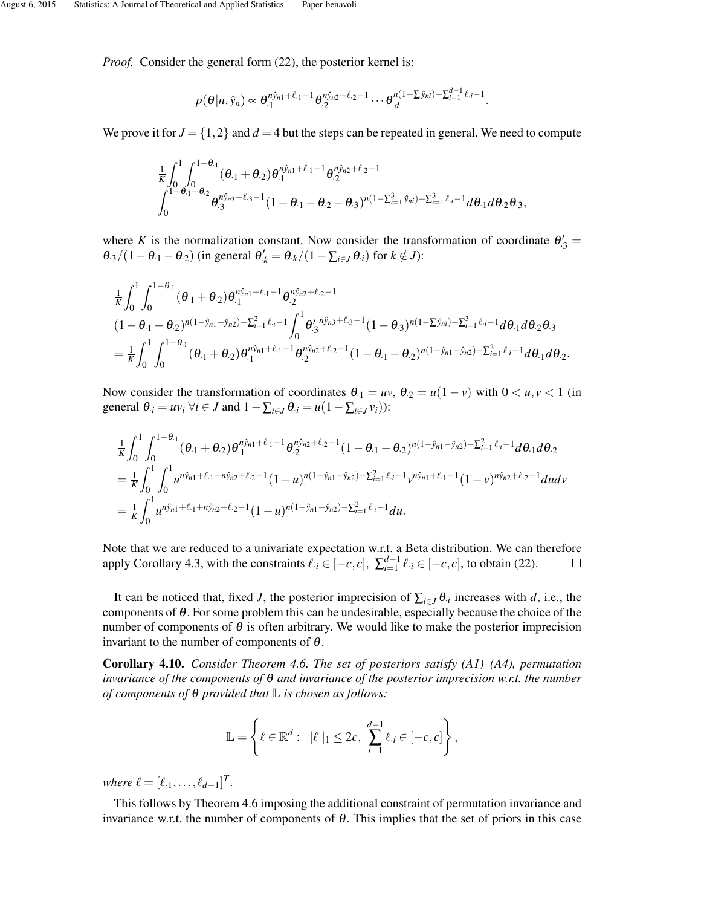*Proof.* Consider the general form (22), the posterior kernel is:

$$
p(\theta|n,\hat{y}_n) \propto \theta_{\cdot,1}^{n\hat{y}_{n1}+\ell_{\cdot1}-1}\theta_{\cdot,2}^{n\hat{y}_{n2}+\ell_{\cdot2}-1}\cdots\theta_{\cdot,d}^{n(1-\sum \hat{y}_{ni})-\sum_{i=1}^{d-1}\ell_{\cdot i}-1}.
$$

We prove it for  $J = \{1, 2\}$  and  $d = 4$  but the steps can be repeated in general. We need to compute

$$
\frac{1}{K}\int_{0}^{1}\int_{0}^{1-\theta_{1}}(\theta_{1}+\theta_{2})\theta_{1}^{n\hat{y}_{n1}+\ell_{1}-1}\theta_{2}^{n\hat{y}_{n2}+\ell_{2}-1} \\ \int_{0}^{1-\theta_{1}-\theta_{2}}\theta_{3}^{n\hat{y}_{n3}+\ell_{3}-1}(1-\theta_{1}-\theta_{2}-\theta_{3})^{n(1-\sum_{i=1}^{3}\hat{y}_{ni})-\sum_{i=1}^{3}\ell_{i}-1}d\theta_{1}d\theta_{2}\theta_{3},
$$

where *K* is the normalization constant. Now consider the transformation of coordinate  $\theta'_{3}$  =  $\theta_{.3}/(1-\theta_{.1}-\theta_{.2})$  (in general  $\theta'_{.k} = \theta_{.k}/(1-\sum_{i \in J} \theta_{.i})$  for  $k \notin J$ ):

$$
\frac{1}{K} \int_{0}^{1} \int_{0}^{1-\theta_{\cdot 1}} (\theta_{\cdot 1} + \theta_{\cdot 2}) \theta_{\cdot 1}^{n\hat{y}_{n1} + \ell_{\cdot 1} - 1} \theta_{\cdot 2}^{n\hat{y}_{n2} + \ell_{\cdot 2} - 1} \n(1 - \theta_{\cdot 1} - \theta_{\cdot 2})^{n(1 - \hat{y}_{n1} - \hat{y}_{n2}) - \sum_{i=1}^{2} \ell_{\cdot i} - 1} \int_{0}^{1} \theta_{\cdot 3}^{\prime} \theta_{\cdot 3}^{n\hat{y}_{n3} + \ell_{\cdot 3} - 1} (1 - \theta_{\cdot 3})^{n(1 - \sum \hat{y}_{ni}) - \sum_{i=1}^{3} \ell_{\cdot i} - 1} d\theta_{\cdot 1} d\theta_{\cdot 2} \theta_{\cdot 3} \n= \frac{1}{K} \int_{0}^{1} \int_{0}^{1-\theta_{\cdot 1}} (\theta_{\cdot 1} + \theta_{\cdot 2}) \theta_{\cdot 1}^{n\hat{y}_{n1} + \ell_{\cdot 1} - 1} \theta_{\cdot 2}^{n\hat{y}_{n2} + \ell_{\cdot 2} - 1} (1 - \theta_{\cdot 1} - \theta_{\cdot 2})^{n(1 - \hat{y}_{n1} - \hat{y}_{n2}) - \sum_{i=1}^{2} \ell_{\cdot i} - 1} d\theta_{\cdot 1} d\theta_{\cdot 2}.
$$

Now consider the transformation of coordinates  $\theta_1 = uv$ ,  $\theta_2 = u(1 - v)$  with  $0 \lt u, v \lt 1$  (in general  $\theta_i = uv_i \,\forall i \in J$  and  $1 - \sum_{i \in J} \theta_i = u(1 - \sum_{i \in J} v_i)$ :

$$
\frac{1}{K} \int_{0}^{1} \int_{0}^{1-\theta_{\cdot 1}} (\theta_{\cdot 1} + \theta_{\cdot 2}) \theta_{\cdot 1}^{n\hat{y}_{n1} + \ell_{\cdot 1} - 1} \theta_{\cdot 2}^{n\hat{y}_{n2} + \ell_{\cdot 2} - 1} (1 - \theta_{\cdot 1} - \theta_{\cdot 2})^{n(1 - \hat{y}_{n1} - \hat{y}_{n2}) - \sum_{i=1}^{2} \ell_{\cdot i} - 1} d\theta_{\cdot 1} d\theta_{\cdot 2}
$$
\n
$$
= \frac{1}{K} \int_{0}^{1} \int_{0}^{1} u^{n\hat{y}_{n1} + \ell_{\cdot 1} + n\hat{y}_{n2} + \ell_{\cdot 2} - 1} (1 - u)^{n(1 - \hat{y}_{n1} - \hat{y}_{n2}) - \sum_{i=1}^{2} \ell_{\cdot i} - 1} v^{n\hat{y}_{n1} + \ell_{\cdot 1} - 1} (1 - v)^{n\hat{y}_{n2} + \ell_{\cdot 2} - 1} dudv
$$
\n
$$
= \frac{1}{K} \int_{0}^{1} u^{n\hat{y}_{n1} + \ell_{\cdot 1} + n\hat{y}_{n2} + \ell_{\cdot 2} - 1} (1 - u)^{n(1 - \hat{y}_{n1} - \hat{y}_{n2}) - \sum_{i=1}^{2} \ell_{\cdot i} - 1} du.
$$

Note that we are reduced to a univariate expectation w.r.t. a Beta distribution. We can therefore apply Corollary 4.3, with the constraints  $\ell_i \in [-c, c]$ ,  $\sum_{i=1}^{d-1} \ell_i \in [-c, c]$ , to obtain (22).  $\Box$ 

It can be noticed that, fixed *J*, the posterior imprecision of  $\sum_{i \in J} \theta_i$  increases with *d*, i.e., the components of  $\theta$ . For some problem this can be undesirable, especially because the choice of the number of components of  $\theta$  is often arbitrary. We would like to make the posterior imprecision invariant to the number of components of  $\theta$ .

Corollary 4.10. *Consider Theorem 4.6. The set of posteriors satisfy (A1)–(A4), permutation invariance of the components of* θ *and invariance of the posterior imprecision w.r.t. the number of components of* θ *provided that* L *is chosen as follows:*

$$
\mathbb{L} = \left\{ \ell \in \mathbb{R}^d : \ ||\ell||_1 \leq 2c, \ \sum_{i=1}^{d-1} \ell_{\cdot i} \in [-c, c] \right\},\
$$

*where*  $\ell = [\ell_{1}, \ldots, \ell_{d-1}]^{T}$ .

This follows by Theorem 4.6 imposing the additional constraint of permutation invariance and invariance w.r.t. the number of components of  $\theta$ . This implies that the set of priors in this case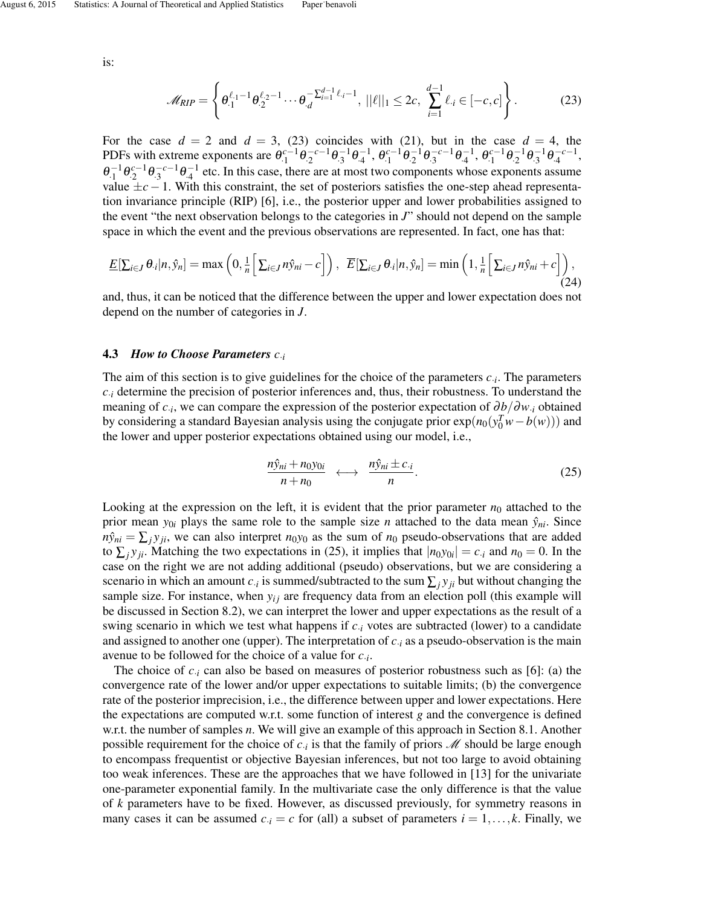is:

$$
\mathscr{M}_{RIP} = \left\{ \theta_{\cdot 1}^{\ell_{\cdot 1} - 1} \theta_{\cdot 2}^{\ell_{\cdot 2} - 1} \cdots \theta_{\cdot d}^{-\sum_{i=1}^{d-1} \ell_{\cdot i} - 1}, \ ||\ell||_1 \leq 2c, \ \sum_{i=1}^{d-1} \ell_{\cdot i} \in [-c, c] \right\}.
$$
 (23)

For the case  $d = 2$  and  $d = 3$ , (23) coincides with (21), but in the case  $d = 4$ , the PDFs with extreme exponents are  $\theta_{1}^{c-1} \theta_{2}^{-c-1} \theta_{3}^{-1} \theta_{4}^{-1}$ ,  $\theta_{1}^{c-1} \theta_{2}^{-1} \theta_{3}^{-c-1} \theta_{4}^{-1}$ ,  $\theta_{1}^{c-1} \theta_{2}^{-1} \theta_{3}^{-1} \theta_{4}^{-c-1}$ ,  $\theta_1^{-1}\theta_2^{-1}\theta_3^{-c-1}\theta_4^{-1}$  etc. In this case, there are at most two components whose exponents assume value ±*c*−1. With this constraint, the set of posteriors satisfies the one-step ahead representation invariance principle (RIP) [6], i.e., the posterior upper and lower probabilities assigned to the event "the next observation belongs to the categories in *J*" should not depend on the sample space in which the event and the previous observations are represented. In fact, one has that:

$$
\underline{E}[\sum_{i\in J}\theta_{\cdot i}|n,\hat{y}_n]=\max\left(0,\frac{1}{n}\Big[\sum_{i\in J}n\hat{y}_{ni}-c\Big]\right),\ \ \overline{E}[\sum_{i\in J}\theta_{\cdot i}|n,\hat{y}_n]=\min\left(1,\frac{1}{n}\Big[\sum_{i\in J}n\hat{y}_{ni}+c\Big]\right),\tag{24}
$$

and, thus, it can be noticed that the difference between the upper and lower expectation does not depend on the number of categories in *J*.

### 4.3 *How to Choose Parameters c*·*<sup>i</sup>*

The aim of this section is to give guidelines for the choice of the parameters *c*·*<sup>i</sup>* . The parameters  $c_i$  determine the precision of posterior inferences and, thus, their robustness. To understand the meaning of *c*·*<sup>i</sup>* , we can compare the expression of the posterior expectation of ∂*b*/∂*w*·*<sup>i</sup>* obtained by considering a standard Bayesian analysis using the conjugate prior  $exp(n_0(y_0^T w - b(w)))$  and the lower and upper posterior expectations obtained using our model, i.e.,

$$
\frac{n\hat{y}_{ni} + n_0 y_{0i}}{n + n_0} \longleftrightarrow \frac{n\hat{y}_{ni} \pm c_{\cdot i}}{n}.
$$
 (25)

Looking at the expression on the left, it is evident that the prior parameter  $n_0$  attached to the prior mean  $y_{0i}$  plays the same role to the sample size *n* attached to the data mean  $\hat{y}_{ni}$ . Since  $n\hat{y}_{ni} = \sum_j y_{ji}$ , we can also interpret  $n_0y_0$  as the sum of  $n_0$  pseudo-observations that are added to  $\sum_j y_{ji}$ . Matching the two expectations in (25), it implies that  $|n_0y_{0i}| = c_{i}$  and  $n_0 = 0$ . In the case on the right we are not adding additional (pseudo) observations, but we are considering a scenario in which an amount  $c_i$  is summed/subtracted to the sum  $\sum_j y_{ji}$  but without changing the sample size. For instance, when *yi j* are frequency data from an election poll (this example will be discussed in Section 8.2), we can interpret the lower and upper expectations as the result of a swing scenario in which we test what happens if  $c_i$  votes are subtracted (lower) to a candidate and assigned to another one (upper). The interpretation of  $c_i$  as a pseudo-observation is the main avenue to be followed for the choice of a value for *c*·*<sup>i</sup>* .

The choice of  $c_i$  can also be based on measures of posterior robustness such as [6]: (a) the convergence rate of the lower and/or upper expectations to suitable limits; (b) the convergence rate of the posterior imprecision, i.e., the difference between upper and lower expectations. Here the expectations are computed w.r.t. some function of interest *g* and the convergence is defined w.r.t. the number of samples *n*. We will give an example of this approach in Section 8.1. Another possible requirement for the choice of  $c_i$  is that the family of priors  $\mathcal M$  should be large enough to encompass frequentist or objective Bayesian inferences, but not too large to avoid obtaining too weak inferences. These are the approaches that we have followed in [13] for the univariate one-parameter exponential family. In the multivariate case the only difference is that the value of *k* parameters have to be fixed. However, as discussed previously, for symmetry reasons in many cases it can be assumed  $c_i = c$  for (all) a subset of parameters  $i = 1, \ldots, k$ . Finally, we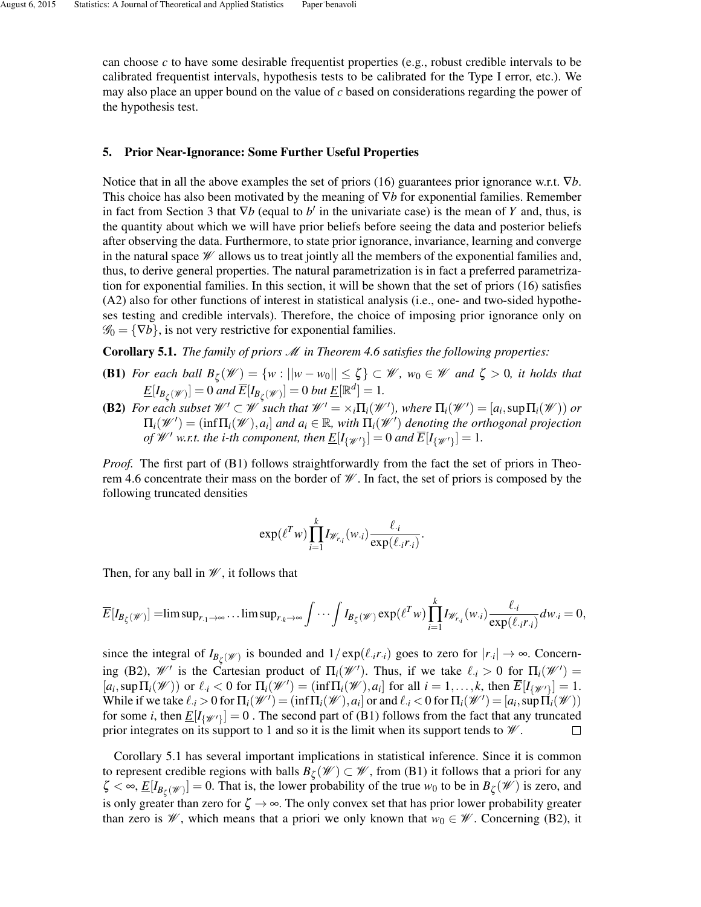can choose *c* to have some desirable frequentist properties (e.g., robust credible intervals to be calibrated frequentist intervals, hypothesis tests to be calibrated for the Type I error, etc.). We may also place an upper bound on the value of *c* based on considerations regarding the power of the hypothesis test.

### 5. Prior Near-Ignorance: Some Further Useful Properties

Notice that in all the above examples the set of priors (16) guarantees prior ignorance w.r.t. ∇*b*. This choice has also been motivated by the meaning of ∇*b* for exponential families. Remember in fact from Section 3 that  $\nabla b$  (equal to  $b'$  in the univariate case) is the mean of *Y* and, thus, is the quantity about which we will have prior beliefs before seeing the data and posterior beliefs after observing the data. Furthermore, to state prior ignorance, invariance, learning and converge in the natural space  $\mathcal W$  allows us to treat jointly all the members of the exponential families and, thus, to derive general properties. The natural parametrization is in fact a preferred parametrization for exponential families. In this section, it will be shown that the set of priors (16) satisfies (A2) also for other functions of interest in statistical analysis (i.e., one- and two-sided hypotheses testing and credible intervals). Therefore, the choice of imposing prior ignorance only on  $\mathscr{G}_0 = \{\nabla b\}$ , is not very restrictive for exponential families.

Corollary 5.1. *The family of priors* M *in Theorem 4.6 satisfies the following properties:*

- **(B1)** *For each ball*  $B_{\zeta}(\mathscr{W}) = \{w : ||w w_0|| \leq \zeta\} \subset \mathscr{W}$ ,  $w_0 \in \mathscr{W}$  and  $\zeta > 0$ , it holds that  $\underline{E}[I_{B_{\zeta}(\mathscr{W})}] = 0$  *and*  $\overline{E}[I_{B_{\zeta}(\mathscr{W})}] = 0$  *but*  $\underline{E}[\mathbb{R}^d] = 1$ *.*
- **(B2)** For each subset  $\mathcal{W}' \subset \mathcal{W}$  such that  $\mathcal{W}' = \times_i \Pi_i(\mathcal{W}')$ , where  $\Pi_i(\mathcal{W}') = [a_i, \sup \Pi_i(\mathcal{W})]$  or  $\Pi_i(\mathscr{W}') = (\inf \Pi_i(\mathscr{W}), a_i]$  and  $a_i \in \mathbb{R}$ , with  $\Pi_i(\mathscr{W}')$  denoting the orthogonal projection *of*  $W'$  w.r.t. the *i*-th component, then  $\underline{E}[I_{\{\mathscr{W}'\}}] = 0$  and  $\overline{E}[I_{\{\mathscr{W}'\}}] = 1$ .

*Proof.* The first part of (B1) follows straightforwardly from the fact the set of priors in Theorem 4.6 concentrate their mass on the border of  $\mathcal W$ . In fact, the set of priors is composed by the following truncated densities

$$
\exp(\ell^T w) \prod_{i=1}^k I_{\mathscr{W}_{r,i}}(w_i) \frac{\ell_{\cdot i}}{\exp(\ell_{\cdot i}r_{\cdot i})}.
$$

Then, for any ball in  $\mathcal W$ , it follows that

$$
\overline{E}[I_{B_{\zeta}(\mathscr{W})}]=\limsup_{r_{.1}\to\infty}\dots\limsup_{r_{.k}\to\infty}\int\cdots\int I_{B_{\zeta}(\mathscr{W})}\exp(\ell^T w)\prod_{i=1}^kI_{\mathscr{W}_{r_i}}(w_i)\frac{\ell_{.i}}{\exp(\ell_{.i}r_{.i})}dw_{.i}=0,
$$

since the integral of  $I_{B_\zeta}(\mathscr{W})$  is bounded and  $1/\exp(\ell_i r_i)$  goes to zero for  $|r_i| \to \infty$ . Concerning (B2),  $\mathcal{W}'$  is the Cartesian product of  $\Pi_i(\mathcal{W}')$ . Thus, if we take  $\ell_i > 0$  for  $\Pi_i(\mathcal{W}') =$  $[a_i, \sup \Pi_i(\mathcal{W}))$  or  $\ell_i < 0$  for  $\Pi_i(\mathcal{W}') = (\inf \Pi_i(\mathcal{W}), a_i]$  for all  $i = 1, ..., k$ , then  $\overline{E}[I_{\{\mathcal{W}'\}}] = 1$ . While if we take  $\ell_i > 0$  for  $\Pi_i(\mathcal{W}') = (\inf \Pi_i(\mathcal{W}), a_i]$  or and  $\ell_i < 0$  for  $\Pi_i(\mathcal{W}') = [a_i, \sup \Pi_i(\mathcal{W})]$ for some *i*, then  $\underline{E}[I_{\{\mathscr{W}'\}}]=0$  . The second part of (B1) follows from the fact that any truncated prior integrates on its support to 1 and so it is the limit when its support tends to  $\mathcal W$ .  $\Box$ 

Corollary 5.1 has several important implications in statistical inference. Since it is common to represent credible regions with balls  $B_{\zeta}(\mathscr{W}) \subset \mathscr{W}$ , from (B1) it follows that a priori for any  $\zeta < \infty$ ,  $\underline{E}[I_{B_{\zeta}(\mathscr{W})}] = 0$ . That is, the lower probability of the true  $w_0$  to be in  $B_{\zeta}(\mathscr{W})$  is zero, and is only greater than zero for  $\zeta \to \infty$ . The only convex set that has prior lower probability greater than zero is  $\mathcal W$ , which means that a priori we only known that  $w_0 \in \mathcal W$ . Concerning (B2), it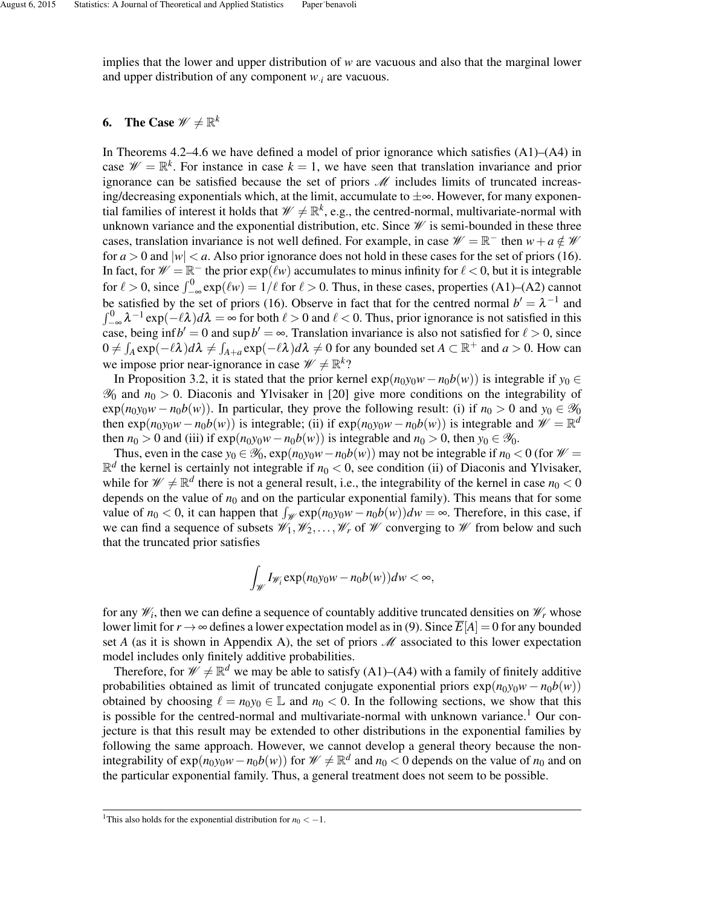implies that the lower and upper distribution of *w* are vacuous and also that the marginal lower and upper distribution of any component *w*·*<sup>i</sup>* are vacuous.

# 6. The Case  $\mathscr{W} \neq \mathbb{R}^k$

In Theorems  $4.2-4.6$  we have defined a model of prior ignorance which satisfies  $(A1)$ – $(A4)$  in case  $\mathcal{W} = \mathbb{R}^k$ . For instance in case  $k = 1$ , we have seen that translation invariance and prior ignorance can be satisfied because the set of priors  $M$  includes limits of truncated increasing/decreasing exponentials which, at the limit, accumulate to  $\pm \infty$ . However, for many exponential families of interest it holds that  $\mathscr{W} \neq \mathbb{R}^k$ , e.g., the centred-normal, multivariate-normal with unknown variance and the exponential distribution, etc. Since  $\mathcal W$  is semi-bounded in these three cases, translation invariance is not well defined. For example, in case  $\mathcal{W} = \mathbb{R}^-$  then  $w + a \notin \mathcal{W}$ for  $a > 0$  and  $|w| < a$ . Also prior ignorance does not hold in these cases for the set of priors (16). In fact, for  $\mathcal{W} = \mathbb{R}^-$  the prior  $exp(\ell w)$  accumulates to minus infinity for  $\ell < 0$ , but it is integrable for  $\ell > 0$ , since  $\int_{-\infty}^{0} \exp(\ell w) = 1/\ell$  for  $\ell > 0$ . Thus, in these cases, properties (A1)–(A2) cannot be satisfied by the set of priors (16). Observe in fact that for the centred normal  $b' = \lambda^{-1}$  and  $\int_{-\infty}^{0} \lambda^{-1} \exp(-\ell \lambda) d\lambda = \infty$  for both  $\ell > 0$  and  $\ell < 0$ . Thus, prior ignorance is not satisfied in this case, being inf  $b' = 0$  and sup  $b' = \infty$ . Translation invariance is also not satisfied for  $\ell > 0$ , since  $0 \neq \int_A \exp(-\ell \lambda) d\lambda \neq \int_{A+a} \exp(-\ell \lambda) d\lambda \neq 0$  for any bounded set  $A \subset \mathbb{R}^+$  and  $a > 0$ . How can we impose prior near-ignorance in case  $\mathscr{W} \neq \mathbb{R}^k$ ?

In Proposition 3.2, it is stated that the prior kernel  $exp(n_0y_0w - n_0b(w))$  is integrable if *y*<sub>0</sub> ∈  $\mathcal{Y}_0$  and  $n_0 > 0$ . Diaconis and Ylvisaker in [20] give more conditions on the integrability of  $\exp(n_0y_0w - n_0b(w))$ . In particular, they prove the following result: (i) if  $n_0 > 0$  and  $y_0 \in \mathcal{Y}_0$ then  $exp(n_0y_0w - n_0b(w))$  is integrable; (ii) if  $exp(n_0y_0w - n_0b(w))$  is integrable and  $\mathcal{W} = \mathbb{R}^d$ then  $n_0 > 0$  and (iii) if  $exp(n_0y_0w - n_0b(w))$  is integrable and  $n_0 > 0$ , then  $y_0 \in \mathscr{Y}_0$ .

Thus, even in the case  $y_0 \in \mathcal{Y}_0$ ,  $\exp(n_0y_0w-n_0b(w))$  may not be integrable if  $n_0 < 0$  (for  $\mathcal{W} =$  $\mathbb{R}^d$  the kernel is certainly not integrable if  $n_0 < 0$ , see condition (ii) of Diaconis and Ylvisaker, while for  $\mathcal{W} \neq \mathbb{R}^d$  there is not a general result, i.e., the integrability of the kernel in case  $n_0 < 0$ depends on the value of  $n_0$  and on the particular exponential family). This means that for some value of  $n_0 < 0$ , it can happen that  $\int_{\mathcal{W}} \exp(n_0 y_0 w - n_0 b(w)) dw = \infty$ . Therefore, in this case, if we can find a sequence of subsets  $\mathscr{W}_1, \mathscr{W}_2, \ldots, \mathscr{W}_r$  of  $\mathscr{W}$  converging to  $\mathscr{W}$  from below and such that the truncated prior satisfies

$$
\int_{\mathscr{W}} I_{\mathscr{W}_i} \exp(n_0 y_0 w - n_0 b(w)) dw < \infty,
$$

for any  $\mathscr{W}_i$ , then we can define a sequence of countably additive truncated densities on  $\mathscr{W}_r$  whose lower limit for  $r \to \infty$  defines a lower expectation model as in (9). Since  $\overline{E}[A] = 0$  for any bounded set *A* (as it is shown in Appendix A), the set of priors  $\mathcal{M}$  associated to this lower expectation model includes only finitely additive probabilities.

Therefore, for  $\mathscr{W} \neq \mathbb{R}^d$  we may be able to satisfy (A1)–(A4) with a family of finitely additive probabilities obtained as limit of truncated conjugate exponential priors  $exp(n_0y_0w - n_0b(w))$ obtained by choosing  $\ell = n_0 y_0 \in \mathbb{L}$  and  $n_0 < 0$ . In the following sections, we show that this is possible for the centred-normal and multivariate-normal with unknown variance.<sup>1</sup> Our conjecture is that this result may be extended to other distributions in the exponential families by following the same approach. However, we cannot develop a general theory because the nonintegrability of  $exp(n_0y_0w - n_0b(w))$  for  $\mathcal{W} \neq \mathbb{R}^d$  and  $n_0 < 0$  depends on the value of  $n_0$  and on the particular exponential family. Thus, a general treatment does not seem to be possible.

<sup>&</sup>lt;sup>1</sup>This also holds for the exponential distribution for  $n_0 < -1$ .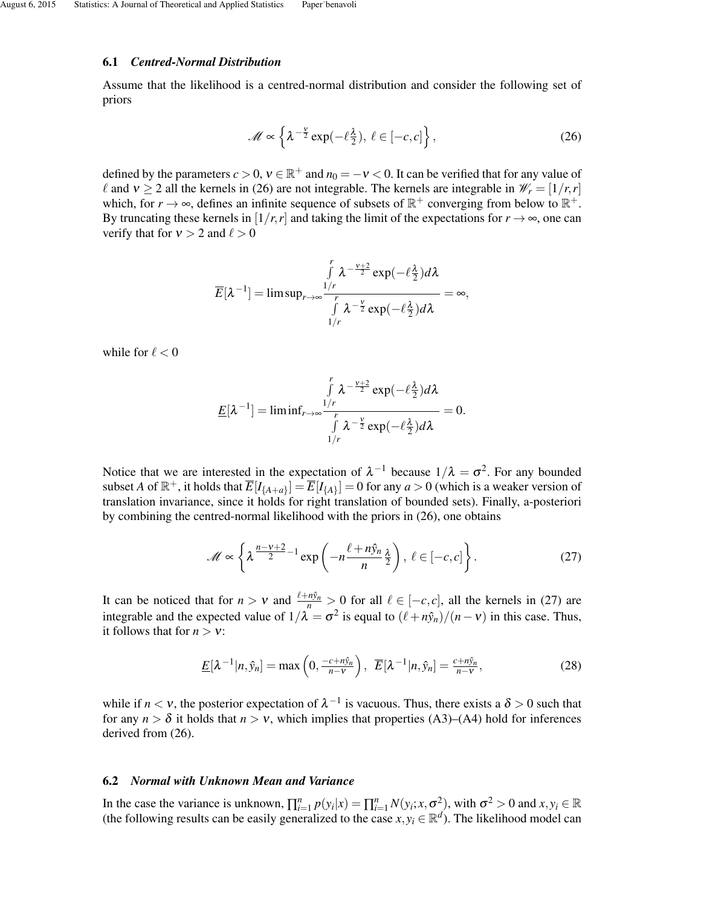### 6.1 *Centred-Normal Distribution*

Assume that the likelihood is a centred-normal distribution and consider the following set of priors

$$
\mathscr{M} \propto \left\{ \lambda^{-\frac{v}{2}} \exp(-\ell \frac{\lambda}{2}), \ \ell \in [-c, c] \right\},\tag{26}
$$

defined by the parameters  $c > 0$ ,  $v \in \mathbb{R}^+$  and  $n_0 = -v < 0$ . It can be verified that for any value of  $\ell$  and  $v \ge 2$  all the kernels in (26) are not integrable. The kernels are integrable in  $\mathcal{W}_r = [1/r, r]$ which, for  $r \to \infty$ , defines an infinite sequence of subsets of  $\mathbb{R}^+$  converging from below to  $\mathbb{R}^+$ . By truncating these kernels in  $[1/r, r]$  and taking the limit of the expectations for  $r \rightarrow \infty$ , one can verify that for  $v > 2$  and  $\ell > 0$ 

$$
\overline{E}[\lambda^{-1}] = \limsup_{r \to \infty} \frac{\int_{1/r}^{r} \lambda^{-\frac{\nu+2}{2}} \exp(-\ell \frac{\lambda}{2}) d\lambda}{\int_{1/r}^{r} \lambda^{-\frac{\nu}{2}} \exp(-\ell \frac{\lambda}{2}) d\lambda} = \infty,
$$

while for  $\ell < 0$ 

$$
\underline{E}[\lambda^{-1}] = \liminf_{r \to \infty} \frac{\int_{1/r}^{r} \lambda^{-\frac{\nu+2}{2}} \exp(-\ell \frac{\lambda}{2}) d\lambda}{\int_{1/r}^{r} \lambda^{-\frac{\nu}{2}} \exp(-\ell \frac{\lambda}{2}) d\lambda} = 0.
$$

Notice that we are interested in the expectation of  $\lambda^{-1}$  because  $1/\lambda = \sigma^2$ . For any bounded subset *A* of  $\mathbb{R}^+$ , it holds that  $\overline{E}[I_{\{A+a\}}] = \overline{E}[I_{\{A\}}] = 0$  for any  $a > 0$  (which is a weaker version of translation invariance, since it holds for right translation of bounded sets). Finally, a-posteriori by combining the centred-normal likelihood with the priors in (26), one obtains

$$
\mathscr{M} \propto \left\{ \lambda^{\frac{n-\nu+2}{2}-1} \exp\left(-n\frac{\ell+n\hat{y}_n}{n}\frac{\lambda}{2}\right), \ \ell \in [-c, c] \right\}.
$$
 (27)

It can be noticed that for  $n > v$  and  $\frac{\ell + n\hat{y}_n}{n} > 0$  for all  $\ell \in [-c, c]$ , all the kernels in (27) are integrable and the expected value of  $1/\lambda = \sigma^2$  is equal to  $(\ell + n\hat{y}_n)/(n - v)$  in this case. Thus, it follows that for  $n > v$ :

$$
\underline{E}[\lambda^{-1}|n,\hat{y}_n] = \max\left(0, \frac{-c + n\hat{y}_n}{n - v}\right), \ \ \overline{E}[\lambda^{-1}|n,\hat{y}_n] = \frac{c + n\hat{y}_n}{n - v},\tag{28}
$$

while if  $n < v$ , the posterior expectation of  $\lambda^{-1}$  is vacuous. Thus, there exists a  $\delta > 0$  such that for any  $n > \delta$  it holds that  $n > v$ , which implies that properties (A3)–(A4) hold for inferences derived from (26).

## 6.2 *Normal with Unknown Mean and Variance*

In the case the variance is unknown,  $\prod_{i=1}^{n} p(y_i|x) = \prod_{i=1}^{n} N(y_i; x, \sigma^2)$ , with  $\sigma^2 > 0$  and  $x, y_i \in \mathbb{R}$ (the following results can be easily generalized to the case  $x, y_i \in \mathbb{R}^d$ ). The likelihood model can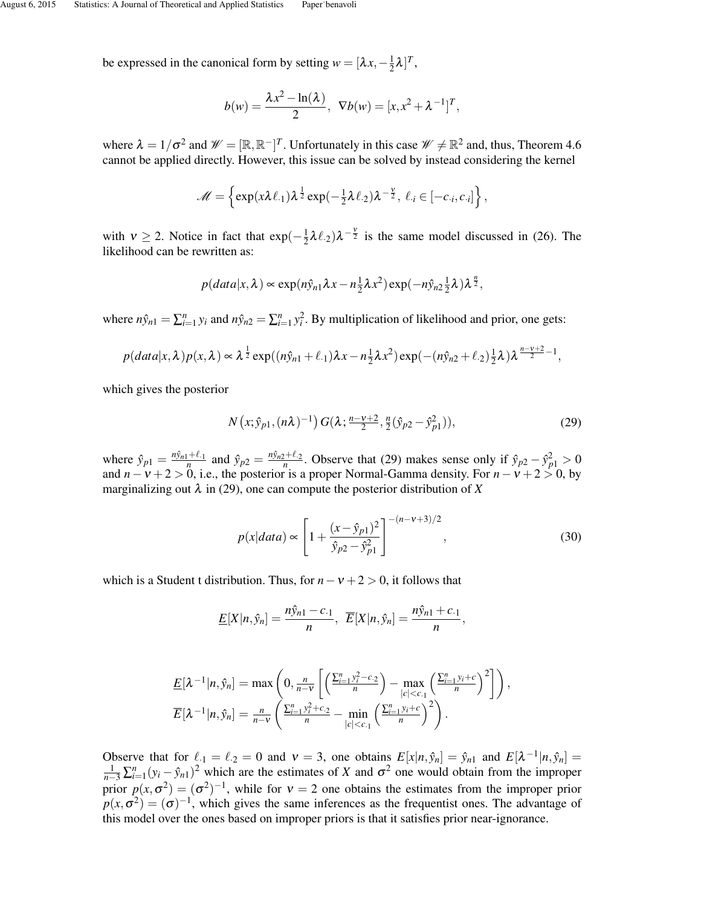be expressed in the canonical form by setting  $w = [\lambda x, -\frac{1}{2}]$  $\frac{1}{2}\lambda$ ]<sup>T</sup>,

$$
b(w) = \frac{\lambda x^2 - \ln(\lambda)}{2}
$$
,  $\nabla b(w) = [x, x^2 + \lambda^{-1}]^T$ ,

where  $\lambda = 1/\sigma^2$  and  $\mathcal{W} = [\mathbb{R}, \mathbb{R}^-]^T$ . Unfortunately in this case  $\mathcal{W} \neq \mathbb{R}^2$  and, thus, Theorem 4.6 cannot be applied directly. However, this issue can be solved by instead considering the kernel

$$
\mathscr{M} = \left\{ \exp(x\lambda \ell_{\cdot 1}) \lambda^{\frac{1}{2}} \exp(-\frac{1}{2}\lambda \ell_{\cdot 2}) \lambda^{-\frac{v}{2}}, \ell_{\cdot i} \in [-c_{\cdot i}, c_{\cdot i}] \right\},\
$$

with  $v \ge 2$ . Notice in fact that  $\exp(-\frac{1}{2})$  $\frac{1}{2}\lambda\ell_{.2}\lambda^{-\frac{v}{2}}$  is the same model discussed in (26). The likelihood can be rewritten as:

$$
p(data|x, \lambda) \propto \exp(n\hat{y}_{n1}\lambda x - n\frac{1}{2}\lambda x^2) \exp(-n\hat{y}_{n2}\frac{1}{2}\lambda)\lambda^{\frac{n}{2}},
$$

where  $n\hat{y}_{n1} = \sum_{i=1}^{n} y_i$  and  $n\hat{y}_{n2} = \sum_{i=1}^{n} y_i^2$ . By multiplication of likelihood and prior, one gets:

$$
p(data|x,\lambda)p(x,\lambda) \propto \lambda^{\frac{1}{2}} \exp((n\hat{y}_{n1}+\ell_{\cdot1})\lambda x - n\frac{1}{2}\lambda x^2) \exp(-(n\hat{y}_{n2}+\ell_{\cdot2})\frac{1}{2}\lambda)\lambda^{\frac{n-\nu+2}{2}-1},
$$

which gives the posterior

$$
N(x; \hat{y}_{p1}, (n\lambda)^{-1}) G(\lambda; \frac{n-\nu+2}{2}, \frac{n}{2}(\hat{y}_{p2} - \hat{y}_{p1}^2)), \qquad (29)
$$

where  $\hat{y}_{p1} = \frac{n\hat{y}_{n1} + \ell_1}{n}$  and  $\hat{y}_{p2} = \frac{n\hat{y}_{n2} + \ell_2}{n}$ . Observe that (29) makes sense only if  $\hat{y}_{p2} - \hat{y}_{p1}^2 > 0$ and *n*−ν +2 > 0, i.e., the posterior is a proper Normal-Gamma density. For *n*−ν +2 > 0, by marginalizing out  $\lambda$  in (29), one can compute the posterior distribution of  $X$ 

$$
p(x|data) \propto \left[1 + \frac{(x - \hat{y}_{p1})^2}{\hat{y}_{p2} - \hat{y}_{p1}^2}\right]^{-(n - \nu + 3)/2},\tag{30}
$$

which is a Student t distribution. Thus, for  $n - v + 2 > 0$ , it follows that

$$
\underline{E}[X|n,\hat{y}_n] = \frac{n\hat{y}_{n1} - c_{\cdot 1}}{n}, \ \ \overline{E}[X|n,\hat{y}_n] = \frac{n\hat{y}_{n1} + c_{\cdot 1}}{n},
$$

$$
\underline{E}[\lambda^{-1}|n,\hat{y}_n] = \max\left(0, \frac{n}{n-v} \left[ \left(\frac{\sum_{i=1}^n y_i^2 - c_2}{n}\right) - \max_{|c| < c_1} \left(\frac{\sum_{i=1}^n y_i + c}{n}\right)^2 \right] \right),
$$
\n
$$
\overline{E}[\lambda^{-1}|n,\hat{y}_n] = \frac{n}{n-v} \left( \frac{\sum_{i=1}^n y_i^2 + c_2}{n} - \min_{|c| < c_1} \left(\frac{\sum_{i=1}^n y_i + c}{n}\right)^2 \right).
$$

Observe that for  $\ell_1 = \ell_2 = 0$  and  $v = 3$ , one obtains  $E[x|n, \hat{y}_n] = \hat{y}_{n1}$  and  $E[\lambda^{-1}|n, \hat{y}_n] = \frac{1}{n-3} \sum_{i=1}^{n} (y_i - \hat{y}_{n1})^2$  which are the estimates of X and  $\sigma^2$  one would obtain from the improper prior  $p(x, \sigma^2) = (\sigma^2)^{-1}$ , while for  $v = 2$  one obtains the estimates from the improper prior  $p(x, \sigma^2) = (\sigma)^{-1}$ , which gives the same inferences as the frequentist ones. The advantage of this model over the ones based on improper priors is that it satisfies prior near-ignorance.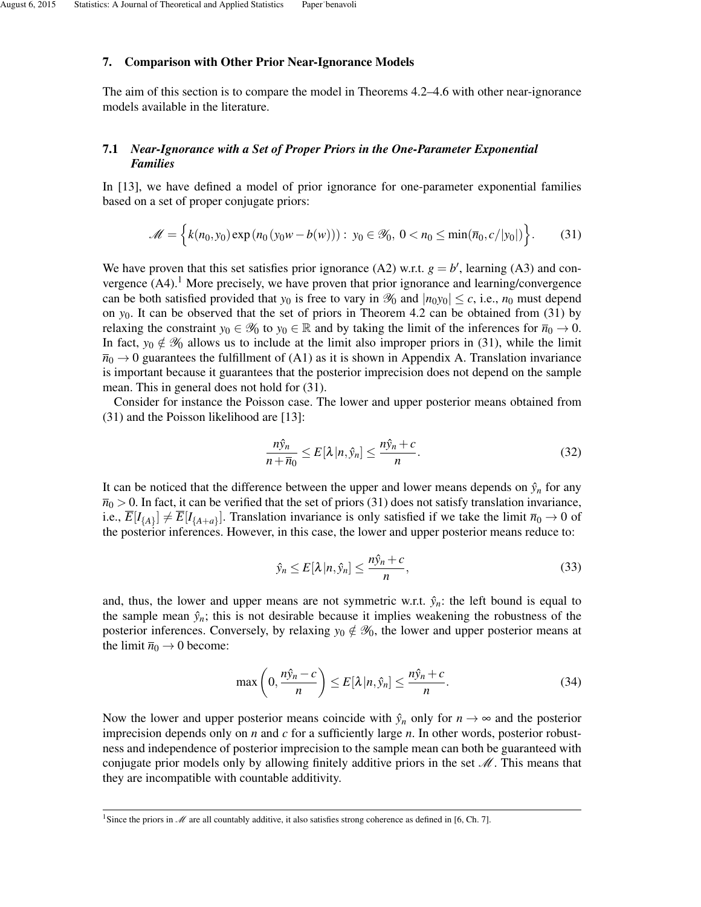### 7. Comparison with Other Prior Near-Ignorance Models

The aim of this section is to compare the model in Theorems 4.2–4.6 with other near-ignorance models available in the literature.

# 7.1 *Near-Ignorance with a Set of Proper Priors in the One-Parameter Exponential Families*

In [13], we have defined a model of prior ignorance for one-parameter exponential families based on a set of proper conjugate priors:

$$
\mathscr{M} = \left\{ k(n_0, y_0) \exp(n_0(y_0w - b(w))) : y_0 \in \mathscr{Y}_0, \ 0 < n_0 \le \min(\overline{n}_0, c/|y_0|) \right\}. \tag{31}
$$

We have proven that this set satisfies prior ignorance (A2) w.r.t.  $g = b'$ , learning (A3) and convergence  $(A4)$ .<sup>1</sup> More precisely, we have proven that prior ignorance and learning/convergence can be both satisfied provided that  $y_0$  is free to vary in  $\mathcal{Y}_0$  and  $|n_0y_0| \leq c$ , i.e.,  $n_0$  must depend on *y*0. It can be observed that the set of priors in Theorem 4.2 can be obtained from (31) by relaxing the constraint  $y_0 \in \mathcal{Y}_0$  to  $y_0 \in \mathbb{R}$  and by taking the limit of the inferences for  $\overline{n}_0 \to 0$ . In fact,  $y_0 \notin \mathcal{Y}_0$  allows us to include at the limit also improper priors in (31), while the limit  $\bar{n}_0 \rightarrow 0$  guarantees the fulfillment of (A1) as it is shown in Appendix A. Translation invariance is important because it guarantees that the posterior imprecision does not depend on the sample mean. This in general does not hold for (31).

Consider for instance the Poisson case. The lower and upper posterior means obtained from (31) and the Poisson likelihood are [13]:

$$
\frac{n\hat{y}_n}{n+\overline{n}_0} \le E[\lambda|n,\hat{y}_n] \le \frac{n\hat{y}_n+c}{n}.\tag{32}
$$

It can be noticed that the difference between the upper and lower means depends on  $\hat{y}_n$  for any  $\overline{n}_0 > 0$ . In fact, it can be verified that the set of priors (31) does not satisfy translation invariance, i.e.,  $\overline{E}[I_{\{A\}}] \neq \overline{E}[I_{\{A+a\}}]$ . Translation invariance is only satisfied if we take the limit  $\overline{n}_0 \to 0$  of the posterior inferences. However, in this case, the lower and upper posterior means reduce to:

$$
\hat{y}_n \le E[\lambda | n, \hat{y}_n] \le \frac{n\hat{y}_n + c}{n},\tag{33}
$$

and, thus, the lower and upper means are not symmetric w.r.t.  $\hat{y}_n$ : the left bound is equal to the sample mean  $\hat{y}_n$ ; this is not desirable because it implies weakening the robustness of the posterior inferences. Conversely, by relaxing  $y_0 \notin \mathscr{Y}_0$ , the lower and upper posterior means at the limit  $\bar{n}_0 \rightarrow 0$  become:

$$
\max\left(0,\frac{n\hat{y}_n-c}{n}\right) \le E[\lambda|n,\hat{y}_n] \le \frac{n\hat{y}_n+c}{n}.\tag{34}
$$

Now the lower and upper posterior means coincide with  $\hat{y}_n$  only for  $n \to \infty$  and the posterior imprecision depends only on *n* and *c* for a sufficiently large *n*. In other words, posterior robustness and independence of posterior imprecision to the sample mean can both be guaranteed with conjugate prior models only by allowing finitely additive priors in the set  $\mathcal{M}$ . This means that they are incompatible with countable additivity.

<sup>&</sup>lt;sup>1</sup>Since the priors in  $M$  are all countably additive, it also satisfies strong coherence as defined in [6, Ch. 7].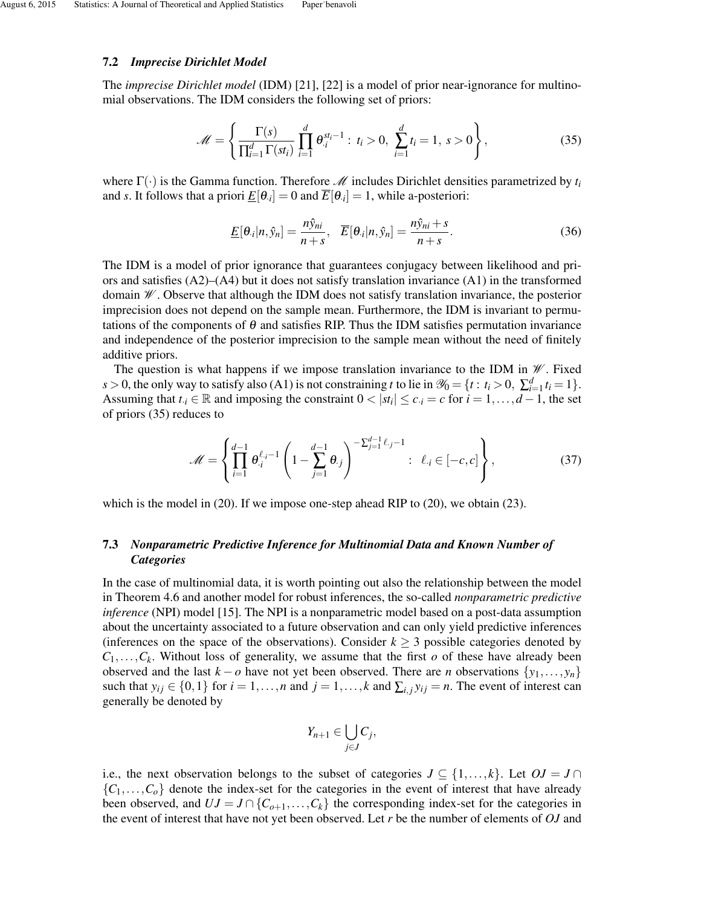### 7.2 *Imprecise Dirichlet Model*

The *imprecise Dirichlet model* (IDM) [21], [22] is a model of prior near-ignorance for multinomial observations. The IDM considers the following set of priors:

$$
\mathcal{M} = \left\{ \frac{\Gamma(s)}{\prod_{i=1}^{d} \Gamma(st_i)} \prod_{i=1}^{d} \theta_i^{st_i - 1} : t_i > 0, \sum_{i=1}^{d} t_i = 1, s > 0 \right\},
$$
(35)

where  $\Gamma(\cdot)$  is the Gamma function. Therefore *M* includes Dirichlet densities parametrized by  $t_i$ and *s*. It follows that a priori  $\underline{E}[\theta_i] = 0$  and  $\overline{E}[\theta_i] = 1$ , while a-posteriori:

$$
\underline{E}[\theta_{\cdot i}|n,\hat{y}_n] = \frac{n\hat{y}_{ni}}{n+s}, \quad \overline{E}[\theta_{\cdot i}|n,\hat{y}_n] = \frac{n\hat{y}_{ni}+s}{n+s}.\tag{36}
$$

The IDM is a model of prior ignorance that guarantees conjugacy between likelihood and priors and satisfies (A2)–(A4) but it does not satisfy translation invariance (A1) in the transformed domain  $\mathcal W$ . Observe that although the IDM does not satisfy translation invariance, the posterior imprecision does not depend on the sample mean. Furthermore, the IDM is invariant to permutations of the components of  $\theta$  and satisfies RIP. Thus the IDM satisfies permutation invariance and independence of the posterior imprecision to the sample mean without the need of finitely additive priors.

The question is what happens if we impose translation invariance to the IDM in  $\mathcal W$ . Fixed *s* > 0, the only way to satisfy also (A1) is not constraining *t* to lie in  $\mathcal{Y}_0 = \{t : t_i > 0, \sum_{i=1}^d t_i = 1\}.$ Assuming that  $t_i \in \mathbb{R}$  and imposing the constraint  $0 < |st_i| \le c_{\cdot i} = c$  for  $i = 1, \dots, d-1$ , the set of priors (35) reduces to

$$
\mathcal{M} = \left\{ \prod_{i=1}^{d-1} \theta_{i}^{\ell_{i}-1} \left( 1 - \sum_{j=1}^{d-1} \theta_{j} \right)^{-\sum_{j=1}^{d-1} \ell_{j}-1} : \ell_{i} \in [-c, c] \right\},
$$
(37)

which is the model in (20). If we impose one-step ahead RIP to (20), we obtain (23).

# 7.3 *Nonparametric Predictive Inference for Multinomial Data and Known Number of Categories*

In the case of multinomial data, it is worth pointing out also the relationship between the model in Theorem 4.6 and another model for robust inferences, the so-called *nonparametric predictive inference* (NPI) model [15]. The NPI is a nonparametric model based on a post-data assumption about the uncertainty associated to a future observation and can only yield predictive inferences (inferences on the space of the observations). Consider  $k \geq 3$  possible categories denoted by  $C_1, \ldots, C_k$ . Without loss of generality, we assume that the first *o* of these have already been observed and the last  $k - o$  have not yet been observed. There are *n* observations  $\{y_1, \ldots, y_n\}$ such that  $y_{ij} \in \{0,1\}$  for  $i = 1,\ldots,n$  and  $j = 1,\ldots,k$  and  $\sum_{i,j} y_{ij} = n$ . The event of interest can generally be denoted by

$$
Y_{n+1}\in \bigcup_{j\in J}C_j,
$$

i.e., the next observation belongs to the subset of categories  $J \subseteq \{1, \ldots, k\}$ . Let  $OJ = J \cap$  ${C_1, \ldots, C_0}$  denote the index-set for the categories in the event of interest that have already been observed, and  $UJ = J \cap \{C_{o+1},..., C_k\}$  the corresponding index-set for the categories in the event of interest that have not yet been observed. Let *r* be the number of elements of *OJ* and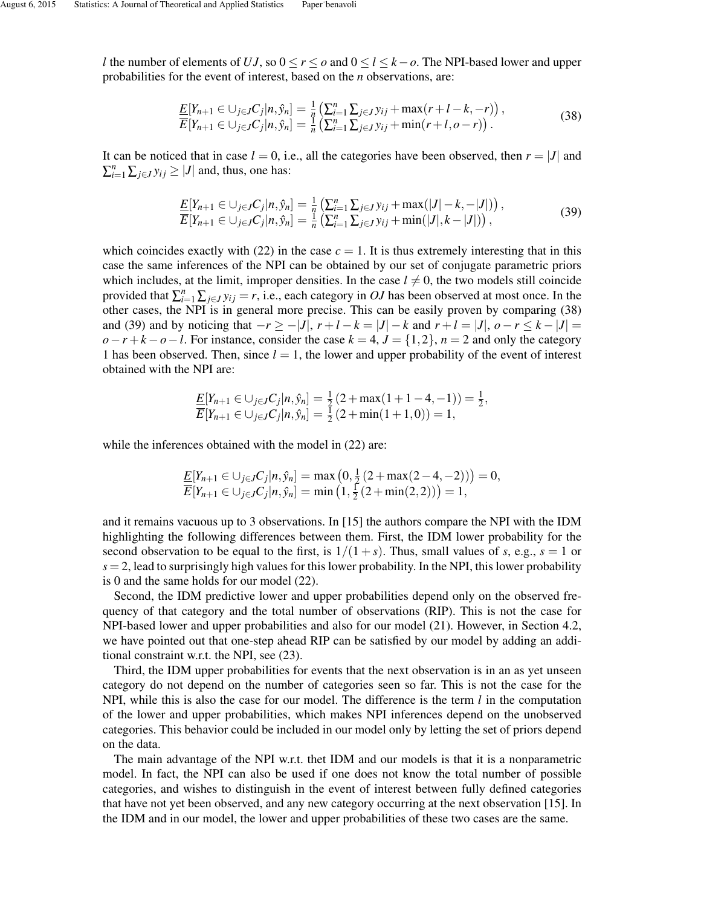*l* the number of elements of *UJ*, so 0 ≤ *r* ≤ *o* and 0 ≤ *l* ≤ *k*−*o*. The NPI-based lower and upper probabilities for the event of interest, based on the *n* observations, are:

$$
\frac{E[Y_{n+1} \in \bigcup_{j \in J} C_j | n, \hat{y}_n] = \frac{1}{n} \left( \sum_{i=1}^n \sum_{j \in J} y_{ij} + \max(r + l - k, -r) \right),}{E[Y_{n+1} \in \bigcup_{j \in J} C_j | n, \hat{y}_n] = \frac{1}{n} \left( \sum_{i=1}^n \sum_{j \in J} y_{ij} + \min(r + l, o - r) \right).}
$$
\n(38)

It can be noticed that in case  $l = 0$ , i.e., all the categories have been observed, then  $r = |J|$  and  $\sum_{i=1}^{n} \sum_{j \in J} y_{ij} \ge |J|$  and, thus, one has:

$$
\frac{E[Y_{n+1} \in \bigcup_{j \in J} C_j | n, \hat{y}_n] = \frac{1}{n} \left( \sum_{i=1}^n \sum_{j \in J} y_{ij} + \max(|J| - k, -|J|) \right),}{E[Y_{n+1} \in \bigcup_{j \in J} C_j | n, \hat{y}_n] = \frac{1}{n} \left( \sum_{i=1}^n \sum_{j \in J} y_{ij} + \min(|J|, k - |J|) \right),}
$$
\n(39)

which coincides exactly with  $(22)$  in the case  $c = 1$ . It is thus extremely interesting that in this case the same inferences of the NPI can be obtained by our set of conjugate parametric priors which includes, at the limit, improper densities. In the case  $l \neq 0$ , the two models still coincide provided that  $\sum_{i=1}^{n} \sum_{j \in J} y_{ij} = r$ , i.e., each category in *OJ* has been observed at most once. In the other cases, the NPI is in general more precise. This can be easily proven by comparing (38) and (39) and by noticing that  $-r \ge -|J|$ ,  $r + l - k = |J| - k$  and  $r + l = |J|$ ,  $o - r \le k - |J| =$  $o-r+k-o-l$ . For instance, consider the case  $k = 4$ ,  $J = \{1,2\}$ ,  $n = 2$  and only the category 1 has been observed. Then, since  $l = 1$ , the lower and upper probability of the event of interest obtained with the NPI are:

$$
\frac{E[Y_{n+1} \in \bigcup_{j \in J} C_j | n, \hat{y}_n]}{E[Y_{n+1} \in \bigcup_{j \in J} C_j | n, \hat{y}_n]} = \frac{1}{2} (2 + \max(1 + 1 - 4, -1)) = \frac{1}{2},
$$

while the inferences obtained with the model in  $(22)$  are:

$$
\frac{E[Y_{n+1} \in \bigcup_{j \in J} C_j | n, \hat{y}_n]}{E[Y_{n+1} \in \bigcup_{j \in J} C_j | n, \hat{y}_n]} = \max(0, \frac{1}{2}(2 + \max(2 - 4, -2))) = 0, \overline{E}[Y_{n+1} \in \bigcup_{j \in J} C_j | n, \hat{y}_n] = \min(1, \frac{1}{2}(2 + \min(2, 2))) = 1,
$$

and it remains vacuous up to 3 observations. In [15] the authors compare the NPI with the IDM highlighting the following differences between them. First, the IDM lower probability for the second observation to be equal to the first, is  $1/(1+s)$ . Thus, small values of *s*, e.g.,  $s = 1$  or  $s = 2$ , lead to surprisingly high values for this lower probability. In the NPI, this lower probability is 0 and the same holds for our model (22).

Second, the IDM predictive lower and upper probabilities depend only on the observed frequency of that category and the total number of observations (RIP). This is not the case for NPI-based lower and upper probabilities and also for our model (21). However, in Section 4.2, we have pointed out that one-step ahead RIP can be satisfied by our model by adding an additional constraint w.r.t. the NPI, see (23).

Third, the IDM upper probabilities for events that the next observation is in an as yet unseen category do not depend on the number of categories seen so far. This is not the case for the NPI, while this is also the case for our model. The difference is the term *l* in the computation of the lower and upper probabilities, which makes NPI inferences depend on the unobserved categories. This behavior could be included in our model only by letting the set of priors depend on the data.

The main advantage of the NPI w.r.t. thet IDM and our models is that it is a nonparametric model. In fact, the NPI can also be used if one does not know the total number of possible categories, and wishes to distinguish in the event of interest between fully defined categories that have not yet been observed, and any new category occurring at the next observation [15]. In the IDM and in our model, the lower and upper probabilities of these two cases are the same.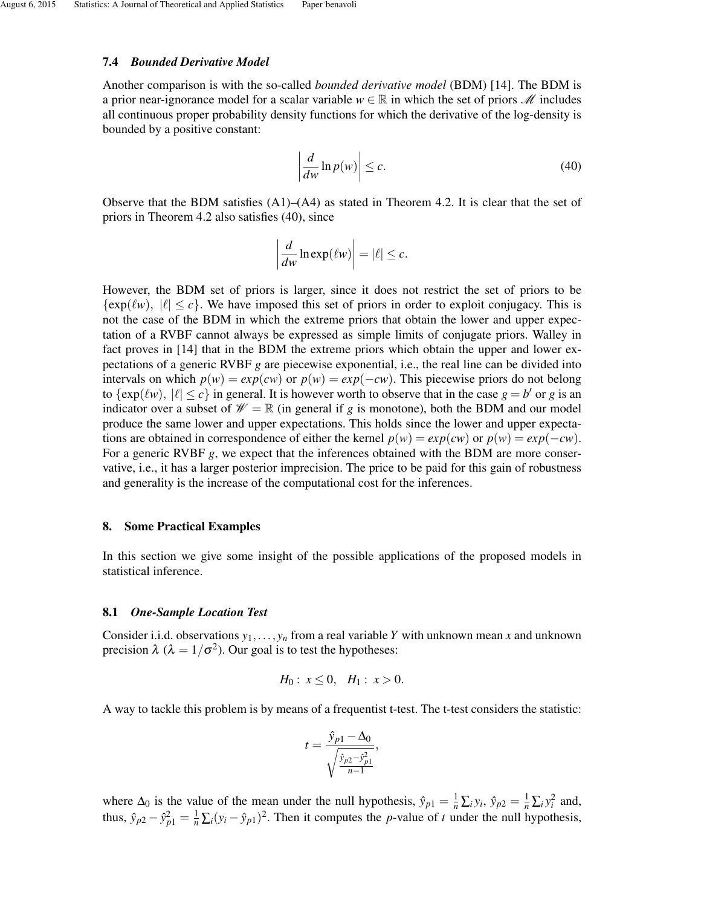### 7.4 *Bounded Derivative Model*

Another comparison is with the so-called *bounded derivative model* (BDM) [14]. The BDM is a prior near-ignorance model for a scalar variable  $w \in \mathbb{R}$  in which the set of priors *M* includes all continuous proper probability density functions for which the derivative of the log-density is bounded by a positive constant:

$$
\left| \frac{d}{dw} \ln p(w) \right| \le c. \tag{40}
$$

Observe that the BDM satisfies  $(A1)$ – $(A4)$  as stated in Theorem 4.2. It is clear that the set of priors in Theorem 4.2 also satisfies (40), since

$$
\left|\frac{d}{dw}\ln\exp(\ell w)\right| = |\ell| \leq c.
$$

However, the BDM set of priors is larger, since it does not restrict the set of priors to be  $\{\exp(\ell w), |\ell| \leq c\}$ . We have imposed this set of priors in order to exploit conjugacy. This is not the case of the BDM in which the extreme priors that obtain the lower and upper expectation of a RVBF cannot always be expressed as simple limits of conjugate priors. Walley in fact proves in [14] that in the BDM the extreme priors which obtain the upper and lower expectations of a generic RVBF *g* are piecewise exponential, i.e., the real line can be divided into intervals on which  $p(w) = exp(cw)$  or  $p(w) = exp(-cw)$ . This piecewise priors do not belong to  $\{ \exp(\ell w), |\ell| \le c \}$  in general. It is however worth to observe that in the case  $g = b'$  or *g* is an indicator over a subset of  $W = \mathbb{R}$  (in general if *g* is monotone), both the BDM and our model produce the same lower and upper expectations. This holds since the lower and upper expectations are obtained in correspondence of either the kernel  $p(w) = exp(cw)$  or  $p(w) = exp(-cw)$ . For a generic RVBF *g*, we expect that the inferences obtained with the BDM are more conservative, i.e., it has a larger posterior imprecision. The price to be paid for this gain of robustness and generality is the increase of the computational cost for the inferences.

### 8. Some Practical Examples

In this section we give some insight of the possible applications of the proposed models in statistical inference.

#### 8.1 *One-Sample Location Test*

Consider i.i.d. observations  $y_1, \ldots, y_n$  from a real variable *Y* with unknown mean *x* and unknown precision  $\lambda$  ( $\lambda = 1/\sigma^2$ ). Our goal is to test the hypotheses:

$$
H_0: x \le 0, \quad H_1: x > 0.
$$

A way to tackle this problem is by means of a frequentist t-test. The t-test considers the statistic:

$$
t = \frac{\hat{y}_{p1} - \Delta_0}{\sqrt{\frac{\hat{y}_{p2} - \hat{y}_{p1}^2}{n-1}}},
$$

where  $\Delta_0$  is the value of the mean under the null hypothesis,  $\hat{y}_{p1} = \frac{1}{n} \sum_i y_i$ ,  $\hat{y}_{p2} = \frac{1}{n} \sum_i y_i^2$  and, thus,  $\hat{y}_{p2} - \hat{y}_{p1}^2 = \frac{1}{n} \sum_i (y_i - \hat{y}_{p1})^2$ . Then it computes the *p*-value of *t* under the null hypothesis,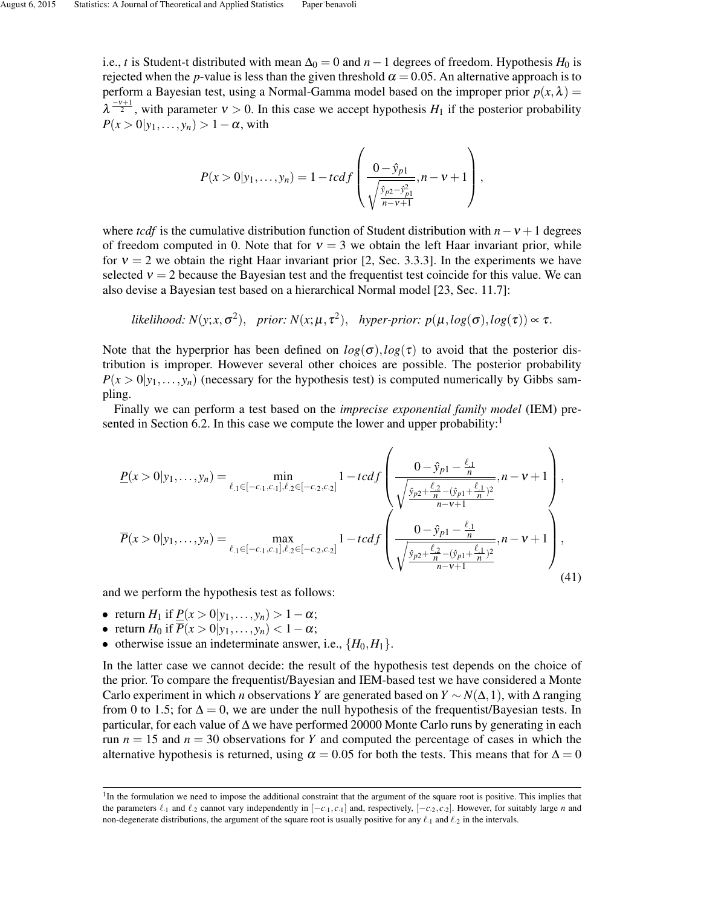i.e., *t* is Student-t distributed with mean  $\Delta_0 = 0$  and  $n - 1$  degrees of freedom. Hypothesis  $H_0$  is rejected when the *p*-value is less than the given threshold  $\alpha = 0.05$ . An alternative approach is to perform a Bayesian test, using a Normal-Gamma model based on the improper prior  $p(x, \lambda)$  =  $\lambda^{\frac{-\nu+1}{2}}$ , with parameter  $\nu > 0$ . In this case we accept hypothesis  $H_1$  if the posterior probability  $P(x > 0|y_1,\ldots,y_n) > 1-\alpha$ , with

$$
P(x > 0 | y_1, \ldots, y_n) = 1 - t c d f \left( \frac{0 - \hat{y}_{p1}}{\sqrt{\frac{\hat{y}_{p2} - \hat{y}_{p1}^2}{n - v + 1}}}, n - v + 1 \right),
$$

where *tcdf* is the cumulative distribution function of Student distribution with  $n - v + 1$  degrees of freedom computed in 0. Note that for  $v = 3$  we obtain the left Haar invariant prior, while for  $v = 2$  we obtain the right Haar invariant prior [2, Sec. 3.3.3]. In the experiments we have selected  $v = 2$  because the Bayesian test and the frequentist test coincide for this value. We can also devise a Bayesian test based on a hierarchical Normal model [23, Sec. 11.7]:

likelihood: 
$$
N(y; x, \sigma^2)
$$
, prior:  $N(x; \mu, \tau^2)$ , hyper-prior:  $p(\mu, \log(\sigma), \log(\tau)) \propto \tau$ .

Note that the hyperprior has been defined on  $log(\sigma)$ ,  $log(\tau)$  to avoid that the posterior distribution is improper. However several other choices are possible. The posterior probability  $P(x > 0 | y_1, \ldots, y_n)$  (necessary for the hypothesis test) is computed numerically by Gibbs sampling.

Finally we can perform a test based on the *imprecise exponential family model* (IEM) presented in Section 6.2. In this case we compute the lower and upper probability:<sup>1</sup>

$$
\underline{P}(x > 0 | y_1, \dots, y_n) = \min_{\ell_1 \in [-c_1, c_1], \ell_2 \in [-c_2, c_2]} 1 - t c df \left( \frac{0 - \hat{y}_{p1} - \frac{\ell_1}{n}}{\sqrt{\frac{\hat{y}_{p2} + \frac{\ell_2}{n} - (\hat{y}_{p1} + \frac{\ell_1}{n})^2}{n - v + 1}}}, n - v + 1 \right),
$$
\n
$$
\overline{P}(x > 0 | y_1, \dots, y_n) = \max_{\ell_1 \in [-c_1, c_1], \ell_2 \in [-c_2, c_2]} 1 - t c df \left( \frac{0 - \hat{y}_{p1} - \frac{\ell_1}{n}}{\sqrt{\frac{\hat{y}_{p2} + \frac{\ell_2}{n} - (\hat{y}_{p1} + \frac{\ell_1}{n})^2}{n - v + 1}}}, n - v + 1 \right),
$$
\n(41)

and we perform the hypothesis test as follows:

- return *H*<sub>1</sub> if  $P(x > 0 | y_1, \ldots, y_n) > 1 \alpha$ ;
- return  $H_0$  if  $\overline{P}(x > 0 | y_1, \ldots, y_n) < 1 \alpha;$
- otherwise issue an indeterminate answer, i.e.,  $\{H_0, H_1\}$ .

In the latter case we cannot decide: the result of the hypothesis test depends on the choice of the prior. To compare the frequentist/Bayesian and IEM-based test we have considered a Monte Carlo experiment in which *n* observations *Y* are generated based on  $Y \sim N(\Delta, 1)$ , with  $\Delta$  ranging from 0 to 1.5; for  $\Delta = 0$ , we are under the null hypothesis of the frequentist/Bayesian tests. In particular, for each value of ∆ we have performed 20000 Monte Carlo runs by generating in each run  $n = 15$  and  $n = 30$  observations for *Y* and computed the percentage of cases in which the alternative hypothesis is returned, using  $\alpha = 0.05$  for both the tests. This means that for  $\Delta = 0$ 

<sup>&</sup>lt;sup>1</sup>In the formulation we need to impose the additional constraint that the argument of the square root is positive. This implies that the parameters  $\ell_{1}$  and  $\ell_{2}$  cannot vary independently in  $[-c_{1}, c_{1}]$  and, respectively,  $[-c_{2}, c_{2}]$ . However, for suitably large *n* and non-degenerate distributions, the argument of the square root is usually positive for any  $\ell_{.1}$  and  $\ell_{.2}$  in the intervals.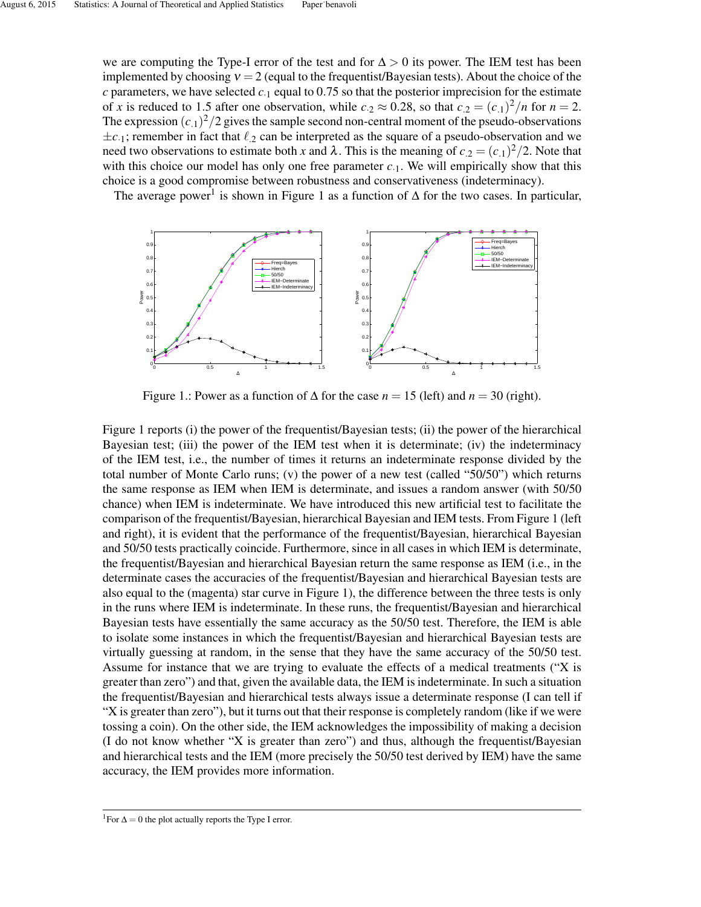we are computing the Type-I error of the test and for  $\Delta > 0$  its power. The IEM test has been implemented by choosing  $v = 2$  (equal to the frequentist/Bayesian tests). About the choice of the  $c$  parameters, we have selected  $c<sub>1</sub>$  equal to 0.75 so that the posterior imprecision for the estimate of *x* is reduced to 1.5 after one observation, while  $c_2 \approx 0.28$ , so that  $c_2 = (c_1)^2/n$  for  $n = 2$ . The expression  $(c_1)^2/2$  gives the sample second non-central moment of the pseudo-observations  $\pm c_{.1}$ ; remember in fact that  $\ell_{.2}$  can be interpreted as the square of a pseudo-observation and we need two observations to estimate both *x* and  $\lambda$ . This is the meaning of  $c_{.2} = (c_{.1})^2/2$ . Note that with this choice our model has only one free parameter  $c_{.1}$ . We will empirically show that this choice is a good compromise between robustness and conservativeness (indeterminacy).

The average power<sup>1</sup> is shown in Figure 1 as a function of  $\Delta$  for the two cases. In particular,



Figure 1.: Power as a function of  $\Delta$  for the case  $n = 15$  (left) and  $n = 30$  (right).

Figure 1 reports (i) the power of the frequentist/Bayesian tests; (ii) the power of the hierarchical Bayesian test; (iii) the power of the IEM test when it is determinate; (iv) the indeterminacy of the IEM test, i.e., the number of times it returns an indeterminate response divided by the total number of Monte Carlo runs; (v) the power of a new test (called "50/50") which returns the same response as IEM when IEM is determinate, and issues a random answer (with 50/50 chance) when IEM is indeterminate. We have introduced this new artificial test to facilitate the comparison of the frequentist/Bayesian, hierarchical Bayesian and IEM tests. From Figure 1 (left and right), it is evident that the performance of the frequentist/Bayesian, hierarchical Bayesian and 50/50 tests practically coincide. Furthermore, since in all cases in which IEM is determinate, the frequentist/Bayesian and hierarchical Bayesian return the same response as IEM (i.e., in the determinate cases the accuracies of the frequentist/Bayesian and hierarchical Bayesian tests are also equal to the (magenta) star curve in Figure 1), the difference between the three tests is only in the runs where IEM is indeterminate. In these runs, the frequentist/Bayesian and hierarchical Bayesian tests have essentially the same accuracy as the 50/50 test. Therefore, the IEM is able to isolate some instances in which the frequentist/Bayesian and hierarchical Bayesian tests are virtually guessing at random, in the sense that they have the same accuracy of the 50/50 test. Assume for instance that we are trying to evaluate the effects of a medical treatments ("X is greater than zero") and that, given the available data, the IEM is indeterminate. In such a situation the frequentist/Bayesian and hierarchical tests always issue a determinate response (I can tell if "X is greater than zero"), but it turns out that their response is completely random (like if we were tossing a coin). On the other side, the IEM acknowledges the impossibility of making a decision (I do not know whether "X is greater than zero") and thus, although the frequentist/Bayesian and hierarchical tests and the IEM (more precisely the 50/50 test derived by IEM) have the same accuracy, the IEM provides more information.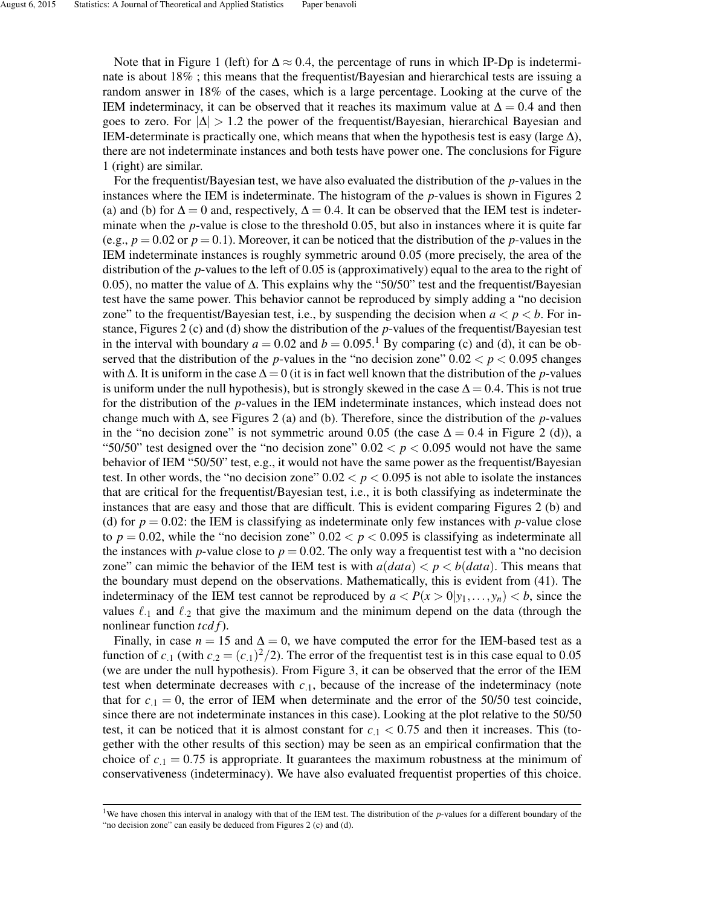Note that in Figure 1 (left) for  $\Delta \approx 0.4$ , the percentage of runs in which IP-Dp is indeterminate is about 18% ; this means that the frequentist/Bayesian and hierarchical tests are issuing a random answer in 18% of the cases, which is a large percentage. Looking at the curve of the IEM indeterminacy, it can be observed that it reaches its maximum value at  $\Delta = 0.4$  and then goes to zero. For  $|\Delta| > 1.2$  the power of the frequentist/Bayesian, hierarchical Bayesian and IEM-determinate is practically one, which means that when the hypothesis test is easy (large  $\Delta$ ), there are not indeterminate instances and both tests have power one. The conclusions for Figure 1 (right) are similar.

For the frequentist/Bayesian test, we have also evaluated the distribution of the *p*-values in the instances where the IEM is indeterminate. The histogram of the *p*-values is shown in Figures 2 (a) and (b) for  $\Delta = 0$  and, respectively,  $\Delta = 0.4$ . It can be observed that the IEM test is indeterminate when the *p*-value is close to the threshold 0.05, but also in instances where it is quite far (e.g.,  $p = 0.02$  or  $p = 0.1$ ). Moreover, it can be noticed that the distribution of the *p*-values in the IEM indeterminate instances is roughly symmetric around 0.05 (more precisely, the area of the distribution of the *p*-values to the left of 0.05 is (approximatively) equal to the area to the right of 0.05), no matter the value of ∆. This explains why the "50/50" test and the frequentist/Bayesian test have the same power. This behavior cannot be reproduced by simply adding a "no decision zone" to the frequentist/Bayesian test, i.e., by suspending the decision when  $a < p < b$ . For instance, Figures 2 (c) and (d) show the distribution of the *p*-values of the frequentist/Bayesian test in the interval with boundary  $a = 0.02$  and  $b = 0.095$ .<sup>1</sup> By comparing (c) and (d), it can be observed that the distribution of the *p*-values in the "no decision zone"  $0.02 < p < 0.095$  changes with  $\Delta$ . It is uniform in the case  $\Delta = 0$  (it is in fact well known that the distribution of the *p*-values is uniform under the null hypothesis), but is strongly skewed in the case  $\Delta = 0.4$ . This is not true for the distribution of the *p*-values in the IEM indeterminate instances, which instead does not change much with ∆, see Figures 2 (a) and (b). Therefore, since the distribution of the *p*-values in the "no decision zone" is not symmetric around 0.05 (the case  $\Delta = 0.4$  in Figure 2 (d)), a "50/50" test designed over the "no decision zone"  $0.02 < p < 0.095$  would not have the same behavior of IEM "50/50" test, e.g., it would not have the same power as the frequentist/Bayesian test. In other words, the "no decision zone"  $0.02 < p < 0.095$  is not able to isolate the instances that are critical for the frequentist/Bayesian test, i.e., it is both classifying as indeterminate the instances that are easy and those that are difficult. This is evident comparing Figures 2 (b) and (d) for  $p = 0.02$ : the IEM is classifying as indeterminate only few instances with *p*-value close to  $p = 0.02$ , while the "no decision zone"  $0.02 < p < 0.095$  is classifying as indeterminate all the instances with *p*-value close to  $p = 0.02$ . The only way a frequentist test with a "no decision" zone" can mimic the behavior of the IEM test is with  $a(data) < p < b(data)$ . This means that the boundary must depend on the observations. Mathematically, this is evident from (41). The indeterminacy of the IEM test cannot be reproduced by  $a < P(x > 0 | y_1, \ldots, y_n) < b$ , since the values  $\ell_{1}$  and  $\ell_{2}$  that give the maximum and the minimum depend on the data (through the nonlinear function *tcd f*).

Finally, in case  $n = 15$  and  $\Delta = 0$ , we have computed the error for the IEM-based test as a function of  $c_{.1}$  (with  $c_{.2} = (c_{.1})^2/2$ ). The error of the frequentist test is in this case equal to 0.05 (we are under the null hypothesis). From Figure 3, it can be observed that the error of the IEM test when determinate decreases with  $c_{.1}$ , because of the increase of the indeterminacy (note that for  $c_{1} = 0$ , the error of IEM when determinate and the error of the 50/50 test coincide, since there are not indeterminate instances in this case). Looking at the plot relative to the 50/50 test, it can be noticed that it is almost constant for  $c_1 < 0.75$  and then it increases. This (together with the other results of this section) may be seen as an empirical confirmation that the choice of  $c_{1} = 0.75$  is appropriate. It guarantees the maximum robustness at the minimum of conservativeness (indeterminacy). We have also evaluated frequentist properties of this choice.

<sup>&</sup>lt;sup>1</sup>We have chosen this interval in analogy with that of the IEM test. The distribution of the *p*-values for a different boundary of the "no decision zone" can easily be deduced from Figures 2 (c) and (d).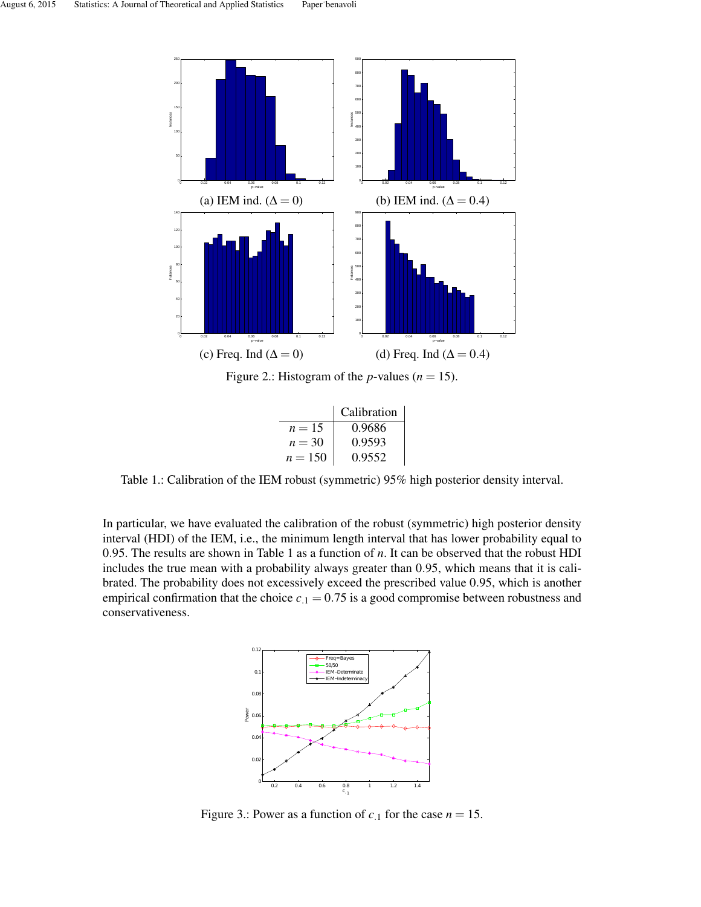

Figure 2.: Histogram of the *p*-values ( $n = 15$ ).

|           | Calibration |
|-----------|-------------|
| $n = 15$  | 0.9686      |
| $n = 30$  | 0.9593      |
| $n = 150$ | 0.9552      |

Table 1.: Calibration of the IEM robust (symmetric) 95% high posterior density interval.

In particular, we have evaluated the calibration of the robust (symmetric) high posterior density interval (HDI) of the IEM, i.e., the minimum length interval that has lower probability equal to 0.95. The results are shown in Table 1 as a function of *n*. It can be observed that the robust HDI includes the true mean with a probability always greater than 0.95, which means that it is calibrated. The probability does not excessively exceed the prescribed value 0.95, which is another empirical confirmation that the choice  $c_{.1} = 0.75$  is a good compromise between robustness and conservativeness.



Figure 3.: Power as a function of  $c_{.1}$  for the case  $n = 15$ .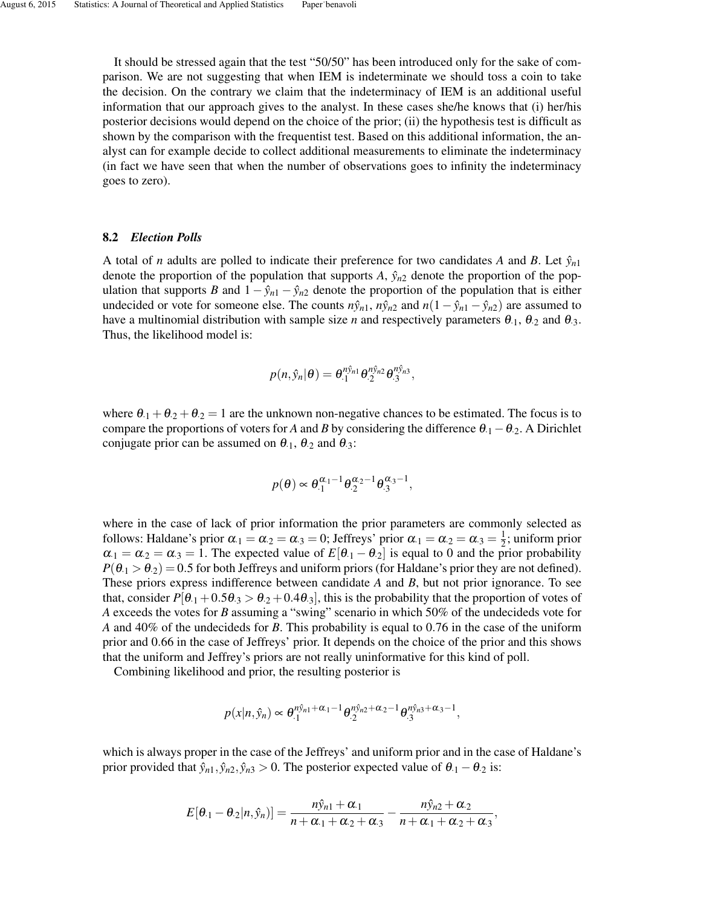It should be stressed again that the test "50/50" has been introduced only for the sake of comparison. We are not suggesting that when IEM is indeterminate we should toss a coin to take the decision. On the contrary we claim that the indeterminacy of IEM is an additional useful information that our approach gives to the analyst. In these cases she/he knows that (i) her/his posterior decisions would depend on the choice of the prior; (ii) the hypothesis test is difficult as shown by the comparison with the frequentist test. Based on this additional information, the analyst can for example decide to collect additional measurements to eliminate the indeterminacy (in fact we have seen that when the number of observations goes to infinity the indeterminacy goes to zero).

#### 8.2 *Election Polls*

A total of *n* adults are polled to indicate their preference for two candidates A and B. Let  $\hat{y}_{n1}$ denote the proportion of the population that supports  $A$ ,  $\hat{y}_{n2}$  denote the proportion of the population that supports *B* and  $1 - \hat{y}_{n1} - \hat{y}_{n2}$  denote the proportion of the population that is either undecided or vote for someone else. The counts  $n\hat{y}_{n1}$ ,  $n\hat{y}_{n2}$  and  $n(1-\hat{y}_{n1}-\hat{y}_{n2})$  are assumed to have a multinomial distribution with sample size *n* and respectively parameters  $\theta_{.1}$ ,  $\theta_{.2}$  and  $\theta_{.3}$ . Thus, the likelihood model is:

$$
p(n,\hat{y}_n|\theta) = \theta_{\cdot 1}^{n\hat{y}_{n1}} \theta_{\cdot 2}^{n\hat{y}_{n2}} \theta_{\cdot 3}^{n\hat{y}_{n3}},
$$

where  $\theta_{1} + \theta_{2} + \theta_{2} = 1$  are the unknown non-negative chances to be estimated. The focus is to compare the proportions of voters for *A* and *B* by considering the difference  $\theta_1 - \theta_2$ . A Dirichlet conjugate prior can be assumed on  $\theta_{.1}$ ,  $\theta_{.2}$  and  $\theta_{.3}$ :

$$
p(\theta) \propto \theta_1^{\alpha_1 - 1} \theta_2^{\alpha_2 - 1} \theta_3^{\alpha_3 - 1},
$$

where in the case of lack of prior information the prior parameters are commonly selected as follows: Haldane's prior  $\alpha_1 = \alpha_2 = \alpha_3 = 0$ ; Jeffreys' prior  $\alpha_1 = \alpha_2 = \alpha_3 = \frac{1}{2}$  $\frac{1}{2}$ ; uniform prior  $\alpha_1 = \alpha_2 = \alpha_3 = 1$ . The expected value of  $E[\theta_1 - \theta_2]$  is equal to 0 and the prior probability  $P(\theta_1 > \theta_2) = 0.5$  for both Jeffreys and uniform priors (for Haldane's prior they are not defined). These priors express indifference between candidate *A* and *B*, but not prior ignorance. To see that, consider  $P[\theta_{1} + 0.5\theta_{3} > \theta_{2} + 0.4\theta_{3}]$ , this is the probability that the proportion of votes of *A* exceeds the votes for *B* assuming a "swing" scenario in which 50% of the undecideds vote for *A* and 40% of the undecideds for *B*. This probability is equal to 0.76 in the case of the uniform prior and 0.66 in the case of Jeffreys' prior. It depends on the choice of the prior and this shows that the uniform and Jeffrey's priors are not really uninformative for this kind of poll.

Combining likelihood and prior, the resulting posterior is

$$
p(x|n,\hat{y}_n) \propto \theta_{.1}^{n\hat{y}_{n1} + \alpha_{.1} - 1} \theta_{.2}^{n\hat{y}_{n2} + \alpha_{.2} - 1} \theta_{.3}^{n\hat{y}_{n3} + \alpha_{.3} - 1},
$$

which is always proper in the case of the Jeffreys' and uniform prior and in the case of Haldane's prior provided that  $\hat{y}_{n1}, \hat{y}_{n2}, \hat{y}_{n3} > 0$ . The posterior expected value of  $\theta_{11} - \theta_{22}$  is:

$$
E[\theta_{\cdot 1}-\theta_{\cdot 2}|n,\hat{y}_n] = \frac{n\hat{y}_{n1}+\alpha_{\cdot 1}}{n+\alpha_{\cdot 1}+\alpha_{\cdot 2}+\alpha_{\cdot 3}} - \frac{n\hat{y}_{n2}+\alpha_{\cdot 2}}{n+\alpha_{\cdot 1}+\alpha_{\cdot 2}+\alpha_{\cdot 3}},
$$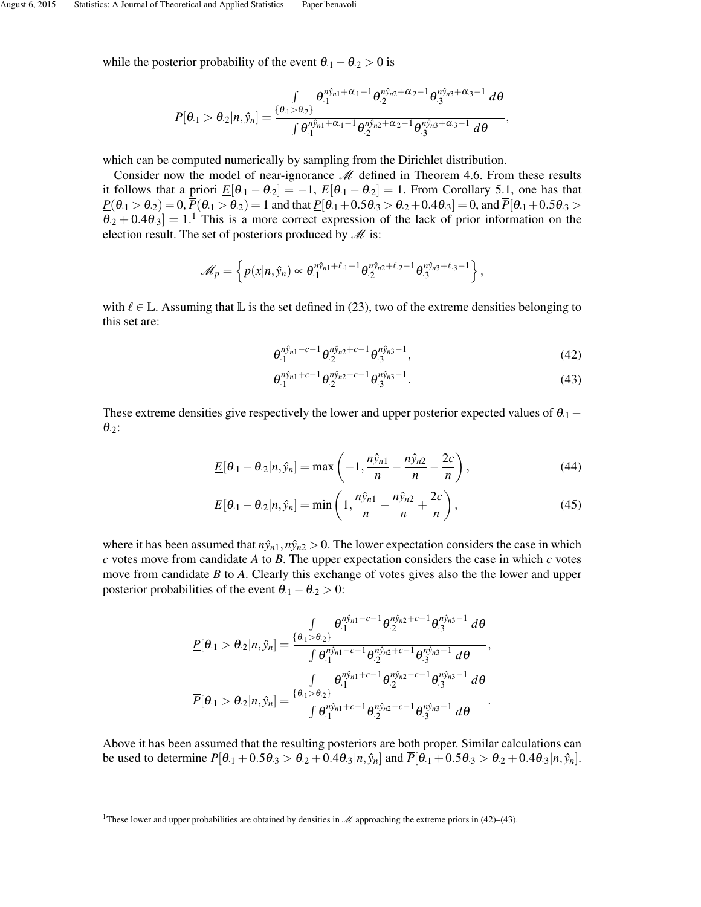while the posterior probability of the event  $\theta_1 - \theta_2 > 0$  is

$$
P[\theta_{\cdot 1} > \theta_{\cdot 2}|n,\hat{y}_n] = \frac{\int\limits_{\{\theta_{\cdot 1} > \theta_{\cdot 2}\}} \theta_{\cdot 1}^{\eta \hat{y}_{n1} + \alpha_{\cdot 1} - 1} \theta_{\cdot 2}^{\eta \hat{y}_{n2} + \alpha_{\cdot 2} - 1} \theta_{\cdot 3}^{\eta \hat{y}_{n3} + \alpha_{\cdot 3} - 1} d\theta}{\int \theta_{\cdot 1}^{\eta \hat{y}_{n1} + \alpha_{\cdot 1} - 1} \theta_{\cdot 2}^{\eta \hat{y}_{n2} + \alpha_{\cdot 2} - 1} \theta_{\cdot 3}^{\eta \hat{y}_{n3} + \alpha_{\cdot 3} - 1} d\theta},
$$

which can be computed numerically by sampling from the Dirichlet distribution.

Consider now the model of near-ignorance  $M$  defined in Theorem 4.6. From these results it follows that a priori  $\underline{E}[\theta_{1} - \theta_{2}] = -1$ ,  $\overline{E}[\theta_{1} - \theta_{2}] = 1$ . From Corollary 5.1, one has that  $\underline{P}(\theta_1 > \theta_2) = 0$ ,  $\overline{P}(\theta_1 > \theta_2) = 1$  and that  $\underline{P}[\theta_1 + 0.5\theta_3 > \theta_2 + 0.4\theta_3] = 0$ , and  $\overline{P}[\theta_1 + 0.5\theta_3 > \theta_2 + 0.4\theta_3]$  $\theta_2 + 0.4\theta_3$  = 1.<sup>1</sup> This is a more correct expression of the lack of prior information on the election result. The set of posteriors produced by  $\mathcal M$  is:

$$
\mathscr{M}_p = \left\{ p(x|n, \hat{y}_n) \propto \theta_{\cdot 1}^{n\hat{y}_{n1} + \ell_{\cdot 1} - 1} \theta_{\cdot 2}^{n\hat{y}_{n2} + \ell_{\cdot 2} - 1} \theta_{\cdot 3}^{n\hat{y}_{n3} + \ell_{\cdot 3} - 1} \right\},
$$

with  $\ell \in \mathbb{L}$ . Assuming that  $\mathbb{L}$  is the set defined in (23), two of the extreme densities belonging to this set are:

$$
\theta_{\cdot 1}^{n\hat{y}_{n1}-c-1}\theta_{\cdot 2}^{n\hat{y}_{n2}+c-1}\theta_{\cdot 3}^{n\hat{y}_{n3}-1},\tag{42}
$$

$$
\theta_{\cdot 1}^{n\hat{y}_{n1}+c-1}\theta_{\cdot 2}^{n\hat{y}_{n2}-c-1}\theta_{\cdot 3}^{n\hat{y}_{n3}-1}.
$$
\n(43)

These extreme densities give respectively the lower and upper posterior expected values of  $\theta_{.1}$  –  $\theta_{.2}$ :

$$
\underline{E}[\theta_{\cdot 1} - \theta_{\cdot 2}|n, \hat{y}_n] = \max\left(-1, \frac{n\hat{y}_{n1}}{n} - \frac{n\hat{y}_{n2}}{n} - \frac{2c}{n}\right),\tag{44}
$$

$$
\overline{E}[\theta \cdot (1 - \theta_2 | n, \hat{y}_n] = \min\left(1, \frac{n\hat{y}_{n1}}{n} - \frac{n\hat{y}_{n2}}{n} + \frac{2c}{n}\right),\tag{45}
$$

where it has been assumed that  $n\hat{y}_{n1}, n\hat{y}_{n2} > 0$ . The lower expectation considers the case in which  $c$  votes move from candidate  $A$  to  $B$ . The upper expectation considers the case in which  $c$  votes move from candidate *B* to *A*. Clearly this exchange of votes gives also the the lower and upper posterior probabilities of the event  $\theta_{.1} - \theta_{.2} > 0$ :

$$
\underline{P}[\theta_{1} > \theta_{2}|n,\hat{y}_{n}] = \frac{\int_{\theta_{1} > \theta_{2}} \theta_{1}^{n\hat{y}_{n1} - c - 1} \theta_{2}^{n\hat{y}_{n2} + c - 1} \theta_{3}^{n\hat{y}_{n3} - 1} d\theta}{\int \theta_{1}^{n\hat{y}_{n1} - c - 1} \theta_{2}^{n\hat{y}_{n2} + c - 1} \theta_{3}^{n\hat{y}_{n3} - 1} d\theta},
$$
\n
$$
\overline{P}[\theta_{1} > \theta_{2}|n,\hat{y}_{n}] = \frac{\int_{\theta_{1} > \theta_{2}} \theta_{1}^{n\hat{y}_{n1} + c - 1} \theta_{2}^{n\hat{y}_{n2} - c - 1} \theta_{3}^{n\hat{y}_{n3} - 1} d\theta}{\int \theta_{1}^{n\hat{y}_{n1} + c - 1} \theta_{2}^{n\hat{y}_{n2} - c - 1} \theta_{3}^{n\hat{y}_{n3} - 1} d\theta}.
$$

Above it has been assumed that the resulting posteriors are both proper. Similar calculations can be used to determine  $\underline{P}[\theta_{.1} + 0.5\theta_{.3} > \theta_{.2} + 0.4\theta_{.3}|n, \hat{y}_n]$  and  $\overline{P}[\theta_{.1} + 0.5\theta_{.3} > \theta_{.2} + 0.4\theta_{.3}|n, \hat{y}_n]$ .

<sup>&</sup>lt;sup>1</sup>These lower and upper probabilities are obtained by densities in  $\mathcal M$  approaching the extreme priors in (42)–(43).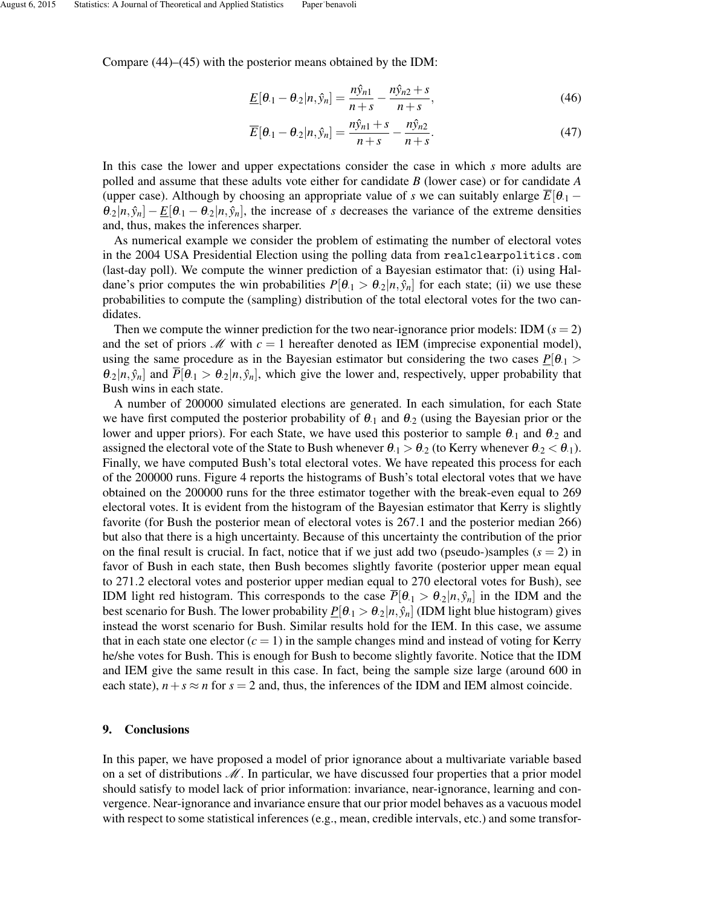Compare (44)–(45) with the posterior means obtained by the IDM:

$$
\underline{E}[\theta \cdot (1 - \theta \cdot 2 | n, \hat{y}_n] = \frac{n\hat{y}_{n1}}{n+s} - \frac{n\hat{y}_{n2} + s}{n+s},
$$
\n(46)

$$
\overline{E}[\theta_{\cdot 1} - \theta_{\cdot 2}|n, \hat{y}_n] = \frac{n\hat{y}_{n1} + s}{n + s} - \frac{n\hat{y}_{n2}}{n + s}.
$$
\n(47)

In this case the lower and upper expectations consider the case in which *s* more adults are polled and assume that these adults vote either for candidate *B* (lower case) or for candidate *A* (upper case). Although by choosing an appropriate value of *s* we can suitably enlarge  $\overline{E}[\theta_{1} \theta_2|n, \hat{y}_n| - E[\theta_1 - \theta_2|n, \hat{y}_n]$ , the increase of *s* decreases the variance of the extreme densities and, thus, makes the inferences sharper.

As numerical example we consider the problem of estimating the number of electoral votes in the 2004 USA Presidential Election using the polling data from realclearpolitics.com (last-day poll). We compute the winner prediction of a Bayesian estimator that: (i) using Haldane's prior computes the win probabilities  $P[\theta_1 > \theta_2 | n, \hat{y}_n]$  for each state; (ii) we use these probabilities to compute the (sampling) distribution of the total electoral votes for the two candidates.

Then we compute the winner prediction for the two near-ignorance prior models: IDM  $(s = 2)$ and the set of priors  $M$  with  $c = 1$  hereafter denoted as IEM (imprecise exponential model), using the same procedure as in the Bayesian estimator but considering the two cases  $P[\theta_1 >$  $\theta_2|n, \hat{y}_n|$  and  $\overline{P}[\theta_1 > \theta_2|n, \hat{y}_n]$ , which give the lower and, respectively, upper probability that Bush wins in each state.

A number of 200000 simulated elections are generated. In each simulation, for each State we have first computed the posterior probability of  $\theta_1$  and  $\theta_2$  (using the Bayesian prior or the lower and upper priors). For each State, we have used this posterior to sample  $\theta_{.1}$  and  $\theta_{.2}$  and assigned the electoral vote of the State to Bush whenever  $\theta_{1} > \theta_{2}$  (to Kerry whenever  $\theta_{2} < \theta_{1}$ ). Finally, we have computed Bush's total electoral votes. We have repeated this process for each of the 200000 runs. Figure 4 reports the histograms of Bush's total electoral votes that we have obtained on the 200000 runs for the three estimator together with the break-even equal to 269 electoral votes. It is evident from the histogram of the Bayesian estimator that Kerry is slightly favorite (for Bush the posterior mean of electoral votes is 267.1 and the posterior median 266) but also that there is a high uncertainty. Because of this uncertainty the contribution of the prior on the final result is crucial. In fact, notice that if we just add two (pseudo-)samples  $(s = 2)$  in favor of Bush in each state, then Bush becomes slightly favorite (posterior upper mean equal to 271.2 electoral votes and posterior upper median equal to 270 electoral votes for Bush), see IDM light red histogram. This corresponds to the case  $\overline{P}[\theta_1 > \theta_2 | n, \hat{y}_n]$  in the IDM and the best scenario for Bush. The lower probability  $P[\theta_1 > \theta_2 | n, \hat{y}_n]$  (IDM light blue histogram) gives instead the worst scenario for Bush. Similar results hold for the IEM. In this case, we assume that in each state one elector  $(c = 1)$  in the sample changes mind and instead of voting for Kerry he/she votes for Bush. This is enough for Bush to become slightly favorite. Notice that the IDM and IEM give the same result in this case. In fact, being the sample size large (around 600 in each state),  $n+s \approx n$  for  $s = 2$  and, thus, the inferences of the IDM and IEM almost coincide.

### 9. Conclusions

In this paper, we have proposed a model of prior ignorance about a multivariate variable based on a set of distributions  $M$ . In particular, we have discussed four properties that a prior model should satisfy to model lack of prior information: invariance, near-ignorance, learning and convergence. Near-ignorance and invariance ensure that our prior model behaves as a vacuous model with respect to some statistical inferences (e.g., mean, credible intervals, etc.) and some transfor-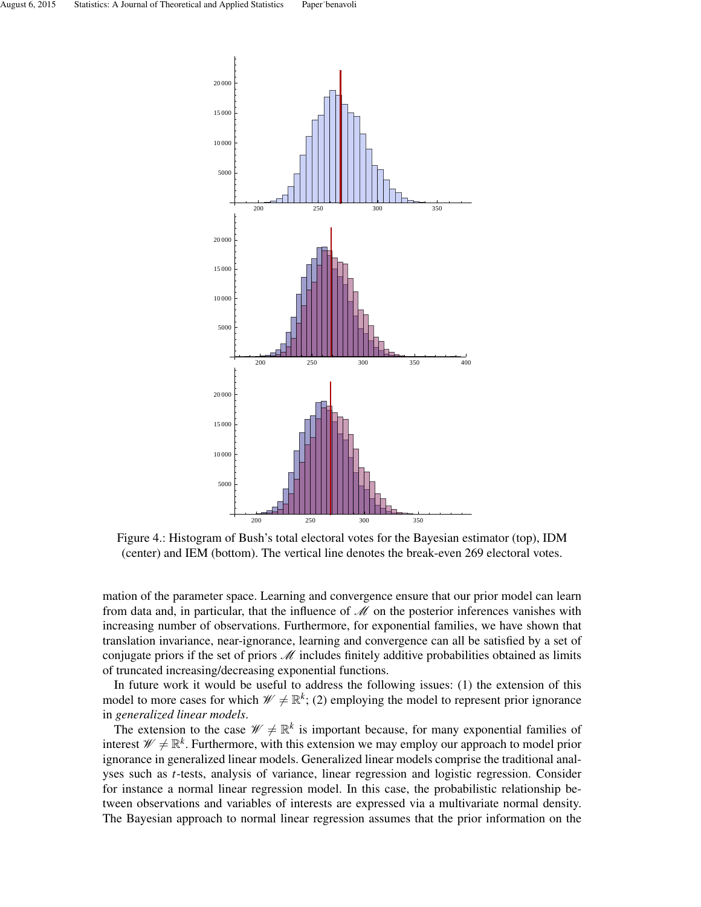

Figure 4.: Histogram of Bush's total electoral votes for the Bayesian estimator (top), IDM (center) and IEM (bottom). The vertical line denotes the break-even 269 electoral votes.

mation of the parameter space. Learning and convergence ensure that our prior model can learn from data and, in particular, that the influence of  $\mathcal M$  on the posterior inferences vanishes with increasing number of observations. Furthermore, for exponential families, we have shown that translation invariance, near-ignorance, learning and convergence can all be satisfied by a set of conjugate priors if the set of priors  $M$  includes finitely additive probabilities obtained as limits of truncated increasing/decreasing exponential functions.

In future work it would be useful to address the following issues: (1) the extension of this model to more cases for which  $\mathcal{W} \neq \mathbb{R}^k$ ; (2) employing the model to represent prior ignorance in *generalized linear models*.

The extension to the case  $\mathcal{W} \neq \mathbb{R}^k$  is important because, for many exponential families of interest  $\mathscr{W} \neq \mathbb{R}^k$ . Furthermore, with this extension we may employ our approach to model prior ignorance in generalized linear models. Generalized linear models comprise the traditional analyses such as *t*-tests, analysis of variance, linear regression and logistic regression. Consider for instance a normal linear regression model. In this case, the probabilistic relationship between observations and variables of interests are expressed via a multivariate normal density. The Bayesian approach to normal linear regression assumes that the prior information on the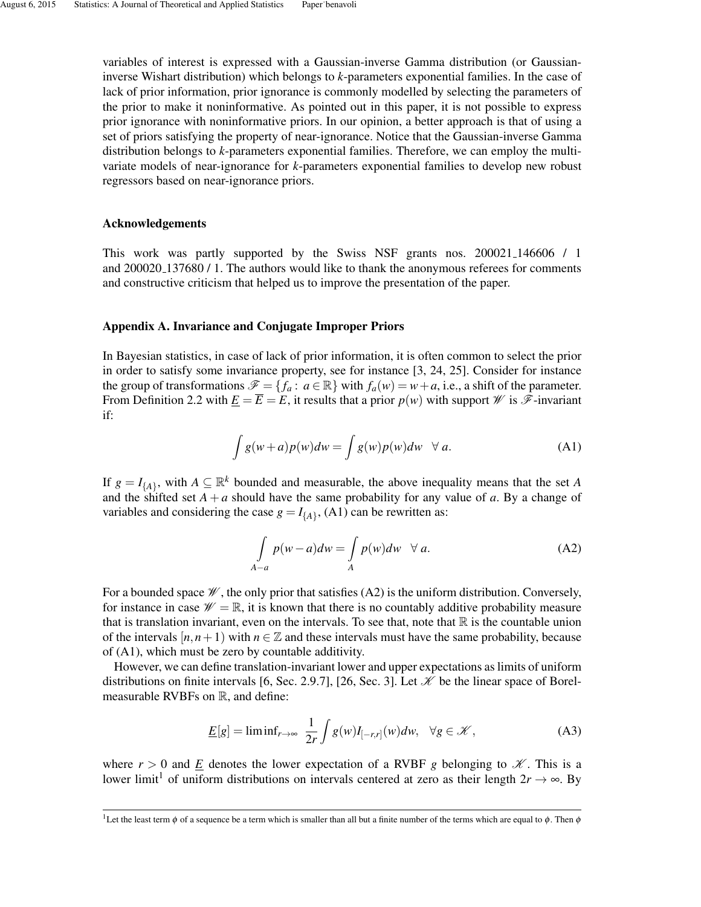variables of interest is expressed with a Gaussian-inverse Gamma distribution (or Gaussianinverse Wishart distribution) which belongs to *k*-parameters exponential families. In the case of lack of prior information, prior ignorance is commonly modelled by selecting the parameters of the prior to make it noninformative. As pointed out in this paper, it is not possible to express prior ignorance with noninformative priors. In our opinion, a better approach is that of using a set of priors satisfying the property of near-ignorance. Notice that the Gaussian-inverse Gamma distribution belongs to *k*-parameters exponential families. Therefore, we can employ the multivariate models of near-ignorance for *k*-parameters exponential families to develop new robust regressors based on near-ignorance priors.

### Acknowledgements

This work was partly supported by the Swiss NSF grants nos. 200021\_146606 / 1 and 200020 137680 / 1. The authors would like to thank the anonymous referees for comments and constructive criticism that helped us to improve the presentation of the paper.

### Appendix A. Invariance and Conjugate Improper Priors

In Bayesian statistics, in case of lack of prior information, it is often common to select the prior in order to satisfy some invariance property, see for instance [3, 24, 25]. Consider for instance the group of transformations  $\mathscr{F} = \{f_a : a \in \mathbb{R}\}\$  with  $f_a(w) = w + a$ , i.e., a shift of the parameter. From Definition 2.2 with  $\underline{E} = \overline{E} = E$ , it results that a prior  $p(w)$  with support  $W$  is  $\mathscr F$ -invariant if:

$$
\int g(w+a)p(w)dw = \int g(w)p(w)dw \quad \forall a.
$$
 (A1)

If  $g = I_{\{A\}}$ , with  $A \subseteq \mathbb{R}^k$  bounded and measurable, the above inequality means that the set *A* and the shifted set  $A + a$  should have the same probability for any value of  $a$ . By a change of variables and considering the case  $g = I_{\{A\}}$ , (A1) can be rewritten as:

$$
\int_{A-a} p(w-a)dw = \int_{A} p(w)dw \quad \forall a.
$$
 (A2)

For a bounded space  $\mathcal W$ , the only prior that satisfies (A2) is the uniform distribution. Conversely, for instance in case  $\mathcal{W} = \mathbb{R}$ , it is known that there is no countably additive probability measure that is translation invariant, even on the intervals. To see that, note that  $\mathbb R$  is the countable union of the intervals  $[n, n+1)$  with  $n \in \mathbb{Z}$  and these intervals must have the same probability, because of (A1), which must be zero by countable additivity.

However, we can define translation-invariant lower and upper expectations as limits of uniform distributions on finite intervals [6, Sec. 2.9.7], [26, Sec. 3]. Let  $\mathcal K$  be the linear space of Borelmeasurable RVBFs on  $\mathbb{R}$ , and define:

$$
\underline{E}[g] = \liminf_{r \to \infty} \frac{1}{2r} \int g(w) I_{[-r,r]}(w) dw, \quad \forall g \in \mathcal{K},
$$
 (A3)

where  $r > 0$  and *E* denotes the lower expectation of a RVBF *g* belonging to  $\mathcal{K}$ . This is a lower limit<sup>1</sup> of uniform distributions on intervals centered at zero as their length  $2r \rightarrow \infty$ . By

<sup>&</sup>lt;sup>1</sup>Let the least term  $\phi$  of a sequence be a term which is smaller than all but a finite number of the terms which are equal to  $\phi$ . Then  $\phi$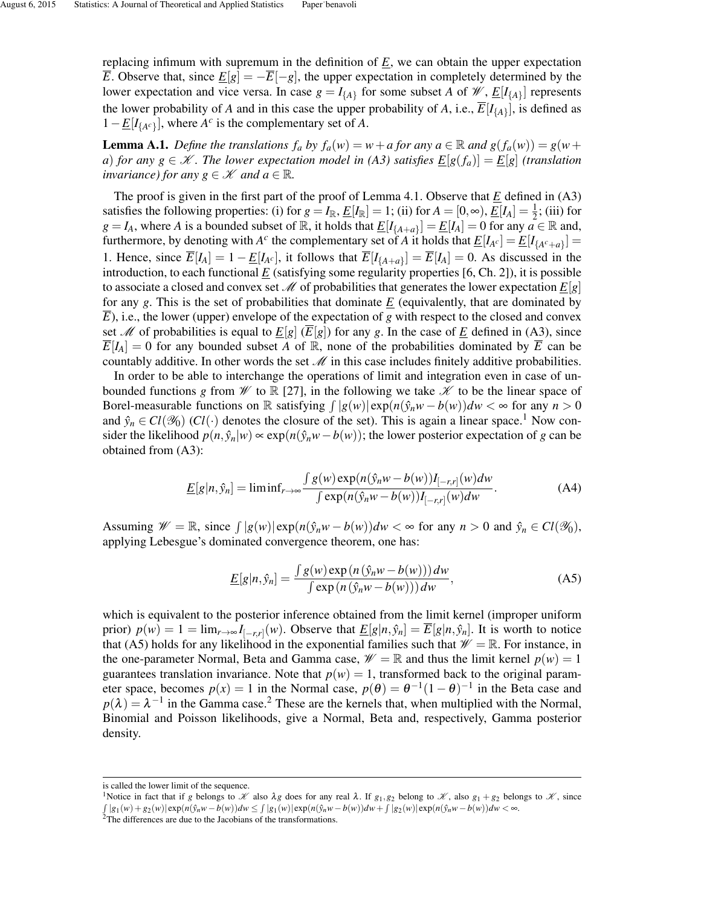replacing infimum with supremum in the definition of *E*, we can obtain the upper expectation *E*. Observe that, since  $E[g] = -\overline{E}[-g]$ , the upper expectation in completely determined by the lower expectation and vice versa. In case  $g = I_{\{A\}}$  for some subset *A* of *W*,  $\underline{E}[I_{\{A\}}]$  represents the lower probability of *A* and in this case the upper probability of *A*, i.e.,  $\overline{E}[I_{\{A\}}]$ , is defined as  $1 - \underline{E}[I_{\{A^c\}}]$ , where  $A^c$  is the complementary set of *A*.

**Lemma A.1.** *Define the translations*  $f_a$  *by*  $f_a(w) = w + a$  *for any*  $a \in \mathbb{R}$  *and*  $g(f_a(w)) = g(w + a)$ *a*) *for any*  $g \in \mathcal{K}$ . The lower expectation model in (A3) satisfies  $E[g(f_a)] = E[g]$  (translation *invariance) for any*  $g \in \mathcal{K}$  *and*  $a \in \mathbb{R}$ *.* 

The proof is given in the first part of the proof of Lemma 4.1. Observe that *E* defined in (A3) satisfies the following properties: (i) for  $g = I_{\mathbb{R}}$ ,  $\underline{E}[I_{\mathbb{R}}] = 1$ ; (ii) for  $A = [0, \infty)$ ,  $\underline{E}[I_A] = \frac{1}{2}$ ; (iii) for  $g = I_A$ , where *A* is a bounded subset of R, it holds that  $\underline{E}[I_{\{A+a\}}] = \underline{E}[I_A] = 0$  for any  $a \in \mathbb{R}$  and, furthermore, by denoting with *A<sup>c</sup>* the complementary set of *A* it holds that  $\underline{E}[I_{A^c}] = \underline{E}[I_{\{A^c+a\}}] =$ 1. Hence, since  $\overline{E}[I_A] = 1 - \underline{E}[I_{A^c}]$ , it follows that  $\overline{E}[I_{\{A+a\}}] = \overline{E}[I_A] = 0$ . As discussed in the introduction, to each functional  $E$  (satisfying some regularity properties [6, Ch. 2]), it is possible to associate a closed and convex set M of probabilities that generates the lower expectation  $E[g]$ for any  $g$ . This is the set of probabilities that dominate  $E$  (equivalently, that are dominated by  $\overline{E}$ ), i.e., the lower (upper) envelope of the expectation of *g* with respect to the closed and convex set *M* of probabilities is equal to  $\underline{E}[g]$  ( $\overline{E}[g]$ ) for any *g*. In the case of  $\underline{E}$  defined in (A3), since  $\overline{E}[I_A] = 0$  for any bounded subset *A* of R, none of the probabilities dominated by  $\overline{E}$  can be countably additive. In other words the set  $\mathcal M$  in this case includes finitely additive probabilities.

In order to be able to interchange the operations of limit and integration even in case of unbounded functions *g* from  $\mathcal W$  to  $\mathbb R$  [27], in the following we take  $\mathcal K$  to be the linear space of Borel-measurable functions on  $\mathbb R$  satisfying  $\int |g(w)| \exp(n(\hat{y}_n w - b(w))dw < \infty$  for any  $n > 0$ and  $\hat{y}_n \in Cl(\mathcal{Y}_0)$  (*Cl*(·) denotes the closure of the set). This is again a linear space.<sup>1</sup> Now consider the likelihood  $p(n, \hat{y}_n|w) \propto \exp(n(\hat{y}_nw - b(w));$  the lower posterior expectation of *g* can be obtained from (A3):

$$
\underline{E}[g|n,\hat{y}_n] = \liminf_{r \to \infty} \frac{\int g(w) \exp(n(\hat{y}_n w - b(w))I_{[-r,r]}(w)dw}{\int \exp(n(\hat{y}_n w - b(w))I_{[-r,r]}(w)dw}.
$$
\n(A4)

Assuming  $\mathcal{W} = \mathbb{R}$ , since  $\int |g(w)| \exp(n(\hat{y}_n w - b(w))dw < \infty$  for any  $n > 0$  and  $\hat{y}_n \in Cl(\mathcal{Y}_0)$ , applying Lebesgue's dominated convergence theorem, one has:

$$
\underline{E}[g|n,\hat{y}_n] = \frac{\int g(w) \exp(n(\hat{y}_n w - b(w))) dw}{\int \exp(n(\hat{y}_n w - b(w))) dw},
$$
\n(A5)

which is equivalent to the posterior inference obtained from the limit kernel (improper uniform prior)  $p(w) = 1 = \lim_{r \to \infty} I_{[-r,r]}(w)$ . Observe that  $\underline{E}[g|n, \hat{y}_n] = \overline{E}[g|n, \hat{y}_n]$ . It is worth to notice that (A5) holds for any likelihood in the exponential families such that  $\mathcal{W} = \mathbb{R}$ . For instance, in the one-parameter Normal, Beta and Gamma case,  $\mathcal{W} = \mathbb{R}$  and thus the limit kernel  $p(w) = 1$ guarantees translation invariance. Note that  $p(w) = 1$ , transformed back to the original parameter space, becomes  $p(x) = 1$  in the Normal case,  $p(\theta) = \theta^{-1}(1-\theta)^{-1}$  in the Beta case and  $p(\lambda) = \lambda^{-1}$  in the Gamma case.<sup>2</sup> These are the kernels that, when multiplied with the Normal, Binomial and Poisson likelihoods, give a Normal, Beta and, respectively, Gamma posterior density.

is called the lower limit of the sequence.

<sup>&</sup>lt;sup>1</sup>Notice in fact that if *g* belongs to *X* also  $\lambda$ *g* does for any real  $\lambda$ . If  $g_1, g_2$  belong to X, also  $g_1 + g_2$  belongs to X, since  $\int |g_1(w) + g_2(w)| \exp(n(\hat{y}_n w - b(w))) dw \leq \int |g_1(w)| \exp(n(\hat{y}_n w - b(w))) dw + \int |g_2(w)| \exp(n(\hat{y}_n w - b(w))) dw < \infty$ .

<sup>&</sup>lt;sup>2</sup>The differences are due to the Jacobians of the transformations.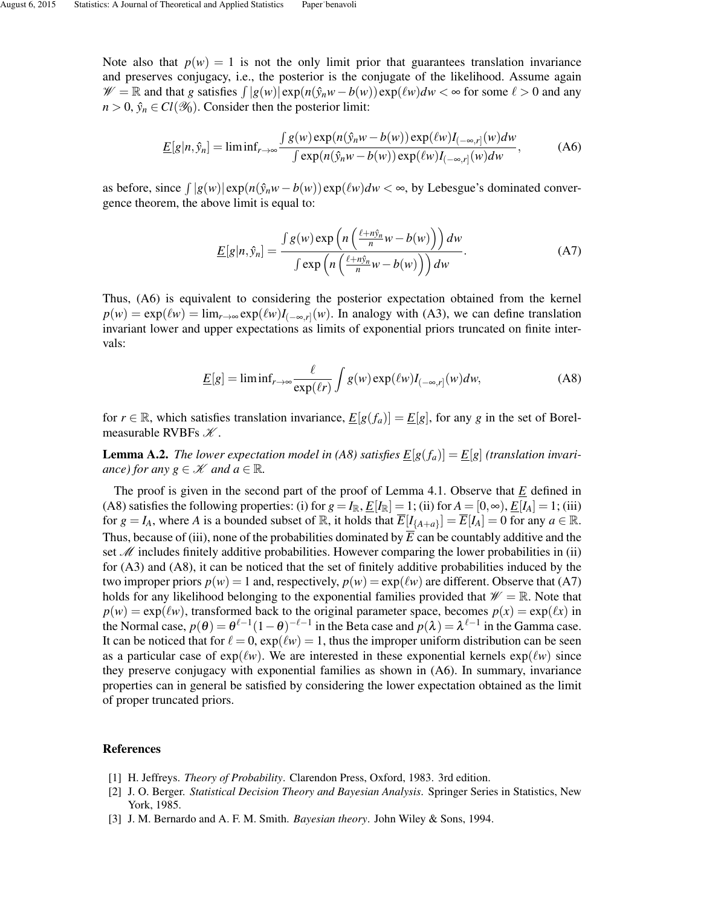Note also that  $p(w) = 1$  is not the only limit prior that guarantees translation invariance and preserves conjugacy, i.e., the posterior is the conjugate of the likelihood. Assume again  $\mathscr{W} = \mathbb{R}$  and that *g* satisfies  $\int |g(w)| \exp(n(\hat{y}_n w - b(w)) \exp(\ell w) dw < \infty$  for some  $\ell > 0$  and any  $n > 0$ ,  $\hat{y}_n \in Cl(\mathcal{Y}_0)$ . Consider then the posterior limit:

$$
\underline{E}[g|n,\hat{y}_n] = \liminf_{r \to \infty} \frac{\int g(w) \exp(n(\hat{y}_n w - b(w)) \exp(\ell w) I_{(-\infty,r]}(w) dw)}{\int \exp(n(\hat{y}_n w - b(w)) \exp(\ell w) I_{(-\infty,r]}(w) dw},
$$
(A6)

as before, since  $\int |g(w)| \exp(n(\hat{y}_n w - b(w)) \exp(\ell w) dw < \infty$ , by Lebesgue's dominated convergence theorem, the above limit is equal to:

$$
\underline{E}[g|n,\hat{y}_n] = \frac{\int g(w) \exp\left(n\left(\frac{\ell + n\hat{y}_n}{n}w - b(w)\right)\right) dw}{\int \exp\left(n\left(\frac{\ell + n\hat{y}_n}{n}w - b(w)\right)\right) dw}.
$$
 (A7)

Thus, (A6) is equivalent to considering the posterior expectation obtained from the kernel  $p(w) = \exp(\ell w) = \lim_{r \to \infty} \exp(\ell w) I_{(-\infty,r]}(w)$ . In analogy with (A3), we can define translation invariant lower and upper expectations as limits of exponential priors truncated on finite intervals:

$$
\underline{E}[g] = \liminf_{r \to \infty} \frac{\ell}{\exp(\ell r)} \int g(w) \exp(\ell w) I_{(-\infty, r]}(w) dw,
$$
 (A8)

for  $r \in \mathbb{R}$ , which satisfies translation invariance,  $E[g(f_a)] = E[g]$ , for any g in the set of Borelmeasurable RVBFs  $K$ .

**Lemma A.2.** *The lower expectation model in (A8) satisfies*  $\underline{E}[g(f_a)] = \underline{E}[g]$  (translation invari*ance)* for any  $g \in \mathcal{K}$  and  $a \in \mathbb{R}$ .

The proof is given in the second part of the proof of Lemma 4.1. Observe that *E* defined in (A8) satisfies the following properties: (i) for  $g = I_{\mathbb{R}}$ ,  $\underline{E}[I_{\mathbb{R}}] = 1$ ; (ii) for  $A = [0, \infty)$ ,  $\underline{E}[I_A] = 1$ ; (iii) for  $g = I_A$ , where *A* is a bounded subset of  $\mathbb{R}$ , it holds that  $\overline{E}[I_{\{A+a\}}] = \overline{E}[I_A] = 0$  for any  $a \in \mathbb{R}$ . Thus, because of (iii), none of the probabilities dominated by  $\overline{E}$  can be countably additive and the set  $M$  includes finitely additive probabilities. However comparing the lower probabilities in (ii) for (A3) and (A8), it can be noticed that the set of finitely additive probabilities induced by the two improper priors  $p(w) = 1$  and, respectively,  $p(w) = \exp(\ell w)$  are different. Observe that (A7) holds for any likelihood belonging to the exponential families provided that  $\mathscr{W} = \mathbb{R}$ . Note that  $p(w) = \exp(\ell w)$ , transformed back to the original parameter space, becomes  $p(x) = \exp(\ell x)$  in the Normal case,  $p(\theta) = \theta^{\ell-1}(1-\theta)^{-\ell-1}$  in the Beta case and  $p(\lambda) = \lambda^{\ell-1}$  in the Gamma case. It can be noticed that for  $\ell = 0$ ,  $exp(\ell w) = 1$ , thus the improper uniform distribution can be seen as a particular case of  $exp(\ell w)$ . We are interested in these exponential kernels  $exp(\ell w)$  since they preserve conjugacy with exponential families as shown in (A6). In summary, invariance properties can in general be satisfied by considering the lower expectation obtained as the limit of proper truncated priors.

### References

- [1] H. Jeffreys. *Theory of Probability*. Clarendon Press, Oxford, 1983. 3rd edition.
- [2] J. O. Berger. *Statistical Decision Theory and Bayesian Analysis*. Springer Series in Statistics, New York, 1985.
- [3] J. M. Bernardo and A. F. M. Smith. *Bayesian theory*. John Wiley & Sons, 1994.